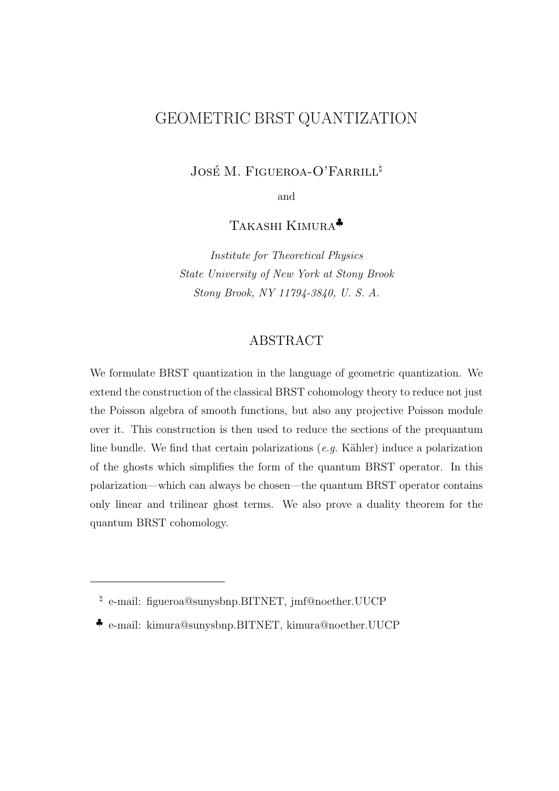# GEOMETRIC BRST QUANTIZATION

JOSÉ M. FIGUEROA-O'FARRILL<sup>5</sup>

and

TAKASHI KIMURA<sup>♣</sup>

Institute for Theoretical Physics State University of New York at Stony Brook Stony Brook, NY 11794-3840, U. S. A.

# ABSTRACT

We formulate BRST quantization in the language of geometric quantization. We extend the construction of the classical BRST cohomology theory to reduce not just the Poisson algebra of smooth functions, but also any projective Poisson module over it. This construction is then used to reduce the sections of the prequantum line bundle. We find that certain polarizations  $(e.g.$  Kähler) induce a polarization of the ghosts which simplifies the form of the quantum BRST operator. In this polarization—which can always be chosen—the quantum BRST operator contains only linear and trilinear ghost terms. We also prove a duality theorem for the quantum BRST cohomology.

<sup>&</sup>lt;sup> $\natural$ </sup> e-mail: figueroa@sunysbnp.BITNET, jmf@noether.UUCP

<sup>♣</sup> e-mail: kimura@sunysbnp.BITNET, kimura@noether.UUCP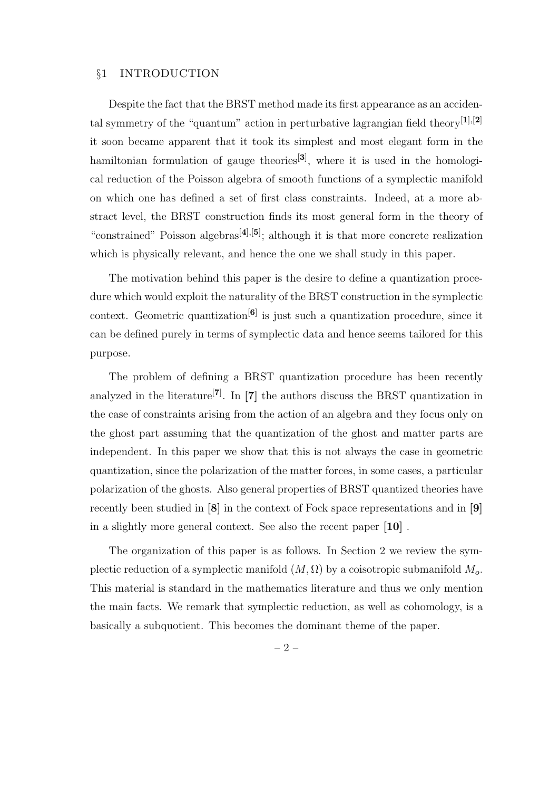### §1 INTRODUCTION

Despite the fact that the BRST method made its first appearance as an accidental symmetry of the "quantum" action in perturbative lagrangian field theory<sup>[1],[2]</sup> it soon became apparent that it took its simplest and most elegant form in the hamiltonian formulation of gauge theories<sup>[3]</sup>, where it is used in the homological reduction of the Poisson algebra of smooth functions of a symplectic manifold on which one has defined a set of first class constraints. Indeed, at a more abstract level, the BRST construction finds its most general form in the theory of "constrained" Poisson algebras<sup>[4]</sup>,<sup>[5]</sup>; although it is that more concrete realization which is physically relevant, and hence the one we shall study in this paper.

The motivation behind this paper is the desire to define a quantization procedure which would exploit the naturality of the BRST construction in the symplectic context. Geometric quantization<sup>[6]</sup> is just such a quantization procedure, since it can be defined purely in terms of symplectic data and hence seems tailored for this purpose.

The problem of defining a BRST quantization procedure has been recently analyzed in the literature<sup>[7]</sup>. In [7] the authors discuss the BRST quantization in the case of constraints arising from the action of an algebra and they focus only on the ghost part assuming that the quantization of the ghost and matter parts are independent. In this paper we show that this is not always the case in geometric quantization, since the polarization of the matter forces, in some cases, a particular polarization of the ghosts. Also general properties of BRST quantized theories have recently been studied in [8] in the context of Fock space representations and in [9] in a slightly more general context. See also the recent paper [10] .

The organization of this paper is as follows. In Section 2 we review the symplectic reduction of a symplectic manifold  $(M, \Omega)$  by a coisotropic submanifold  $M_0$ . This material is standard in the mathematics literature and thus we only mention the main facts. We remark that symplectic reduction, as well as cohomology, is a basically a subquotient. This becomes the dominant theme of the paper.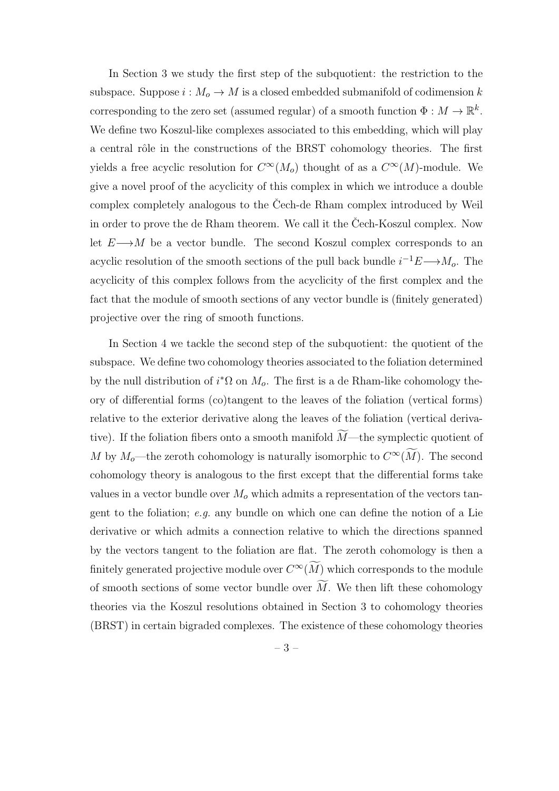In Section 3 we study the first step of the subquotient: the restriction to the subspace. Suppose  $i : M_o \to M$  is a closed embedded submanifold of codimension k corresponding to the zero set (assumed regular) of a smooth function  $\Phi: M \to \mathbb{R}^k$ . We define two Koszul-like complexes associated to this embedding, which will play a central rôle in the constructions of the BRST cohomology theories. The first yields a free acyclic resolution for  $C^{\infty}(M_o)$  thought of as a  $C^{\infty}(M)$ -module. We give a novel proof of the acyclicity of this complex in which we introduce a double complex completely analogous to the Cech-de Rham complex introduced by Weil in order to prove the de Rham theorem. We call it the Cech-Koszul complex. Now let  $E \longrightarrow M$  be a vector bundle. The second Koszul complex corresponds to an acyclic resolution of the smooth sections of the pull back bundle  $i^{-1}E \rightarrow M_o$ . The acyclicity of this complex follows from the acyclicity of the first complex and the fact that the module of smooth sections of any vector bundle is (finitely generated) projective over the ring of smooth functions.

In Section 4 we tackle the second step of the subquotient: the quotient of the subspace. We define two cohomology theories associated to the foliation determined by the null distribution of  $i^*\Omega$  on  $M_o$ . The first is a de Rham-like cohomology theory of differential forms (co)tangent to the leaves of the foliation (vertical forms) relative to the exterior derivative along the leaves of the foliation (vertical derivative). If the foliation fibers onto a smooth manifold  $\widetilde{M}$ —the symplectic quotient of M by  $M_o$ —the zeroth cohomology is naturally isomorphic to  $C^{\infty}(\widetilde{M})$ . The second cohomology theory is analogous to the first except that the differential forms take values in a vector bundle over  $M_0$  which admits a representation of the vectors tangent to the foliation; e.g. any bundle on which one can define the notion of a Lie derivative or which admits a connection relative to which the directions spanned by the vectors tangent to the foliation are flat. The zeroth cohomology is then a finitely generated projective module over  $C^{\infty}(\widetilde{M})$  which corresponds to the module of smooth sections of some vector bundle over  $\widetilde{M}$ . We then lift these cohomology theories via the Koszul resolutions obtained in Section 3 to cohomology theories (BRST) in certain bigraded complexes. The existence of these cohomology theories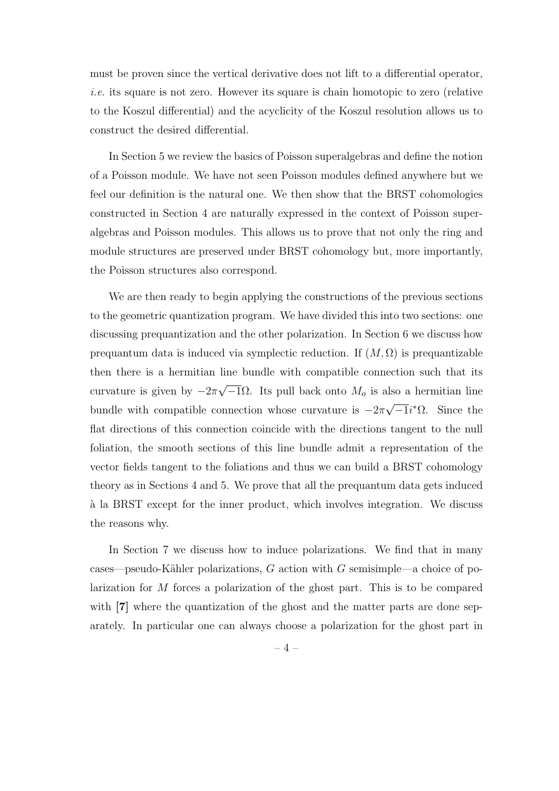must be proven since the vertical derivative does not lift to a differential operator, i.e. its square is not zero. However its square is chain homotopic to zero (relative to the Koszul differential) and the acyclicity of the Koszul resolution allows us to construct the desired differential.

In Section 5 we review the basics of Poisson superalgebras and define the notion of a Poisson module. We have not seen Poisson modules defined anywhere but we feel our definition is the natural one. We then show that the BRST cohomologies constructed in Section 4 are naturally expressed in the context of Poisson superalgebras and Poisson modules. This allows us to prove that not only the ring and module structures are preserved under BRST cohomology but, more importantly, the Poisson structures also correspond.

We are then ready to begin applying the constructions of the previous sections to the geometric quantization program. We have divided this into two sections: one discussing prequantization and the other polarization. In Section 6 we discuss how prequantum data is induced via symplectic reduction. If  $(M, \Omega)$  is prequantizable then there is a hermitian line bundle with compatible connection such that its curvature is given by  $-2\pi$ √  $\overline{-1}\Omega$ . Its pull back onto  $M_o$  is also a hermitian line bundle with compatible connection whose curvature is  $-2\pi$ √  $\overline{-1}i^*\Omega$ . Since the flat directions of this connection coincide with the directions tangent to the null foliation, the smooth sections of this line bundle admit a representation of the vector fields tangent to the foliations and thus we can build a BRST cohomology theory as in Sections 4 and 5. We prove that all the prequantum data gets induced `a la BRST except for the inner product, which involves integration. We discuss the reasons why.

In Section 7 we discuss how to induce polarizations. We find that in many cases—pseudo-Kähler polarizations, G action with G semisimple—a choice of polarization for M forces a polarization of the ghost part. This is to be compared with [7] where the quantization of the ghost and the matter parts are done separately. In particular one can always choose a polarization for the ghost part in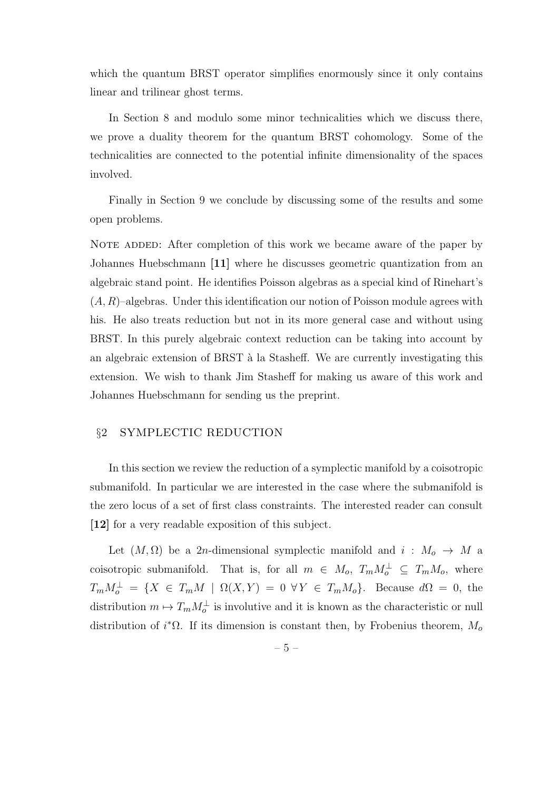which the quantum BRST operator simplifies enormously since it only contains linear and trilinear ghost terms.

In Section 8 and modulo some minor technicalities which we discuss there, we prove a duality theorem for the quantum BRST cohomology. Some of the technicalities are connected to the potential infinite dimensionality of the spaces involved.

Finally in Section 9 we conclude by discussing some of the results and some open problems.

NOTE ADDED: After completion of this work we became aware of the paper by Johannes Huebschmann [11] where he discusses geometric quantization from an algebraic stand point. He identifies Poisson algebras as a special kind of Rinehart's  $(A, R)$ –algebras. Under this identification our notion of Poisson module agrees with his. He also treats reduction but not in its more general case and without using BRST. In this purely algebraic context reduction can be taking into account by an algebraic extension of BRST à la Stasheff. We are currently investigating this extension. We wish to thank Jim Stasheff for making us aware of this work and Johannes Huebschmann for sending us the preprint.

#### §2 SYMPLECTIC REDUCTION

In this section we review the reduction of a symplectic manifold by a coisotropic submanifold. In particular we are interested in the case where the submanifold is the zero locus of a set of first class constraints. The interested reader can consult [12] for a very readable exposition of this subject.

Let  $(M, \Omega)$  be a 2n-dimensional symplectic manifold and  $i : M_o \to M$  a coisotropic submanifold. That is, for all  $m \in M_o$ ,  $T_m M_o^{\perp} \subseteq T_m M_o$ , where  $T_mM_o^{\perp} = \{X \in T_mM \mid \Omega(X,Y) = 0 \,\,\forall Y \in T_mM_o\}.$  Because  $d\Omega = 0$ , the distribution  $m \mapsto T_m M_o^{\perp}$  is involutive and it is known as the characteristic or null distribution of  $i^*\Omega$ . If its dimension is constant then, by Frobenius theorem,  $M_o$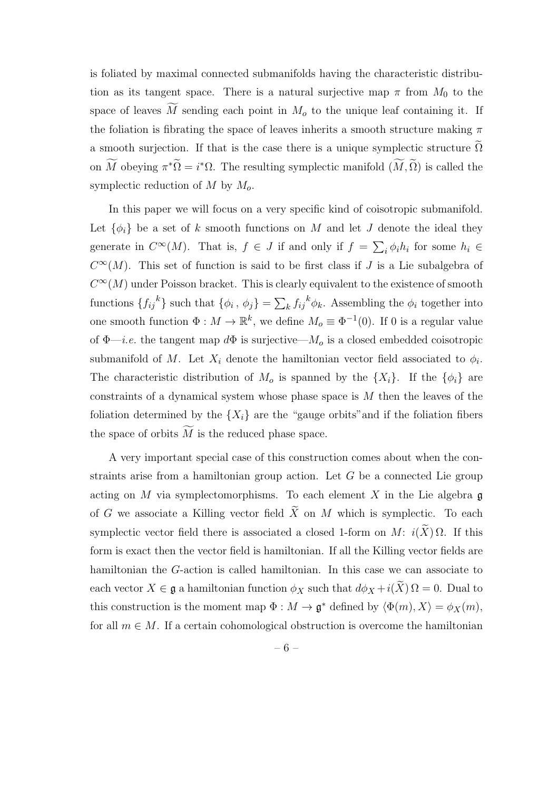is foliated by maximal connected submanifolds having the characteristic distribution as its tangent space. There is a natural surjective map  $\pi$  from  $M_0$  to the space of leaves  $\widetilde{M}$  sending each point in  $M_o$  to the unique leaf containing it. If the foliation is fibrating the space of leaves inherits a smooth structure making  $\pi$ a smooth surjection. If that is the case there is a unique symplectic structure  $\widetilde{\Omega}$ on  $\widetilde{M}$  obeying  $\pi^*\widetilde{\Omega} = i^*\Omega$ . The resulting symplectic manifold  $(\widetilde{M}, \widetilde{\Omega})$  is called the symplectic reduction of  $M$  by  $M_o$ .

In this paper we will focus on a very specific kind of coisotropic submanifold. Let  $\{\phi_i\}$  be a set of k smooth functions on M and let J denote the ideal they generate in  $C^{\infty}(M)$ . That is,  $f \in J$  if and only if  $f = \sum_{i} \phi_i h_i$  for some  $h_i \in$  $C^{\infty}(M)$ . This set of function is said to be first class if J is a Lie subalgebra of  $C^{\infty}(M)$  under Poisson bracket. This is clearly equivalent to the existence of smooth functions  $\{f_{ij}^k\}$  such that  $\{\phi_i, \phi_j\} = \sum_k f_{ij}^k \phi_k$ . Assembling the  $\phi_i$  together into one smooth function  $\Phi: M \to \mathbb{R}^k$ , we define  $M_o \equiv \Phi^{-1}(0)$ . If 0 is a regular value of  $\Phi$ —*i.e.* the tangent map  $d\Phi$  is surjective— $M_o$  is a closed embedded coisotropic submanifold of M. Let  $X_i$  denote the hamiltonian vector field associated to  $\phi_i$ . The characteristic distribution of  $M_o$  is spanned by the  $\{X_i\}$ . If the  $\{\phi_i\}$  are constraints of a dynamical system whose phase space is M then the leaves of the foliation determined by the  $\{X_i\}$  are the "gauge orbits" and if the foliation fibers the space of orbits  $M$  is the reduced phase space.

A very important special case of this construction comes about when the constraints arise from a hamiltonian group action. Let G be a connected Lie group acting on  $M$  via symplectomorphisms. To each element  $X$  in the Lie algebra  $\mathfrak g$ of G we associate a Killing vector field  $\widetilde{X}$  on M which is symplectic. To each symplectic vector field there is associated a closed 1-form on M:  $i(\tilde{X})\Omega$ . If this form is exact then the vector field is hamiltonian. If all the Killing vector fields are hamiltonian the G-action is called hamiltonian. In this case we can associate to each vector  $X \in \mathfrak{g}$  a hamiltonian function  $\phi_X$  such that  $d\phi_X + i(\tilde{X})\Omega = 0$ . Dual to this construction is the moment map  $\Phi : M \to \mathfrak{g}^*$  defined by  $\langle \Phi(m), X \rangle = \phi_X(m)$ , for all  $m \in M$ . If a certain cohomological obstruction is overcome the hamiltonian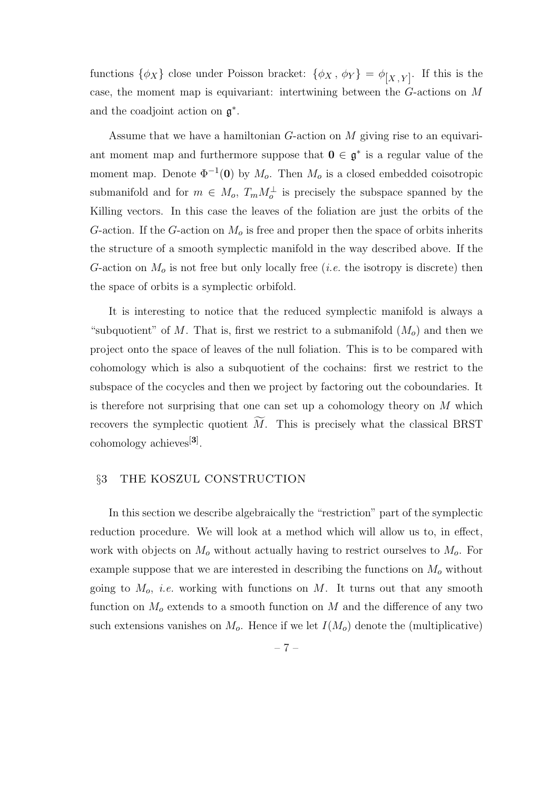functions  $\{\phi_X\}$  close under Poisson bracket:  $\{\phi_X, \phi_Y\} = \phi_{[X, Y]}$ . If this is the case, the moment map is equivariant: intertwining between the G-actions on M and the coadjoint action on  $\mathfrak{g}^*$ .

Assume that we have a hamiltonian G-action on M giving rise to an equivariant moment map and furthermore suppose that  $0 \in \mathfrak{g}^*$  is a regular value of the moment map. Denote  $\Phi^{-1}(0)$  by  $M_o$ . Then  $M_o$  is a closed embedded coisotropic submanifold and for  $m \in M_o$ ,  $T_m M_o^{\perp}$  is precisely the subspace spanned by the Killing vectors. In this case the leaves of the foliation are just the orbits of the G-action. If the G-action on  $M<sub>o</sub>$  is free and proper then the space of orbits inherits the structure of a smooth symplectic manifold in the way described above. If the G-action on  $M<sub>o</sub>$  is not free but only locally free (*i.e.* the isotropy is discrete) then the space of orbits is a symplectic orbifold.

It is interesting to notice that the reduced symplectic manifold is always a "subquotient" of M. That is, first we restrict to a submanifold  $(M<sub>o</sub>)$  and then we project onto the space of leaves of the null foliation. This is to be compared with cohomology which is also a subquotient of the cochains: first we restrict to the subspace of the cocycles and then we project by factoring out the coboundaries. It is therefore not surprising that one can set up a cohomology theory on  $M$  which recovers the symplectic quotient  $\overline{M}$ . This is precisely what the classical BRST cohomology achieves<sup>[3]</sup>.

#### §3 THE KOSZUL CONSTRUCTION

In this section we describe algebraically the "restriction" part of the symplectic reduction procedure. We will look at a method which will allow us to, in effect, work with objects on  $M_o$  without actually having to restrict ourselves to  $M_o$ . For example suppose that we are interested in describing the functions on  $M<sub>o</sub>$  without going to  $M_o$ , *i.e.* working with functions on M. It turns out that any smooth function on  $M_0$  extends to a smooth function on M and the difference of any two such extensions vanishes on  $M_o$ . Hence if we let  $I(M_o)$  denote the (multiplicative)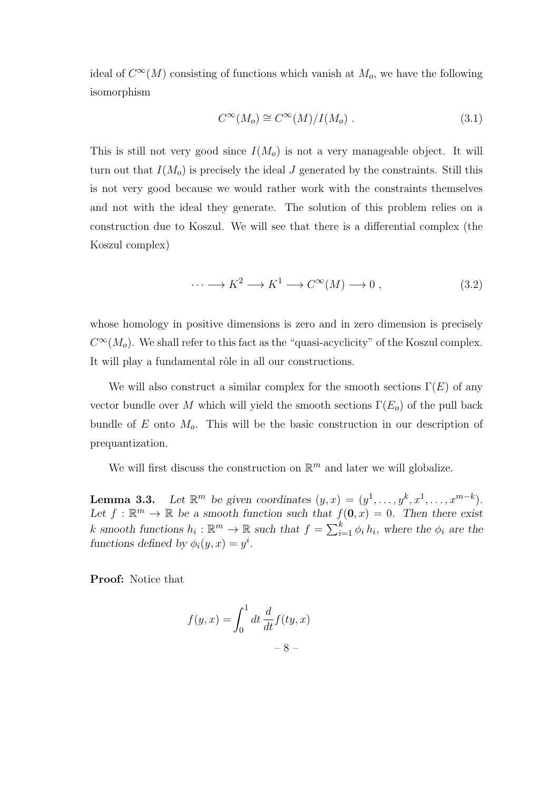ideal of  $C^{\infty}(M)$  consisting of functions which vanish at  $M_o$ , we have the following isomorphism

$$
C^{\infty}(M_o) \cong C^{\infty}(M)/I(M_o) . \tag{3.1}
$$

This is still not very good since  $I(M_o)$  is not a very manageable object. It will turn out that  $I(M_o)$  is precisely the ideal J generated by the constraints. Still this is not very good because we would rather work with the constraints themselves and not with the ideal they generate. The solution of this problem relies on a construction due to Koszul. We will see that there is a differential complex (the Koszul complex)

$$
\cdots \longrightarrow K^2 \longrightarrow K^1 \longrightarrow C^{\infty}(M) \longrightarrow 0 , \qquad (3.2)
$$

whose homology in positive dimensions is zero and in zero dimension is precisely  $C^{\infty}(M_o)$ . We shall refer to this fact as the "quasi-acyclicity" of the Koszul complex. It will play a fundamental rôle in all our constructions.

We will also construct a similar complex for the smooth sections  $\Gamma(E)$  of any vector bundle over M which will yield the smooth sections  $\Gamma(E_0)$  of the pull back bundle of E onto  $M<sub>o</sub>$ . This will be the basic construction in our description of prequantization.

We will first discuss the construction on  $\mathbb{R}^m$  and later we will globalize.

**Lemma 3.3.** Let  $\mathbb{R}^m$  be given coordinates  $(y, x) = (y^1, \ldots, y^k, x^1, \ldots, x^{m-k}).$ Let  $f : \mathbb{R}^m \to \mathbb{R}$  be a smooth function such that  $f(\mathbf{0}, x) = 0$ . Then there exist k smooth functions  $h_i: \mathbb{R}^m \to \mathbb{R}$  such that  $f = \sum_{i=1}^k \phi_i h_i$ , where the  $\phi_i$  are the functions defined by  $\phi_i(y, x) = y^i$ .

Proof: Notice that

$$
f(y,x) = \int_0^1 dt \, \frac{d}{dt} f(ty,x)
$$

– 8 –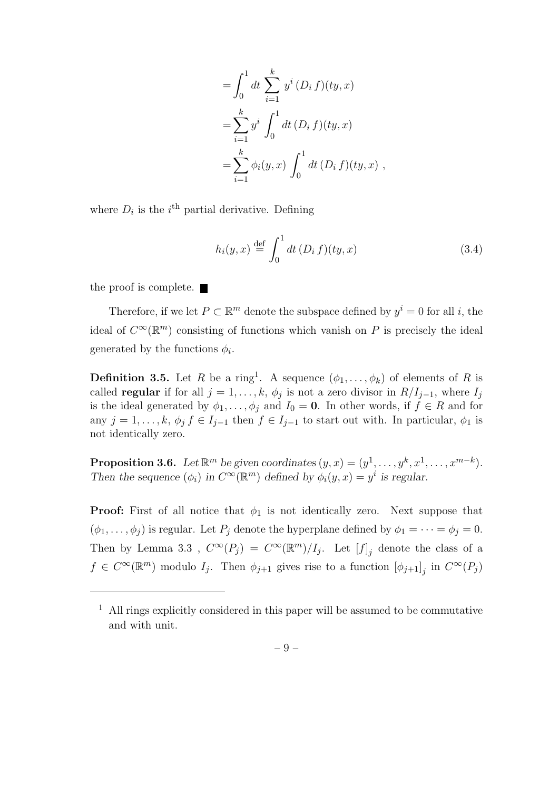$$
= \int_0^1 dt \sum_{i=1}^k y^i (D_i f)(ty, x)
$$
  
= 
$$
\sum_{i=1}^k y^i \int_0^1 dt (D_i f)(ty, x)
$$
  
= 
$$
\sum_{i=1}^k \phi_i(y, x) \int_0^1 dt (D_i f)(ty, x)
$$
,

where  $D_i$  is the *i*<sup>th</sup> partial derivative. Defining

$$
h_i(y,x) \stackrel{\text{def}}{=} \int_0^1 dt \,(D_i\,f)(ty,x) \tag{3.4}
$$

the proof is complete.

Therefore, if we let  $P \subset \mathbb{R}^m$  denote the subspace defined by  $y^i = 0$  for all i, the ideal of  $C^{\infty}(\mathbb{R}^m)$  consisting of functions which vanish on P is precisely the ideal generated by the functions  $\phi_i$ .

**Definition 3.5.** Let R be a ring<sup>1</sup>. A sequence  $(\phi_1, \ldots, \phi_k)$  of elements of R is called **regular** if for all  $j = 1, \ldots, k, \phi_j$  is not a zero divisor in  $R/I_{j-1}$ , where  $I_j$ is the ideal generated by  $\phi_1, \ldots, \phi_j$  and  $I_0 = \mathbf{0}$ . In other words, if  $f \in R$  and for any  $j = 1, \ldots, k, \phi_j f \in I_{j-1}$  then  $f \in I_{j-1}$  to start out with. In particular,  $\phi_1$  is not identically zero.

**Proposition 3.6.** Let  $\mathbb{R}^m$  be given coordinates  $(y, x) = (y^1, \ldots, y^k, x^1, \ldots, x^{m-k}).$ Then the sequence  $(\phi_i)$  in  $C^{\infty}(\mathbb{R}^m)$  defined by  $\phi_i(y, x) = y^i$  is regular.

**Proof:** First of all notice that  $\phi_1$  is not identically zero. Next suppose that  $(\phi_1, \ldots, \phi_j)$  is regular. Let  $P_j$  denote the hyperplane defined by  $\phi_1 = \cdots = \phi_j = 0$ . Then by Lemma 3.3,  $C^{\infty}(P_j) = C^{\infty}(\mathbb{R}^m)/I_j$ . Let  $[f]_j$  denote the class of a  $f \in C^{\infty}(\mathbb{R}^m)$  modulo  $I_j$ . Then  $\phi_{j+1}$  gives rise to a function  $[\phi_{j+1}]_j$  in  $C^{\infty}(P_j)$ 

 $1$  All rings explicitly considered in this paper will be assumed to be commutative and with unit.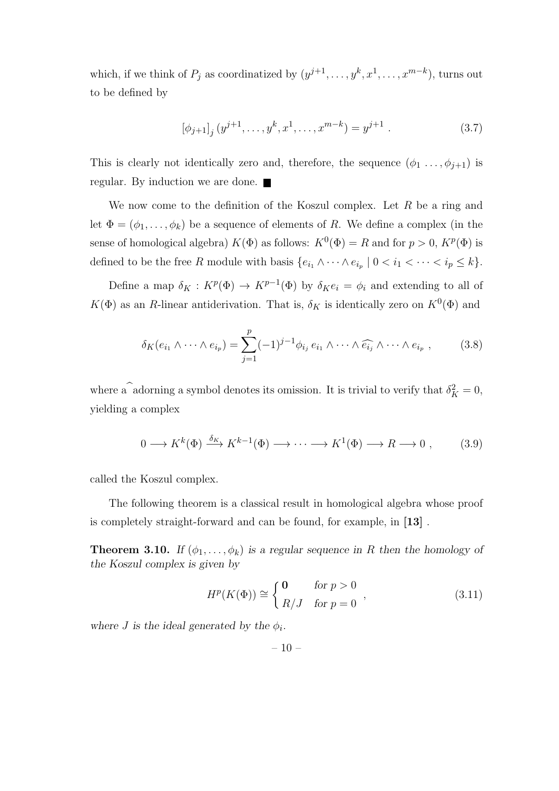which, if we think of  $P_j$  as coordinatized by  $(y^{j+1}, \ldots, y^k, x^1, \ldots, x^{m-k})$ , turns out to be defined by

$$
[\phi_{j+1}]_j (y^{j+1}, \dots, y^k, x^1, \dots, x^{m-k}) = y^{j+1} . \tag{3.7}
$$

This is clearly not identically zero and, therefore, the sequence  $(\phi_1 \ldots, \phi_{j+1})$  is regular. By induction we are done.

We now come to the definition of the Koszul complex. Let  $R$  be a ring and let  $\Phi = (\phi_1, \ldots, \phi_k)$  be a sequence of elements of R. We define a complex (in the sense of homological algebra)  $K(\Phi)$  as follows:  $K^0(\Phi) = R$  and for  $p > 0$ ,  $K^p(\Phi)$  is defined to be the free R module with basis  $\{e_{i_1} \wedge \cdots \wedge e_{i_p} \mid 0 < i_1 < \cdots < i_p \leq k\}$ .

Define a map  $\delta_K: K^p(\Phi) \to K^{p-1}(\Phi)$  by  $\delta_K e_i = \phi_i$  and extending to all of  $K(\Phi)$  as an R-linear antiderivation. That is,  $\delta_K$  is identically zero on  $K^0(\Phi)$  and

$$
\delta_K(e_{i_1} \wedge \cdots \wedge e_{i_p}) = \sum_{j=1}^p (-1)^{j-1} \phi_{i_j} \, e_{i_1} \wedge \cdots \wedge \widehat{e_{i_j}} \wedge \cdots \wedge e_{i_p} \;, \tag{3.8}
$$

where a adorning a symbol denotes its omission. It is trivial to verify that  $\delta_K^2 = 0$ , yielding a complex

$$
0 \longrightarrow K^{k}(\Phi) \xrightarrow{\delta_{K}} K^{k-1}(\Phi) \longrightarrow \cdots \longrightarrow K^{1}(\Phi) \longrightarrow R \longrightarrow 0 , \qquad (3.9)
$$

called the Koszul complex.

The following theorem is a classical result in homological algebra whose proof is completely straight-forward and can be found, for example, in [13] .

**Theorem 3.10.** If  $(\phi_1, \ldots, \phi_k)$  is a regular sequence in R then the homology of the Koszul complex is given by

$$
H^{p}(K(\Phi)) \cong \begin{cases} \mathbf{0} & \text{for } p > 0 \\ R/J & \text{for } p = 0 \end{cases} \tag{3.11}
$$

where J is the ideal generated by the  $\phi_i$ .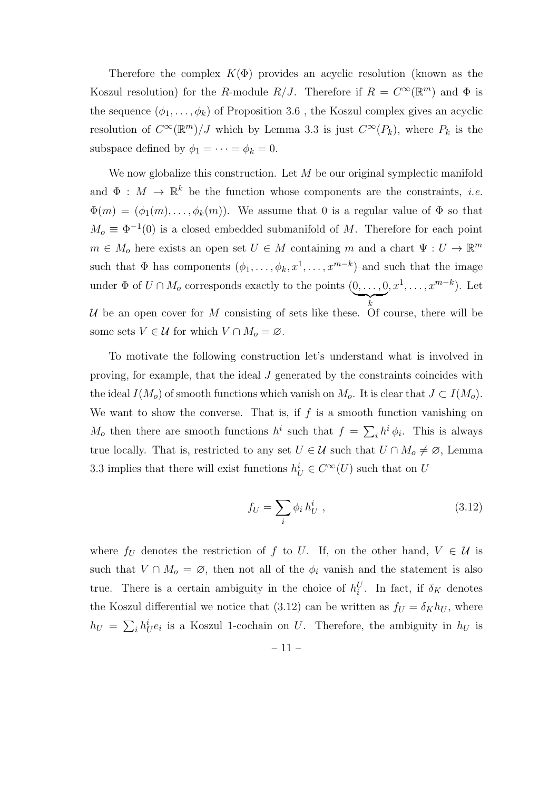Therefore the complex  $K(\Phi)$  provides an acyclic resolution (known as the Koszul resolution) for the R-module  $R/J$ . Therefore if  $R = C^{\infty}(\mathbb{R}^m)$  and  $\Phi$  is the sequence  $(\phi_1, \ldots, \phi_k)$  of Proposition 3.6, the Koszul complex gives an acyclic resolution of  $C^{\infty}(\mathbb{R}^m)/J$  which by Lemma 3.3 is just  $C^{\infty}(P_k)$ , where  $P_k$  is the subspace defined by  $\phi_1 = \cdots = \phi_k = 0$ .

We now globalize this construction. Let  $M$  be our original symplectic manifold and  $\Phi: M \to \mathbb{R}^k$  be the function whose components are the constraints, *i.e.*  $\Phi(m) = (\phi_1(m), \ldots, \phi_k(m))$ . We assume that 0 is a regular value of  $\Phi$  so that  $M_0 \equiv \Phi^{-1}(0)$  is a closed embedded submanifold of M. Therefore for each point  $m \in M_o$  here exists an open set  $U \in M$  containing m and a chart  $\Psi: U \to \mathbb{R}^m$ such that  $\Phi$  has components  $(\phi_1, \ldots, \phi_k, x^1, \ldots, x^{m-k})$  and such that the image under  $\Phi$  of  $U \cap M_o$  corresponds exactly to the points  $(0, \ldots, 0)$  $\overline{\phantom{a}}_k$ k  $(x^1, \ldots, x^{m-k})$ . Let U be an open cover for M consisting of sets like these. Of course, there will be some sets  $V \in \mathcal{U}$  for which  $V \cap M_o = \emptyset$ .

To motivate the following construction let's understand what is involved in proving, for example, that the ideal J generated by the constraints coincides with the ideal  $I(M_o)$  of smooth functions which vanish on  $M_o$ . It is clear that  $J \subset I(M_o)$ . We want to show the converse. That is, if  $f$  is a smooth function vanishing on  $M_o$  then there are smooth functions  $h^i$  such that  $f = \sum_i h^i \phi_i$ . This is always true locally. That is, restricted to any set  $U \in \mathcal{U}$  such that  $U \cap M_o \neq \emptyset$ , Lemma 3.3 implies that there will exist functions  $h_U^i \in C^\infty(U)$  such that on U

$$
f_U = \sum_i \phi_i h_U^i \t\t(3.12)
$$

where  $f_U$  denotes the restriction of f to U. If, on the other hand,  $V \in U$  is such that  $V \cap M_0 = \emptyset$ , then not all of the  $\phi_i$  vanish and the statement is also true. There is a certain ambiguity in the choice of  $h_i^U$ . In fact, if  $\delta_K$  denotes the Koszul differential we notice that (3.12) can be written as  $f_U = \delta_K h_U$ , where  $h_U = \sum_i h_U^i$  $\iota_U^i e_i$  is a Koszul 1-cochain on U. Therefore, the ambiguity in  $h_U$  is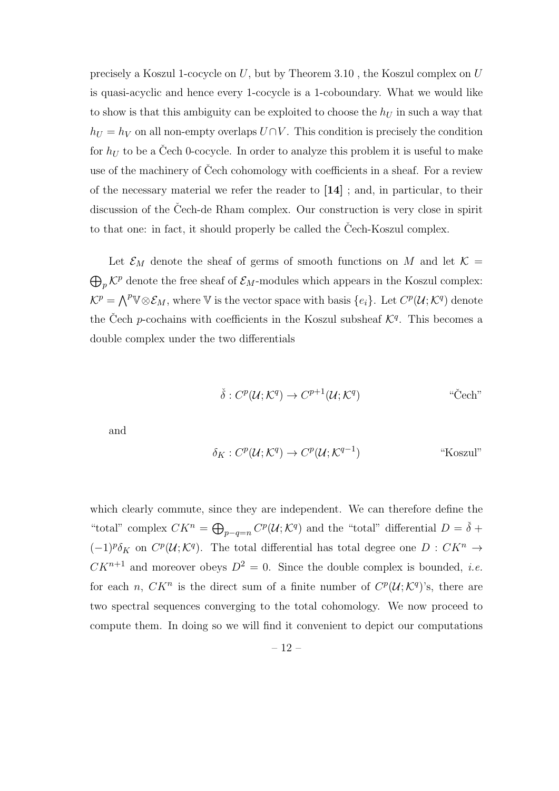precisely a Koszul 1-cocycle on  $U$ , but by Theorem 3.10, the Koszul complex on  $U$ is quasi-acyclic and hence every 1-cocycle is a 1-coboundary. What we would like to show is that this ambiguity can be exploited to choose the  $h<sub>U</sub>$  in such a way that  $h_U = h_V$  on all non-empty overlaps  $U \cap V$ . This condition is precisely the condition for  $h_U$  to be a Cech 0-cocycle. In order to analyze this problem it is useful to make use of the machinery of Cech cohomology with coefficients in a sheaf. For a review of the necessary material we refer the reader to [14] ; and, in particular, to their discussion of the Cech-de Rham complex. Our construction is very close in spirit to that one: in fact, it should properly be called the Cech-Koszul complex.

Let  $\mathcal{E}_M$  denote the sheaf of germs of smooth functions on M and let  $\mathcal{K} =$  $\bigoplus_p \mathcal{K}^p$  denote the free sheaf of  $\mathcal{E}_M$ -modules which appears in the Koszul complex:  $\mathcal{K}^p = \bigwedge^p \mathbb{V} \otimes \mathcal{E}_M$ , where  $\mathbb V$  is the vector space with basis  $\{e_i\}$ . Let  $C^p(\mathcal{U};\mathcal{K}^q)$  denote the Čech *p*-cochains with coefficients in the Koszul subsheaf  $K<sup>q</sup>$ . This becomes a double complex under the two differentials

$$
\check{\delta}: C^p(\mathcal{U}; \mathcal{K}^q) \to C^{p+1}(\mathcal{U}; \mathcal{K}^q) \qquad \text{``Čech''}
$$

and

$$
\delta_K : C^p(\mathcal{U}; \mathcal{K}^q) \to C^p(\mathcal{U}; \mathcal{K}^{q-1})
$$
\n"Koszul"

which clearly commute, since they are independent. We can therefore define the "total" complex  $CK^n = \bigoplus_{p-q=n} C^p(U;K^q)$  and the "total" differential  $D = \check{\delta}$  +  $(-1)^p \delta_K$  on  $C^p(\mathcal{U};\mathcal{K}^q)$ . The total differential has total degree one  $D:CK^n\to$  $CK^{n+1}$  and moreover obeys  $D^2 = 0$ . Since the double complex is bounded, *i.e.* for each n,  $CK^n$  is the direct sum of a finite number of  $C^p(\mathcal{U};\mathcal{K}^q)$ 's, there are two spectral sequences converging to the total cohomology. We now proceed to compute them. In doing so we will find it convenient to depict our computations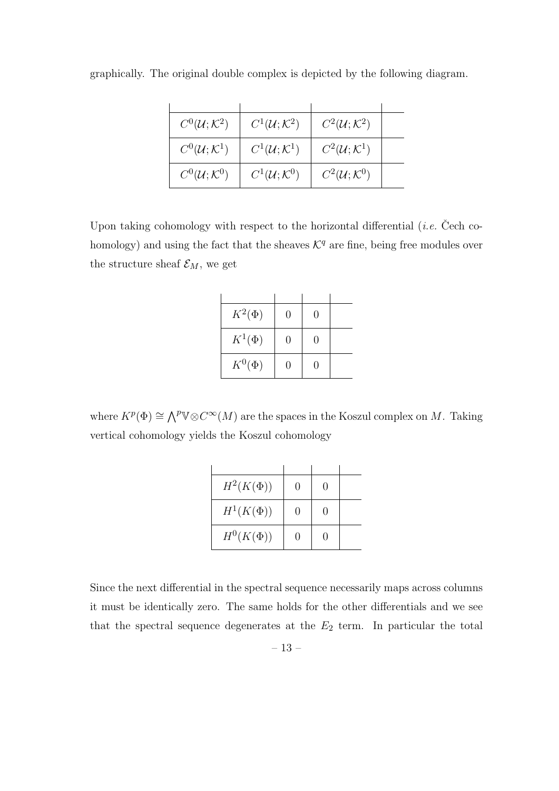| $C^0(\mathcal{U};\mathcal{K}^2)$ | $C^1(\mathcal{U};\mathcal{K}^2)$ | $C^2(\mathcal{U};\mathcal{K}^2)$ |  |
|----------------------------------|----------------------------------|----------------------------------|--|
| $C^0(\mathcal{U};\mathcal{K}^1)$ | $C^1(\mathcal{U};\mathcal{K}^1)$ | $C^2(\mathcal{U};\mathcal{K}^1)$ |  |
| $C^0(\mathcal{U};\mathcal{K}^0)$ | $C^1(\mathcal{U};\mathcal{K}^0)$ | $C^2(\mathcal{U};\mathcal{K}^0)$ |  |

graphically. The original double complex is depicted by the following diagram.

Upon taking cohomology with respect to the horizontal differential (*i.e.* Čech cohomology) and using the fact that the sheaves  $K<sup>q</sup>$  are fine, being free modules over the structure sheaf  $\mathcal{E}_M$ , we get

| $K^2(\Phi)$ | 0            | O |  |
|-------------|--------------|---|--|
| $K^1(\Phi)$ | 0            | 0 |  |
| $K^0(\Phi)$ | $\mathbf{0}$ | 0 |  |

where  $K^p(\Phi) \cong \bigwedge^p \mathbb{V} \otimes C^\infty(M)$  are the spaces in the Koszul complex on M. Taking vertical cohomology yields the Koszul cohomology

| $H^2(K(\Phi))$ | $\mathbf{0}$ | $\mathbf{I}$ |  |
|----------------|--------------|--------------|--|
| $H^1(K(\Phi))$ | $\mathbf{I}$ |              |  |
| $H^0(K(\Phi))$ | 0            | 0            |  |

Since the next differential in the spectral sequence necessarily maps across columns it must be identically zero. The same holds for the other differentials and we see that the spectral sequence degenerates at the  $E_2$  term. In particular the total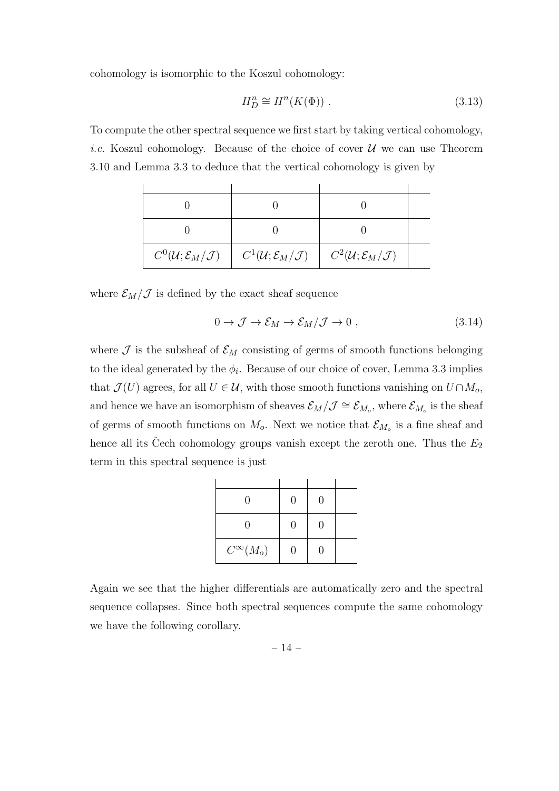cohomology is isomorphic to the Koszul cohomology:

$$
H_D^n \cong H^n(K(\Phi)) . \tag{3.13}
$$

To compute the other spectral sequence we first start by taking vertical cohomology, *i.e.* Koszul cohomology. Because of the choice of cover  $U$  we can use Theorem 3.10 and Lemma 3.3 to deduce that the vertical cohomology is given by

| $C^0(\mathcal{U}; \mathcal{E}_M/\mathcal{J})$ | $C^1(\mathcal{U};\mathcal{E}_M/\mathcal{J})$ | $\left  C^2(\mathcal{U}; \mathcal{E}_M/\mathcal{J}) \right $ |  |
|-----------------------------------------------|----------------------------------------------|--------------------------------------------------------------|--|

where  $\mathcal{E}_M/\mathcal{J}$  is defined by the exact sheaf sequence

$$
0 \to \mathcal{J} \to \mathcal{E}_M \to \mathcal{E}_M/\mathcal{J} \to 0 , \qquad (3.14)
$$

where  $\mathcal J$  is the subsheaf of  $\mathcal E_M$  consisting of germs of smooth functions belonging to the ideal generated by the  $\phi_i$ . Because of our choice of cover, Lemma 3.3 implies that  $\mathcal{J}(U)$  agrees, for all  $U \in \mathcal{U}$ , with those smooth functions vanishing on  $U \cap M_o$ , and hence we have an isomorphism of sheaves  $\mathcal{E}_M/\mathcal{J} \cong \mathcal{E}_{M_o}$ , where  $\mathcal{E}_{M_o}$  is the sheaf of germs of smooth functions on  $M_o$ . Next we notice that  $\mathcal{E}_{M_o}$  is a fine sheaf and hence all its Čech cohomology groups vanish except the zeroth one. Thus the  $E_2$ term in this spectral sequence is just

| $\left( \right)$  | $\Box$           | u |  |
|-------------------|------------------|---|--|
| $\left( \right)$  | $\left( \right)$ | 0 |  |
| $C^{\infty}(M_o)$ | $\Box$           | ı |  |

Again we see that the higher differentials are automatically zero and the spectral sequence collapses. Since both spectral sequences compute the same cohomology we have the following corollary.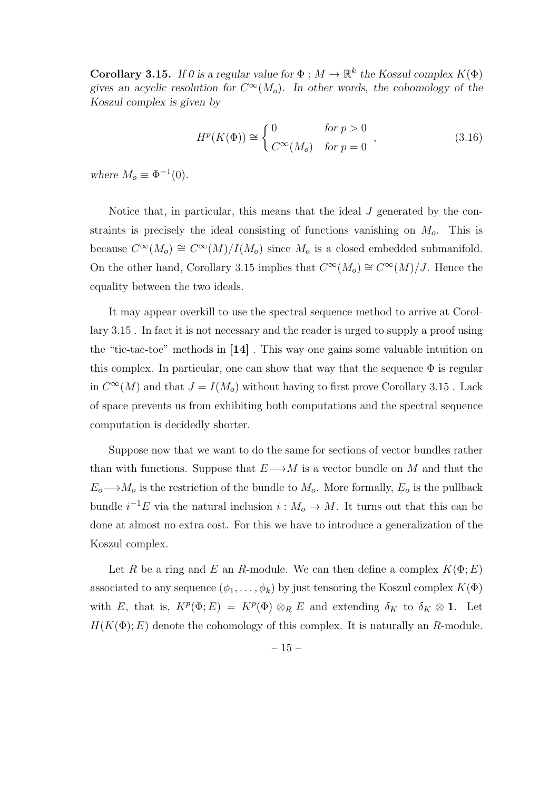**Corollary 3.15.** If 0 is a regular value for  $\Phi : M \to \mathbb{R}^k$  the Koszul complex  $K(\Phi)$ gives an acyclic resolution for  $C^{\infty}(M_o)$ . In other words, the cohomology of the Koszul complex is given by

$$
H^p(K(\Phi)) \cong \begin{cases} 0 & \text{for } p > 0 \\ C^{\infty}(M_o) & \text{for } p = 0 \end{cases},
$$
 (3.16)

where  $M_o \equiv \Phi^{-1}(0)$ .

Notice that, in particular, this means that the ideal J generated by the constraints is precisely the ideal consisting of functions vanishing on  $M<sub>o</sub>$ . This is because  $C^{\infty}(M_o) \cong C^{\infty}(M)/I(M_o)$  since  $M_o$  is a closed embedded submanifold. On the other hand, Corollary 3.15 implies that  $C^{\infty}(M_o) \cong C^{\infty}(M)/J$ . Hence the equality between the two ideals.

It may appear overkill to use the spectral sequence method to arrive at Corollary 3.15 . In fact it is not necessary and the reader is urged to supply a proof using the "tic-tac-toe" methods in [14] . This way one gains some valuable intuition on this complex. In particular, one can show that way that the sequence  $\Phi$  is regular in  $C^{\infty}(M)$  and that  $J = I(M_o)$  without having to first prove Corollary 3.15. Lack of space prevents us from exhibiting both computations and the spectral sequence computation is decidedly shorter.

Suppose now that we want to do the same for sections of vector bundles rather than with functions. Suppose that  $E\rightarrow M$  is a vector bundle on M and that the  $E_0 \longrightarrow M_0$  is the restriction of the bundle to  $M_0$ . More formally,  $E_0$  is the pullback bundle  $i^{-1}E$  via the natural inclusion  $i: M_o \to M$ . It turns out that this can be done at almost no extra cost. For this we have to introduce a generalization of the Koszul complex.

Let R be a ring and E an R-module. We can then define a complex  $K(\Phi; E)$ associated to any sequence  $(\phi_1, \ldots, \phi_k)$  by just tensoring the Koszul complex  $K(\Phi)$ with E, that is,  $K^p(\Phi; E) = K^p(\Phi) \otimes_R E$  and extending  $\delta_K$  to  $\delta_K \otimes \mathbf{1}$ . Let  $H(K(\Phi); E)$  denote the cohomology of this complex. It is naturally an R-module.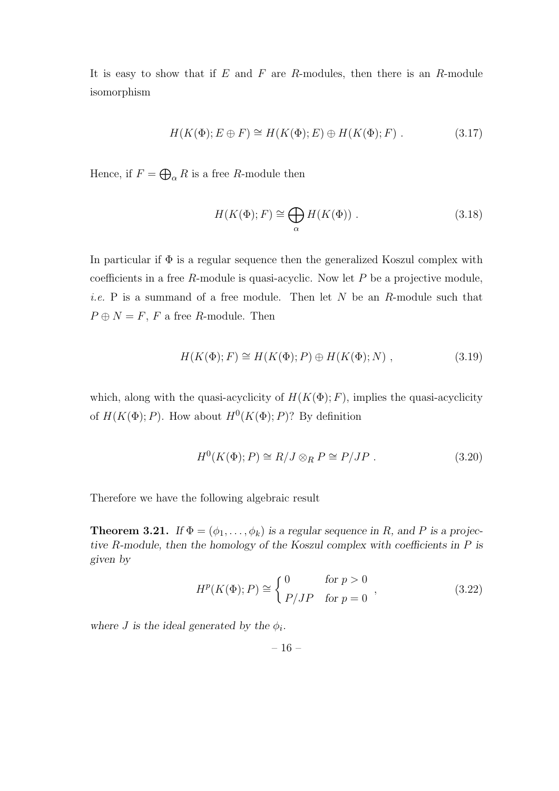It is easy to show that if  $E$  and  $F$  are  $R$ -modules, then there is an  $R$ -module isomorphism

$$
H(K(\Phi); E \oplus F) \cong H(K(\Phi); E) \oplus H(K(\Phi); F) . \tag{3.17}
$$

Hence, if  $F = \bigoplus_{\alpha} R$  is a free R-module then

$$
H(K(\Phi); F) \cong \bigoplus_{\alpha} H(K(\Phi)). \tag{3.18}
$$

In particular if  $\Phi$  is a regular sequence then the generalized Koszul complex with coefficients in a free  $R$ -module is quasi-acyclic. Now let  $P$  be a projective module, *i.e.* P is a summand of a free module. Then let  $N$  be an  $R$ -module such that  $P \oplus N = F$ , F a free R-module. Then

$$
H(K(\Phi); F) \cong H(K(\Phi); P) \oplus H(K(\Phi); N) , \qquad (3.19)
$$

which, along with the quasi-acyclicity of  $H(K(\Phi); F)$ , implies the quasi-acyclicity of  $H(K(\Phi); P)$ . How about  $H^0(K(\Phi); P)$ ? By definition

$$
H^{0}(K(\Phi); P) \cong R/J \otimes_{R} P \cong P/JP . \qquad (3.20)
$$

Therefore we have the following algebraic result

**Theorem 3.21.** If  $\Phi = (\phi_1, \ldots, \phi_k)$  is a regular sequence in R, and P is a projective R-module, then the homology of the Koszul complex with coefficients in  $P$  is given by

$$
H^{p}(K(\Phi); P) \cong \begin{cases} 0 & \text{for } p > 0 \\ P/JP & \text{for } p = 0 \end{cases},
$$
 (3.22)

where J is the ideal generated by the  $\phi_i$ .

 $-16-$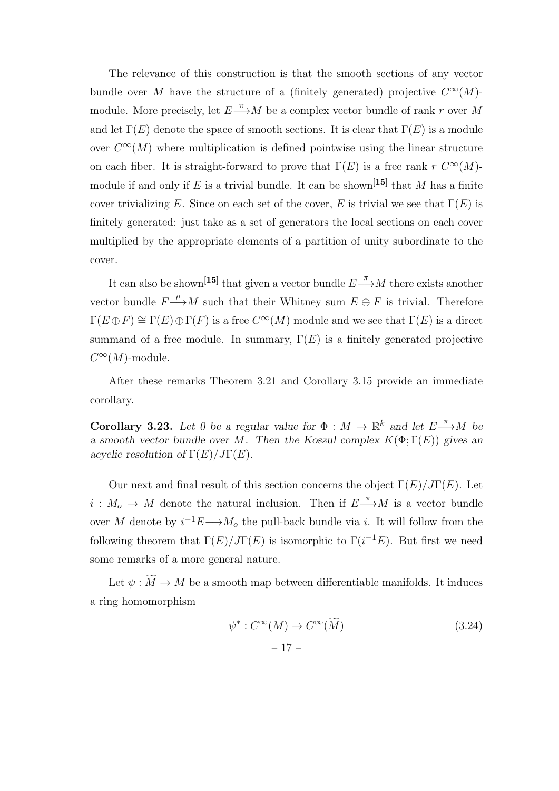The relevance of this construction is that the smooth sections of any vector bundle over M have the structure of a (finitely generated) projective  $C^{\infty}(M)$ module. More precisely, let  $E \stackrel{\pi}{\longrightarrow} M$  be a complex vector bundle of rank r over M and let  $\Gamma(E)$  denote the space of smooth sections. It is clear that  $\Gamma(E)$  is a module over  $C^{\infty}(M)$  where multiplication is defined pointwise using the linear structure on each fiber. It is straight-forward to prove that  $\Gamma(E)$  is a free rank  $r C^{\infty}(M)$ module if and only if E is a trivial bundle. It can be shown<sup>[15]</sup> that M has a finite cover trivializing E. Since on each set of the cover, E is trivial we see that  $\Gamma(E)$  is finitely generated: just take as a set of generators the local sections on each cover multiplied by the appropriate elements of a partition of unity subordinate to the cover.

It can also be shown<sup>[15]</sup> that given a vector bundle  $E \rightarrow M$  there exists another vector bundle  $F \xrightarrow{\rho} M$  such that their Whitney sum  $E \oplus F$  is trivial. Therefore  $\Gamma(E \oplus F) \cong \Gamma(E) \oplus \Gamma(F)$  is a free  $C^{\infty}(M)$  module and we see that  $\Gamma(E)$  is a direct summand of a free module. In summary,  $\Gamma(E)$  is a finitely generated projective  $C^{\infty}(M)$ -module.

After these remarks Theorem 3.21 and Corollary 3.15 provide an immediate corollary.

**Corollary 3.23.** Let 0 be a regular value for  $\Phi : M \to \mathbb{R}^k$  and let  $E \to M$  be a smooth vector bundle over M. Then the Koszul complex  $K(\Phi; \Gamma(E))$  gives an acyclic resolution of  $\Gamma(E)/J\Gamma(E)$ .

Our next and final result of this section concerns the object  $\Gamma(E)/J\Gamma(E)$ . Let  $i: M_o \to M$  denote the natural inclusion. Then if  $E \rightarrow M$  is a vector bundle over M denote by  $i^{-1}E \longrightarrow M_0$  the pull-back bundle via i. It will follow from the following theorem that  $\Gamma(E)/J\Gamma(E)$  is isomorphic to  $\Gamma(i^{-1}E)$ . But first we need some remarks of a more general nature.

Let  $\psi : \widetilde{M} \to M$  be a smooth map between differentiable manifolds. It induces a ring homomorphism

$$
\psi^* : C^{\infty}(M) \to C^{\infty}(\widetilde{M})
$$
\n
$$
-17 - \tag{3.24}
$$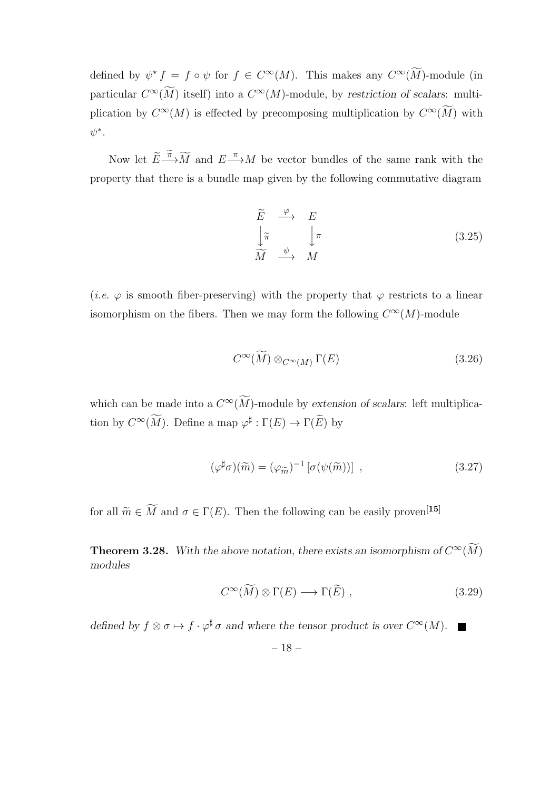defined by  $\psi^* f = f \circ \psi$  for  $f \in C^{\infty}(M)$ . This makes any  $C^{\infty}(\widetilde{M})$ -module (in particular  $C^{\infty}(\widetilde{M})$  itself) into a  $C^{\infty}(M)$ -module, by restriction of scalars: multiplication by  $C^{\infty}(M)$  is effected by precomposing multiplication by  $C^{\infty}(\widetilde{M})$  with  $\psi^*$ .

Now let  $\widetilde{E} \stackrel{\widetilde{\pi}}{\longrightarrow} \widetilde{M}$  and  $E \stackrel{\pi}{\longrightarrow} M$  be vector bundles of the same rank with the property that there is a bundle map given by the following commutative diagram

$$
\begin{array}{ccc}\n\widetilde{E} & \xrightarrow{\varphi} & E \\
\downarrow \widetilde{\pi} & & \downarrow \pi \\
\widetilde{M} & \xrightarrow{\psi} & M\n\end{array} \tag{3.25}
$$

(*i.e.*  $\varphi$  is smooth fiber-preserving) with the property that  $\varphi$  restricts to a linear isomorphism on the fibers. Then we may form the following  $C^{\infty}(M)$ -module

$$
C^{\infty}(\widetilde{M}) \otimes_{C^{\infty}(M)} \Gamma(E) \tag{3.26}
$$

which can be made into a  $C^{\infty}(\widetilde{M})$ -module by extension of scalars: left multiplication by  $C^{\infty}(\widetilde{M})$ . Define a map  $\varphi^{\sharp}: \Gamma(E) \to \Gamma(\widetilde{E})$  by

$$
(\varphi^{\sharp}\sigma)(\widetilde{m}) = (\varphi_{\widetilde{m}})^{-1} \left[ \sigma(\psi(\widetilde{m})) \right] , \qquad (3.27)
$$

for all  $\widetilde{m} \in \widetilde{M}$  and  $\sigma \in \Gamma(E)$ . Then the following can be easily proven<sup>[15]</sup>

**Theorem 3.28.** With the above notation, there exists an isomorphism of  $C^{\infty}(\widetilde{M})$ modules

$$
C^{\infty}(\widetilde{M}) \otimes \Gamma(E) \longrightarrow \Gamma(\widetilde{E}), \qquad (3.29)
$$

defined by  $f \otimes \sigma \mapsto f \cdot \varphi^{\sharp} \sigma$  and where the tensor product is over  $C^{\infty}(M)$ .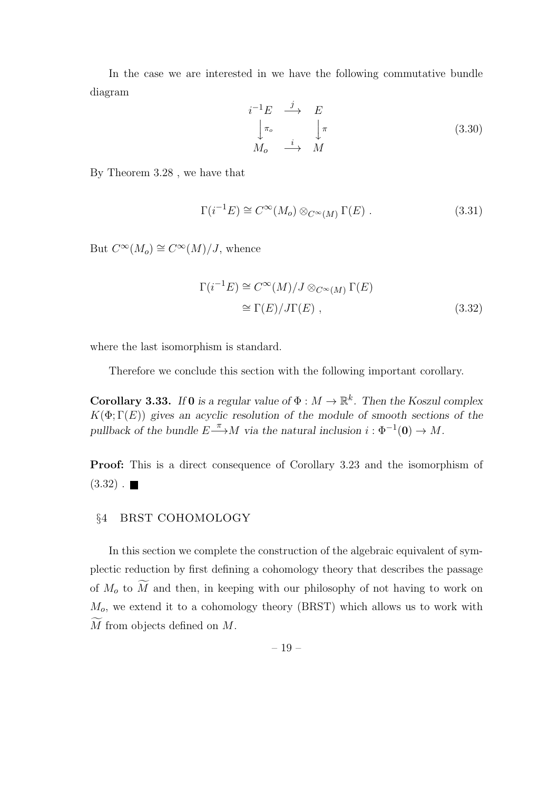In the case we are interested in we have the following commutative bundle diagram

$$
i^{-1}E \xrightarrow{j} E
$$
  
\n
$$
\downarrow^{\pi_o} \qquad \downarrow^{\pi}
$$
  
\n
$$
M_o \xrightarrow{i} M
$$
 (3.30)

By Theorem 3.28 , we have that

$$
\Gamma(i^{-1}E) \cong C^{\infty}(M_o) \otimes_{C^{\infty}(M)} \Gamma(E) . \tag{3.31}
$$

But  $C^{\infty}(M_o) \cong C^{\infty}(M)/J$ , whence

$$
\Gamma(i^{-1}E) \cong C^{\infty}(M)/J \otimes_{C^{\infty}(M)} \Gamma(E)
$$
  
\n
$$
\cong \Gamma(E)/J\Gamma(E) , \qquad (3.32)
$$

where the last isomorphism is standard.

Therefore we conclude this section with the following important corollary.

**Corollary 3.33.** If 0 is a regular value of  $\Phi : M \to \mathbb{R}^k$ . Then the Koszul complex  $K(\Phi; \Gamma(E))$  gives an acyclic resolution of the module of smooth sections of the pullback of the bundle  $E \rightarrow M$  via the natural inclusion  $i : \Phi^{-1}(0) \rightarrow M$ .

Proof: This is a direct consequence of Corollary 3.23 and the isomorphism of  $(3.32)$ .

#### §4 BRST COHOMOLOGY

In this section we complete the construction of the algebraic equivalent of symplectic reduction by first defining a cohomology theory that describes the passage of  $M_o$  to  $\widetilde{M}$  and then, in keeping with our philosophy of not having to work on  $M<sub>o</sub>$ , we extend it to a cohomology theory (BRST) which allows us to work with  $\widetilde{M}$  from objects defined on  $M$ .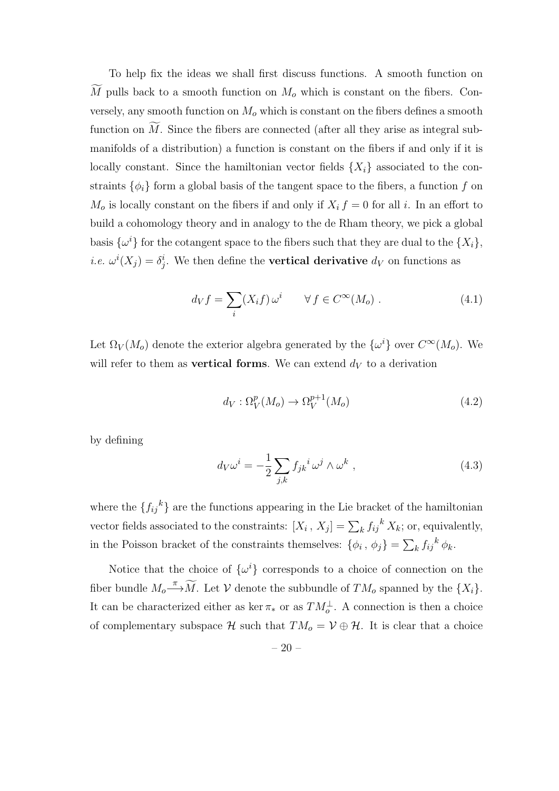To help fix the ideas we shall first discuss functions. A smooth function on M pulls back to a smooth function on  $M_0$  which is constant on the fibers. Conversely, any smooth function on  $M<sub>o</sub>$  which is constant on the fibers defines a smooth function on  $\tilde{M}$ . Since the fibers are connected (after all they arise as integral submanifolds of a distribution) a function is constant on the fibers if and only if it is locally constant. Since the hamiltonian vector fields  $\{X_i\}$  associated to the constraints  $\{\phi_i\}$  form a global basis of the tangent space to the fibers, a function f on  $M_o$  is locally constant on the fibers if and only if  $X_i f = 0$  for all i. In an effort to build a cohomology theory and in analogy to the de Rham theory, we pick a global basis  $\{\omega^i\}$  for the cotangent space to the fibers such that they are dual to the  $\{X_i\}$ , *i.e.*  $\omega^{i}(X_{j}) = \delta^{i}_{j}$ . We then define the **vertical derivative**  $d_{V}$  on functions as

$$
d_V f = \sum_i (X_i f) \,\omega^i \qquad \forall \, f \in C^\infty(M_o) \; . \tag{4.1}
$$

Let  $\Omega_V(M_o)$  denote the exterior algebra generated by the  $\{\omega^i\}$  over  $C^{\infty}(M_o)$ . We will refer to them as **vertical forms**. We can extend  $d_V$  to a derivation

$$
d_V: \Omega_V^p(M_o) \to \Omega_V^{p+1}(M_o) \tag{4.2}
$$

by defining

$$
d_V \omega^i = -\frac{1}{2} \sum_{j,k} f_{jk}^i \omega^j \wedge \omega^k , \qquad (4.3)
$$

where the  ${f_{ij}}^k$  are the functions appearing in the Lie bracket of the hamiltonian vector fields associated to the constraints:  $[X_i, X_j] = \sum_k f_{ij}^k X_k$ ; or, equivalently, in the Poisson bracket of the constraints themselves:  $\{\phi_i, \phi_j\} = \sum_k f_{ij}^k \phi_k$ .

Notice that the choice of  $\{\omega^i\}$  corresponds to a choice of connection on the fiber bundle  $M_o \xrightarrow{\pi} \widetilde{M}$ . Let  $\mathcal V$  denote the subbundle of  $TM_o$  spanned by the  $\{X_i\}$ . It can be characterized either as ker  $\pi_*$  or as  $TM_o^{\perp}$ . A connection is then a choice of complementary subspace H such that  $TM_o = V \oplus H$ . It is clear that a choice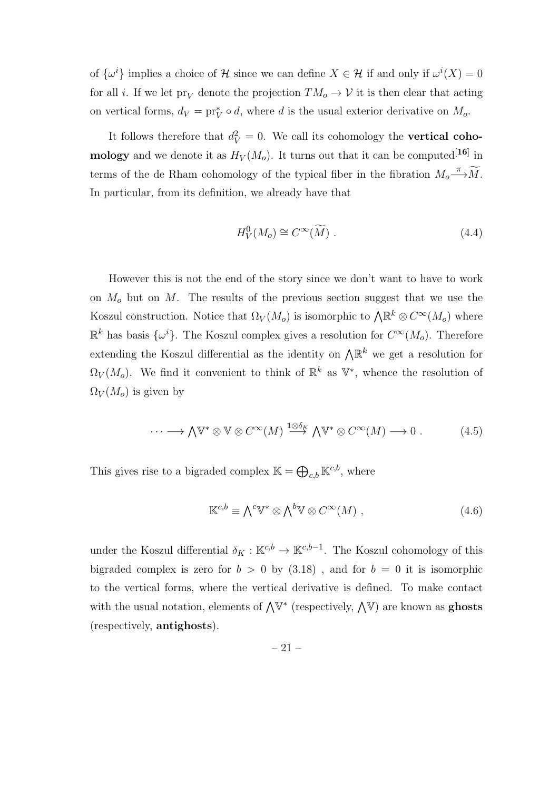of  $\{\omega^i\}$  implies a choice of H since we can define  $X \in \mathcal{H}$  if and only if  $\omega^i(X) = 0$ for all i. If we let  $pr_V$  denote the projection  $TM_o \to V$  it is then clear that acting on vertical forms,  $d_V = \text{pr}_V^* \circ d$ , where d is the usual exterior derivative on  $M_o$ .

It follows therefore that  $d_V^2 = 0$ . We call its cohomology the **vertical cohomology** and we denote it as  $H_V(M_o)$ . It turns out that it can be computed<sup>[16]</sup> in terms of the de Rham cohomology of the typical fiber in the fibration  $M_o \rightarrow \widetilde{M}$ . In particular, from its definition, we already have that

$$
H_V^0(M_o) \cong C^\infty(\widetilde{M}) . \tag{4.4}
$$

However this is not the end of the story since we don't want to have to work on  $M<sub>o</sub>$  but on M. The results of the previous section suggest that we use the Koszul construction. Notice that  $\Omega_V(M_o)$  is isomorphic to  $\bigwedge \mathbb{R}^k \otimes C^\infty(M_o)$  where  $\mathbb{R}^k$  has basis  $\{\omega^i\}$ . The Koszul complex gives a resolution for  $C^{\infty}(M_o)$ . Therefore extending the Koszul differential as the identity on  $\Lambda \mathbb{R}^k$  we get a resolution for  $\Omega_V(M_o)$ . We find it convenient to think of  $\mathbb{R}^k$  as  $\mathbb{V}^*$ , whence the resolution of  $\Omega_V(M_o)$  is given by

$$
\cdots \longrightarrow \bigwedge^{\mathbb{V}^*} \otimes \mathbb{V} \otimes C^{\infty}(M) \stackrel{\mathbf{1} \otimes \delta_K}{\longrightarrow} \bigwedge^{\mathbb{V}^*} \otimes C^{\infty}(M) \longrightarrow 0 . \tag{4.5}
$$

This gives rise to a bigraded complex  $\mathbb{K} = \bigoplus_{c,b} \mathbb{K}^{c,b}$ , where

$$
\mathbb{K}^{c,b} \equiv \bigwedge^c \mathbb{V}^* \otimes \bigwedge^b \mathbb{V} \otimes C^\infty(M) , \qquad (4.6)
$$

under the Koszul differential  $\delta_K : \mathbb{K}^{c,b} \to \mathbb{K}^{c,b-1}$ . The Koszul cohomology of this bigraded complex is zero for  $b > 0$  by  $(3.18)$ , and for  $b = 0$  it is isomorphic to the vertical forms, where the vertical derivative is defined. To make contact with the usual notation, elements of  $\bigwedge^{\mathbb{V}^*}$  (respectively,  $\bigwedge^{\mathbb{V}}$ ) are known as **ghosts** (respectively, antighosts).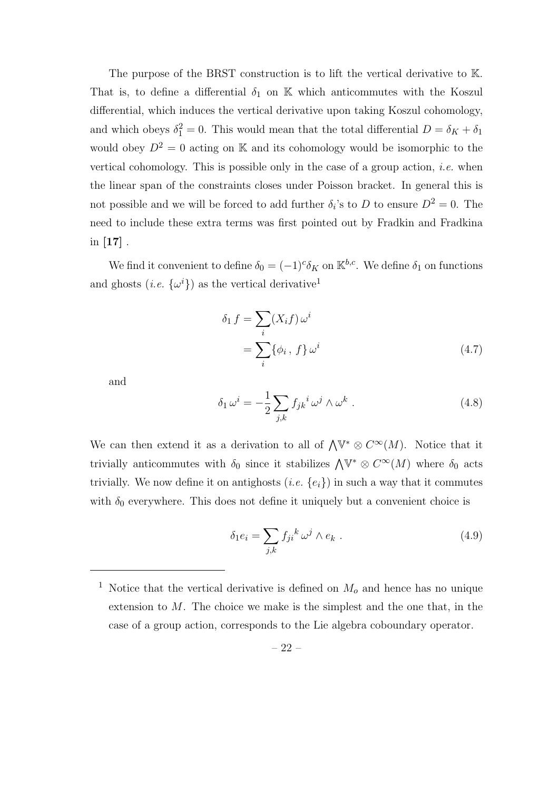The purpose of the BRST construction is to lift the vertical derivative to K. That is, to define a differential  $\delta_1$  on K which anticommutes with the Koszul differential, which induces the vertical derivative upon taking Koszul cohomology, and which obeys  $\delta_1^2 = 0$ . This would mean that the total differential  $D = \delta_K + \delta_1$ would obey  $D^2 = 0$  acting on K and its cohomology would be isomorphic to the vertical cohomology. This is possible only in the case of a group action, *i.e.* when the linear span of the constraints closes under Poisson bracket. In general this is not possible and we will be forced to add further  $\delta_i$ 's to D to ensure  $D^2 = 0$ . The need to include these extra terms was first pointed out by Fradkin and Fradkina in  $[17]$ .

We find it convenient to define  $\delta_0 = (-1)^c \delta_K$  on  $\mathbb{K}^{b,c}$ . We define  $\delta_1$  on functions and ghosts (*i.e.*  $\{\omega^i\}$ ) as the vertical derivative<sup>1</sup>

$$
\delta_1 f = \sum_i (X_i f) \omega^i
$$
  
= 
$$
\sum_i {\phi_i, f} \omega^i
$$
 (4.7)

and

$$
\delta_1 \,\omega^i = -\frac{1}{2} \sum_{j,k} f_{jk}^i \,\omega^j \wedge \omega^k \ . \tag{4.8}
$$

We can then extend it as a derivation to all of  $\bigwedge^{\vee} V^* \otimes C^{\infty}(M)$ . Notice that it trivially anticommutes with  $\delta_0$  since it stabilizes  $\bigwedge^{\vee} V^* \otimes C^{\infty}(M)$  where  $\delta_0$  acts trivially. We now define it on antighosts (*i.e.*  $\{e_i\}$ ) in such a way that it commutes with  $\delta_0$  everywhere. This does not define it uniquely but a convenient choice is

$$
\delta_1 e_i = \sum_{j,k} f_{ji}^k \omega^j \wedge e_k . \qquad (4.9)
$$

<sup>&</sup>lt;sup>1</sup> Notice that the vertical derivative is defined on  $M<sub>o</sub>$  and hence has no unique extension to  $M$ . The choice we make is the simplest and the one that, in the case of a group action, corresponds to the Lie algebra coboundary operator.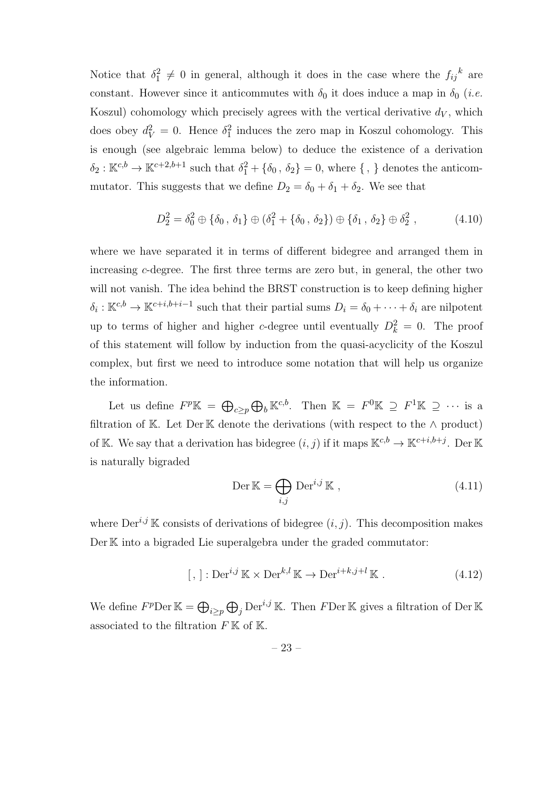Notice that  $\delta_1^2 \neq 0$  in general, although it does in the case where the  $f_{ij}^k$  are constant. However since it anticommutes with  $\delta_0$  it does induce a map in  $\delta_0$  (*i.e.* Koszul) cohomology which precisely agrees with the vertical derivative  $d_V$ , which does obey  $d_V^2 = 0$ . Hence  $\delta_1^2$  induces the zero map in Koszul cohomology. This is enough (see algebraic lemma below) to deduce the existence of a derivation  $\delta_2 : \mathbb{K}^{c,b} \to \mathbb{K}^{c+2,b+1}$  such that  $\delta_1^2 + \{\delta_0, \delta_2\} = 0$ , where  $\{\, , \, \}$  denotes the anticommutator. This suggests that we define  $D_2 = \delta_0 + \delta_1 + \delta_2$ . We see that

$$
D_2^2 = \delta_0^2 \oplus \{\delta_0 \, , \, \delta_1\} \oplus (\delta_1^2 + \{\delta_0 \, , \, \delta_2\}) \oplus \{\delta_1 \, , \, \delta_2\} \oplus \delta_2^2 \;, \tag{4.10}
$$

where we have separated it in terms of different bidegree and arranged them in increasing c-degree. The first three terms are zero but, in general, the other two will not vanish. The idea behind the BRST construction is to keep defining higher  $\delta_i: \mathbb{K}^{c,b} \to \mathbb{K}^{c+i,b+i-1}$  such that their partial sums  $D_i = \delta_0 + \cdots + \delta_i$  are nilpotent up to terms of higher and higher c-degree until eventually  $D_k^2 = 0$ . The proof of this statement will follow by induction from the quasi-acyclicity of the Koszul complex, but first we need to introduce some notation that will help us organize the information.

Let us define  $F^p\mathbb{K} = \bigoplus_{c\geq p}\bigoplus_b\mathbb{K}^{c,b}$ . Then  $\mathbb{K} = F^0\mathbb{K} \supseteq F^1\mathbb{K} \supseteq \cdots$  is a filtration of K. Let Der K denote the derivations (with respect to the  $\land$  product) of K. We say that a derivation has bidegree  $(i, j)$  if it maps  $\mathbb{K}^{c,b} \to \mathbb{K}^{c+i,b+j}$ . Der K is naturally bigraded

$$
\text{Der }\mathbb{K} = \bigoplus_{i,j} \text{Der}^{i,j} \mathbb{K} ,\tag{4.11}
$$

where  $\text{Der}^{i,j}$  K consists of derivations of bidegree  $(i, j)$ . This decomposition makes Der K into a bigraded Lie superalgebra under the graded commutator:

$$
[, ]: \text{Der}^{i,j} \mathbb{K} \times \text{Der}^{k,l} \mathbb{K} \to \text{Der}^{i+k,j+l} \mathbb{K} . \tag{4.12}
$$

We define  $F^p$ Der  $\mathbb{K} = \bigoplus_{i \geq p} \bigoplus_j \text{Der}^{i,j} \mathbb{K}$ . Then  $F$ Der  $\mathbb{K}$  gives a filtration of Der  $\mathbb{K}$ associated to the filtration  $F \mathbb{K}$  of  $\mathbb{K}$ .

– 23 –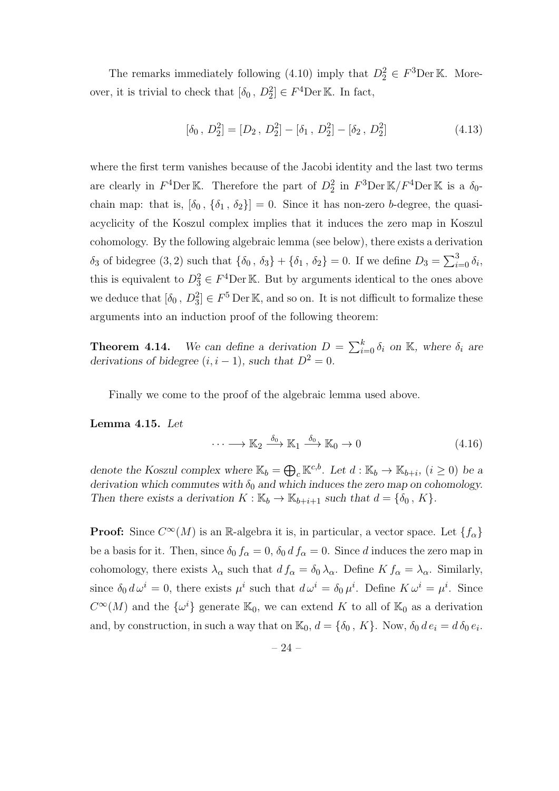The remarks immediately following (4.10) imply that  $D_2^2 \in F^3$ Der K. Moreover, it is trivial to check that  $[\delta_0, D_2^2] \in F^4$ Der K. In fact,

$$
[\delta_0, D_2^2] = [D_2, D_2^2] - [\delta_1, D_2^2] - [\delta_2, D_2^2]
$$
\n(4.13)

where the first term vanishes because of the Jacobi identity and the last two terms are clearly in  $F^4$ Der K. Therefore the part of  $D_2^2$  in  $F^3$ Der K/ $F^4$ Der K is a  $\delta_0$ chain map: that is,  $[\delta_0, {\delta_1, \delta_2}] = 0$ . Since it has non-zero b-degree, the quasiacyclicity of the Koszul complex implies that it induces the zero map in Koszul cohomology. By the following algebraic lemma (see below), there exists a derivation  $\delta_3$  of bidegree  $(3, 2)$  such that  $\{\delta_0, \delta_3\} + \{\delta_1, \delta_2\} = 0$ . If we define  $D_3 = \sum_{i=0}^3 \delta_i$ , this is equivalent to  $D_3^2 \in F^4$ Der K. But by arguments identical to the ones above we deduce that  $[\delta_0, D_3^2] \in F^5$  Der K, and so on. It is not difficult to formalize these arguments into an induction proof of the following theorem:

**Theorem 4.14.** We can define a derivation  $D = \sum_{i=0}^{k} \delta_i$  on K, where  $\delta_i$  are derivations of bidegree  $(i, i - 1)$ , such that  $D^2 = 0$ .

Finally we come to the proof of the algebraic lemma used above.

#### Lemma 4.15. Let

$$
\cdots \longrightarrow \mathbb{K}_2 \xrightarrow{\delta_0} \mathbb{K}_1 \xrightarrow{\delta_0} \mathbb{K}_0 \to 0 \tag{4.16}
$$

denote the Koszul complex where  $\mathbb{K}_b = \bigoplus_c \mathbb{K}^{c,b}$ . Let  $d : \mathbb{K}_b \to \mathbb{K}_{b+i}$ ,  $(i \geq 0)$  be a derivation which commutes with  $\delta_0$  and which induces the zero map on cohomology. Then there exists a derivation  $K : \mathbb{K}_b \to \mathbb{K}_{b+i+1}$  such that  $d = \{\delta_0, K\}.$ 

**Proof:** Since  $C^{\infty}(M)$  is an R-algebra it is, in particular, a vector space. Let  $\{f_{\alpha}\}$ be a basis for it. Then, since  $\delta_0 f_\alpha = 0$ ,  $\delta_0 d f_\alpha = 0$ . Since d induces the zero map in cohomology, there exists  $\lambda_{\alpha}$  such that  $df_{\alpha} = \delta_0 \lambda_{\alpha}$ . Define  $K f_{\alpha} = \lambda_{\alpha}$ . Similarly, since  $\delta_0 d\omega^i = 0$ , there exists  $\mu^i$  such that  $d\omega^i = \delta_0 \mu^i$ . Define  $K \omega^i = \mu^i$ . Since  $C^{\infty}(M)$  and the  $\{\omega^{i}\}\$ generate  $\mathbb{K}_{0}$ , we can extend K to all of  $\mathbb{K}_{0}$  as a derivation and, by construction, in such a way that on  $\mathbb{K}_0$ ,  $d = \{\delta_0, K\}$ . Now,  $\delta_0 d e_i = d \delta_0 e_i$ .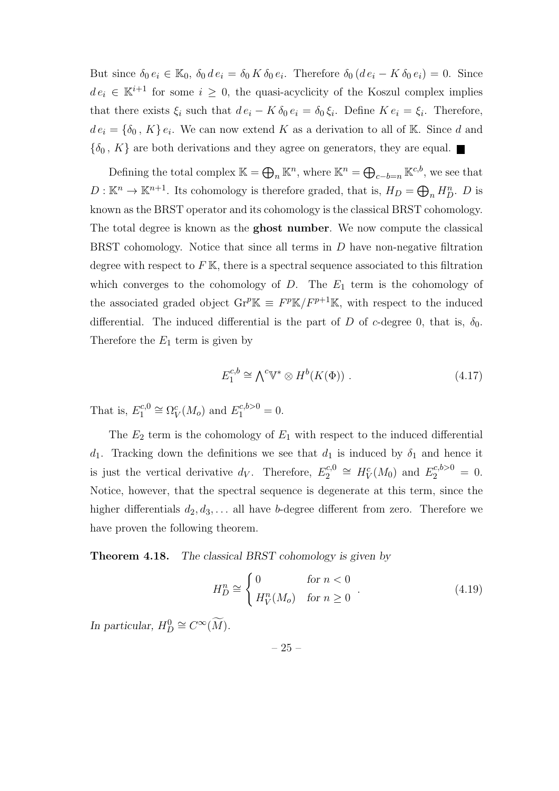But since  $\delta_0 e_i \in \mathbb{K}_0$ ,  $\delta_0 d e_i = \delta_0 K \delta_0 e_i$ . Therefore  $\delta_0 (de_i - K \delta_0 e_i) = 0$ . Since  $de_i \in \mathbb{K}^{i+1}$  for some  $i \geq 0$ , the quasi-acyclicity of the Koszul complex implies that there exists  $\xi_i$  such that  $de_i - K \delta_0 e_i = \delta_0 \xi_i$ . Define  $K e_i = \xi_i$ . Therefore,  $de_i = \{\delta_0, K\} e_i$ . We can now extend K as a derivation to all of K. Since d and  $\{\delta_0, K\}$  are both derivations and they agree on generators, they are equal.

Defining the total complex  $\mathbb{K} = \bigoplus_n \mathbb{K}^n$ , where  $\mathbb{K}^n = \bigoplus_{c-b=n} \mathbb{K}^{c,b}$ , we see that  $D: \mathbb{K}^n \to \mathbb{K}^{n+1}$ . Its cohomology is therefore graded, that is,  $H_D = \bigoplus_n H_D^n$ . D is known as the BRST operator and its cohomology is the classical BRST cohomology. The total degree is known as the ghost number. We now compute the classical BRST cohomology. Notice that since all terms in D have non-negative filtration degree with respect to  $F \mathbb{K}$ , there is a spectral sequence associated to this filtration which converges to the cohomology of  $D$ . The  $E_1$  term is the cohomology of the associated graded object  $\mathrm{Gr}^p\mathbb{K} \equiv F^p\mathbb{K}/F^{p+1}\mathbb{K}$ , with respect to the induced differential. The induced differential is the part of D of c-degree 0, that is,  $\delta_0$ . Therefore the  $E_1$  term is given by

$$
E_1^{c,b} \cong \bigwedge^c \mathbb{V}^* \otimes H^b(K(\Phi)) \ . \tag{4.17}
$$

That is,  $E_1^{c,0}$  $\Omega_1^{c,0} \cong \Omega_V^c$  $_V^c(M_o)$  and  $E_1^{c,b>0} = 0$ .

The  $E_2$  term is the cohomology of  $E_1$  with respect to the induced differential d<sub>1</sub>. Tracking down the definitions we see that  $d_1$  is induced by  $\delta_1$  and hence it is just the vertical derivative  $d_V$ . Therefore,  $E_2^{c,0}$  $E_2^{c,0} \cong H^c_V(M_0)$  and  $E_2^{c,b>0} = 0$ . Notice, however, that the spectral sequence is degenerate at this term, since the higher differentials  $d_2, d_3, \ldots$  all have b-degree different from zero. Therefore we have proven the following theorem.

Theorem 4.18. The classical BRST cohomology is given by

$$
H_D^n \cong \begin{cases} 0 & \text{for } n < 0 \\ H_V^n(M_o) & \text{for } n \ge 0 \end{cases} . \tag{4.19}
$$

In particular,  $H_D^0 \cong C^\infty(\widetilde{M}).$ 

– 25 –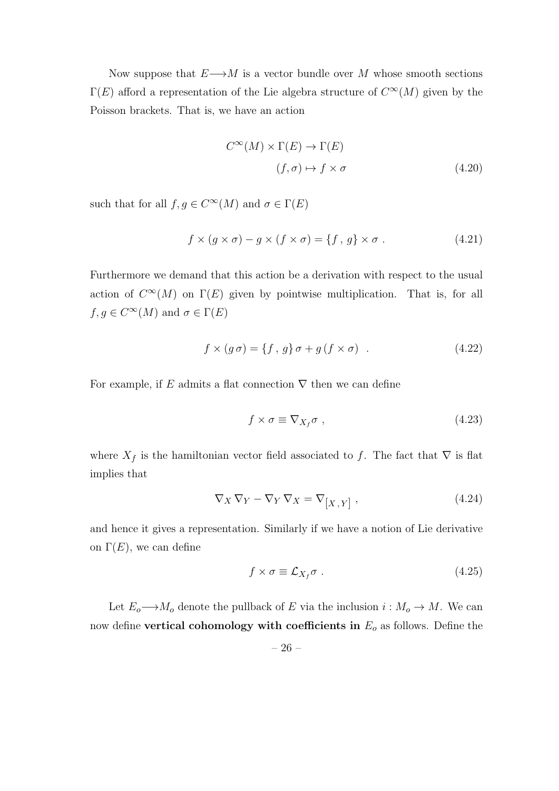Now suppose that  $E \longrightarrow M$  is a vector bundle over M whose smooth sections  $\Gamma(E)$  afford a representation of the Lie algebra structure of  $C^{\infty}(M)$  given by the Poisson brackets. That is, we have an action

$$
C^{\infty}(M) \times \Gamma(E) \to \Gamma(E)
$$
  
( $f, \sigma$ )  $\mapsto f \times \sigma$  (4.20)

such that for all  $f, g \in C^{\infty}(M)$  and  $\sigma \in \Gamma(E)$ 

$$
f \times (g \times \sigma) - g \times (f \times \sigma) = \{f, g\} \times \sigma.
$$
 (4.21)

Furthermore we demand that this action be a derivation with respect to the usual action of  $C^{\infty}(M)$  on  $\Gamma(E)$  given by pointwise multiplication. That is, for all  $f, g \in C^{\infty}(M)$  and  $\sigma \in \Gamma(E)$ 

$$
f \times (g \sigma) = \{f, g\} \sigma + g (f \times \sigma) \quad . \tag{4.22}
$$

For example, if E admits a flat connection  $\nabla$  then we can define

$$
f \times \sigma \equiv \nabla_{X_f} \sigma , \qquad (4.23)
$$

where  $X_f$  is the hamiltonian vector field associated to f. The fact that  $\nabla$  is flat implies that

$$
\nabla_X \nabla_Y - \nabla_Y \nabla_X = \nabla_{[X,Y]}, \qquad (4.24)
$$

and hence it gives a representation. Similarly if we have a notion of Lie derivative on  $\Gamma(E)$ , we can define

$$
f \times \sigma \equiv \mathcal{L}_{X_f} \sigma \tag{4.25}
$$

Let  $E_o \longrightarrow M_o$  denote the pullback of E via the inclusion  $i : M_o \to M$ . We can now define vertical cohomology with coefficients in  $E<sub>o</sub>$  as follows. Define the

$$
-26-
$$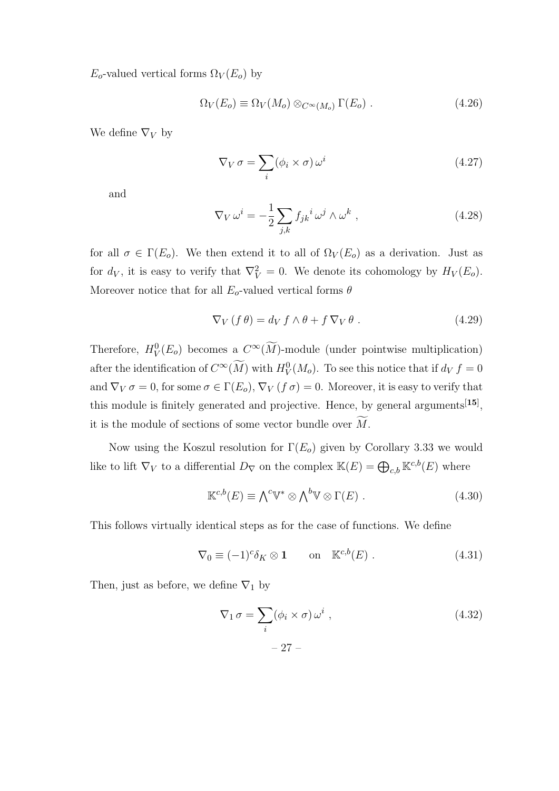$E_o$ -valued vertical forms  $\Omega_V(E_o)$  by

$$
\Omega_V(E_o) \equiv \Omega_V(M_o) \otimes_{C^\infty(M_o)} \Gamma(E_o) \ . \tag{4.26}
$$

We define  $\nabla_V$  by

$$
\nabla_V \sigma = \sum_i (\phi_i \times \sigma) \,\omega^i \tag{4.27}
$$

and

$$
\nabla_V \,\omega^i = -\frac{1}{2} \sum_{j,k} f_{jk}{}^i \,\omega^j \wedge \omega^k \;, \tag{4.28}
$$

for all  $\sigma \in \Gamma(E_o)$ . We then extend it to all of  $\Omega_V(E_o)$  as a derivation. Just as for  $d_V$ , it is easy to verify that  $\nabla_V^2 = 0$ . We denote its cohomology by  $H_V(E_o)$ . Moreover notice that for all  $E_o$ -valued vertical forms  $\theta$ 

$$
\nabla_V (f \theta) = d_V f \wedge \theta + f \nabla_V \theta . \qquad (4.29)
$$

Therefore,  $H_V^0(E_o)$  becomes a  $C^{\infty}(\widetilde{M})$ -module (under pointwise multiplication) after the identification of  $C^{\infty}(\widetilde{M})$  with  $H_V^0(M_o)$ . To see this notice that if  $d_V f = 0$ and  $\nabla_V \sigma = 0$ , for some  $\sigma \in \Gamma(E_o)$ ,  $\nabla_V (f \sigma) = 0$ . Moreover, it is easy to verify that this module is finitely generated and projective. Hence, by general arguments<sup>[15]</sup>, it is the module of sections of some vector bundle over  $\widetilde{M}$ .

Now using the Koszul resolution for  $\Gamma(E_o)$  given by Corollary 3.33 we would like to lift  $\nabla_V$  to a differential  $D_\nabla$  on the complex  $\mathbb{K}(E) = \bigoplus_{c,b} \mathbb{K}^{c,b}(E)$  where

$$
\mathbb{K}^{c,b}(E) \equiv \bigwedge^c \mathbb{V}^* \otimes \bigwedge^b \mathbb{V} \otimes \Gamma(E) \ . \tag{4.30}
$$

This follows virtually identical steps as for the case of functions. We define

$$
\nabla_0 \equiv (-1)^c \delta_K \otimes \mathbf{1} \qquad \text{on} \quad \mathbb{K}^{c,b}(E) \ . \tag{4.31}
$$

Then, just as before, we define  $\nabla_1$  by

$$
\nabla_1 \sigma = \sum_i (\phi_i \times \sigma) \,\omega^i \,,
$$
\n
$$
-27 - \tag{4.32}
$$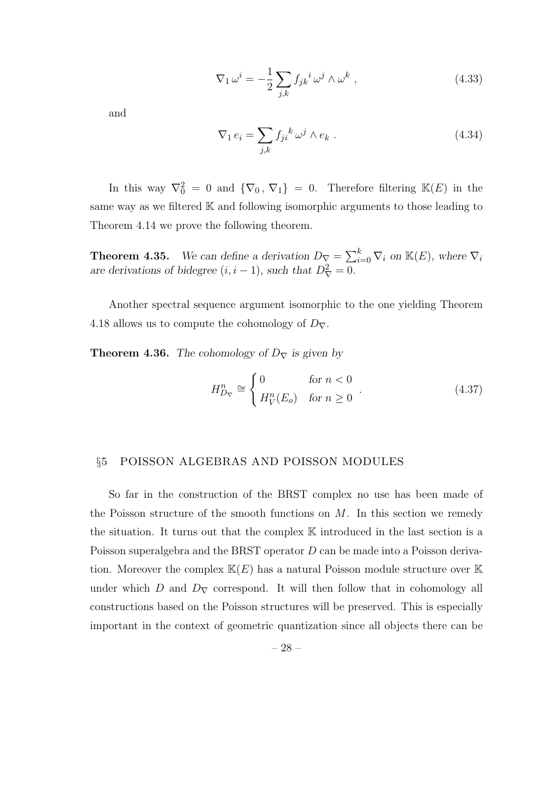$$
\nabla_1 \,\omega^i = -\frac{1}{2} \sum_{j,k} f_{jk}^i \,\omega^j \wedge \omega^k \,, \tag{4.33}
$$

and

$$
\nabla_1 e_i = \sum_{j,k} f_{ji}^k \omega^j \wedge e_k . \qquad (4.34)
$$

In this way  $\nabla_0^2 = 0$  and  $\{\nabla_0, \nabla_1\} = 0$ . Therefore filtering  $\mathbb{K}(E)$  in the same way as we filtered  $\mathbb K$  and following isomorphic arguments to those leading to Theorem 4.14 we prove the following theorem.

**Theorem 4.35.** We can define a derivation  $D_{\nabla} = \sum_{i=0}^{k} \nabla_i$  on  $\mathbb{K}(E)$ , where  $\nabla_i$ are derivations of bidegree  $(i, i - 1)$ , such that  $D_{\nabla}^2 = 0$ .

Another spectral sequence argument isomorphic to the one yielding Theorem 4.18 allows us to compute the cohomology of  $D_{\nabla}$ .

**Theorem 4.36.** The cohomology of  $D_{\nabla}$  is given by

$$
H_{D_{\nabla}}^{n} \cong \begin{cases} 0 & \text{for } n < 0 \\ H_{V}^{n}(E_{o}) & \text{for } n \ge 0 \end{cases} . \tag{4.37}
$$

#### §5 POISSON ALGEBRAS AND POISSON MODULES

So far in the construction of the BRST complex no use has been made of the Poisson structure of the smooth functions on  $M$ . In this section we remedy the situation. It turns out that the complex K introduced in the last section is a Poisson superalgebra and the BRST operator D can be made into a Poisson derivation. Moreover the complex  $K(E)$  has a natural Poisson module structure over K under which D and  $D_{\nabla}$  correspond. It will then follow that in cohomology all constructions based on the Poisson structures will be preserved. This is especially important in the context of geometric quantization since all objects there can be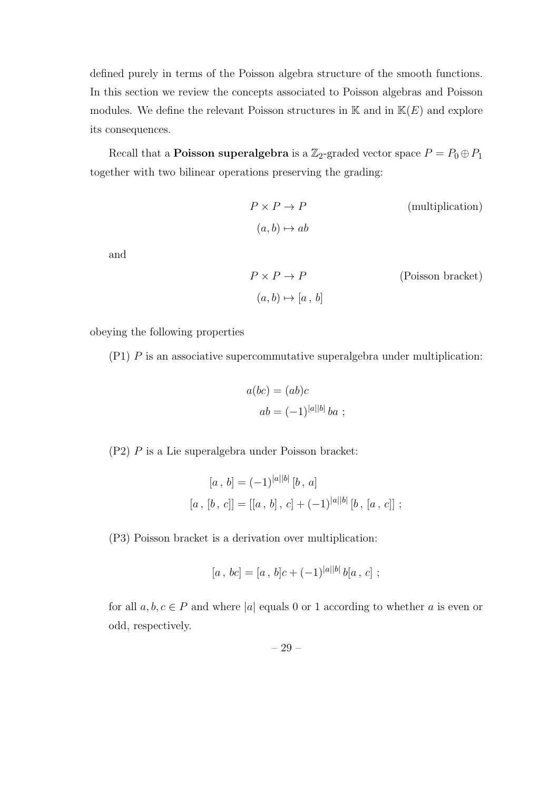defined purely in terms of the Poisson algebra structure of the smooth functions. In this section we review the concepts associated to Poisson algebras and Poisson modules. We define the relevant Poisson structures in  $K$  and in  $K(E)$  and explore its consequences.

Recall that a **Poisson superalgebra** is a  $\mathbb{Z}_2$ -graded vector space  $P = P_0 \oplus P_1$ together with two bilinear operations preserving the grading:

$$
P \times P \to P
$$
 (multiplication)  
 $(a, b) \mapsto ab$ 

and

$$
P \times P \to P
$$
 (Poisson bracket)  
(a, b)  $\mapsto [a, b]$ 

obeying the following properties

(P1)  $P$  is an associative supercommutative superalgebra under multiplication:

$$
a(bc) = (ab)c
$$

$$
ab = (-1)^{|a||b|} ba ;
$$

(P2) P is a Lie superalgebra under Poisson bracket:

$$
[a, b] = (-1)^{|a||b|} [b, a]
$$
  

$$
[a, [b, c]] = [[a, b], c] + (-1)^{|a||b|} [b, [a, c]]
$$
;

(P3) Poisson bracket is a derivation over multiplication:

$$
[a, bc] = [a, b]c + (-1)^{|a||b|}b[a, c];
$$

for all  $a, b, c \in P$  and where |a| equals 0 or 1 according to whether a is even or odd, respectively.

– 29 –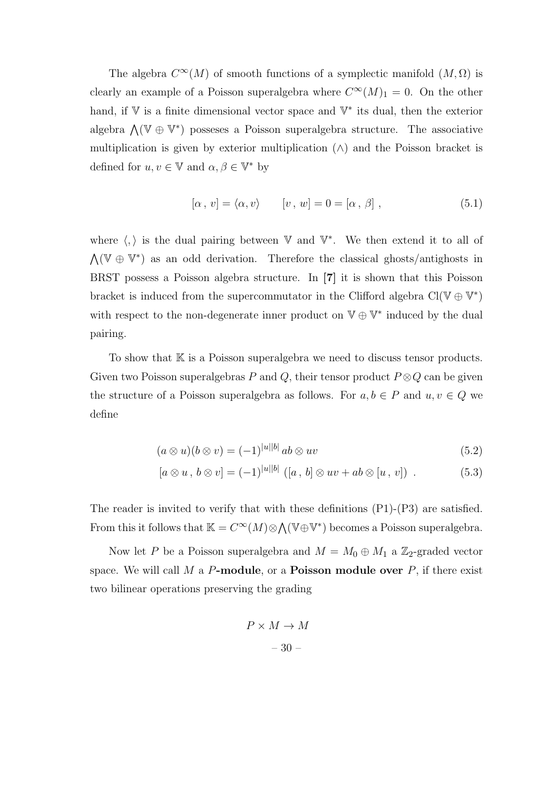The algebra  $C^{\infty}(M)$  of smooth functions of a symplectic manifold  $(M, \Omega)$  is clearly an example of a Poisson superalgebra where  $C^{\infty}(M)_1 = 0$ . On the other hand, if  $V$  is a finite dimensional vector space and  $V^*$  its dual, then the exterior algebra  $\bigwedge(\mathbb{V} \oplus \mathbb{V}^*)$  posseses a Poisson superalgebra structure. The associative multiplication is given by exterior multiplication  $(\wedge)$  and the Poisson bracket is defined for  $u, v \in \mathbb{V}$  and  $\alpha, \beta \in \mathbb{V}^*$  by

$$
[\alpha, v] = \langle \alpha, v \rangle \qquad [v, w] = 0 = [\alpha, \beta], \qquad (5.1)
$$

where  $\langle , \rangle$  is the dual pairing between V and V<sup>\*</sup>. We then extend it to all of  $\bigwedge(\mathbb{V} \oplus \mathbb{V}^*)$  as an odd derivation. Therefore the classical ghosts/antighosts in BRST possess a Poisson algebra structure. In [7] it is shown that this Poisson bracket is induced from the supercommutator in the Clifford algebra  $Cl(\mathbb{V} \oplus \mathbb{V}^*)$ with respect to the non-degenerate inner product on  $\mathbb{V} \oplus \mathbb{V}^*$  induced by the dual pairing.

To show that K is a Poisson superalgebra we need to discuss tensor products. Given two Poisson superalgebras P and Q, their tensor product  $P \otimes Q$  can be given the structure of a Poisson superalgebra as follows. For  $a, b \in P$  and  $u, v \in Q$  we define

$$
(a \otimes u)(b \otimes v) = (-1)^{|u||b|} ab \otimes uv \tag{5.2}
$$

$$
[a \otimes u, b \otimes v] = (-1)^{|u||b|} ([a, b] \otimes uv + ab \otimes [u, v]) . \tag{5.3}
$$

The reader is invited to verify that with these definitions (P1)-(P3) are satisfied. From this it follows that  $\mathbb{K} = C^{\infty}(M) \otimes \bigwedge (\mathbb{V} \oplus \mathbb{V}^*)$  becomes a Poisson superalgebra.

Now let P be a Poisson superalgebra and  $M = M_0 \oplus M_1$  a  $\mathbb{Z}_2$ -graded vector space. We will call  $M$  a  $P$ -module, or a **Poisson module over**  $P$ , if there exist two bilinear operations preserving the grading

$$
P \times M \to M
$$
  

$$
-30 -
$$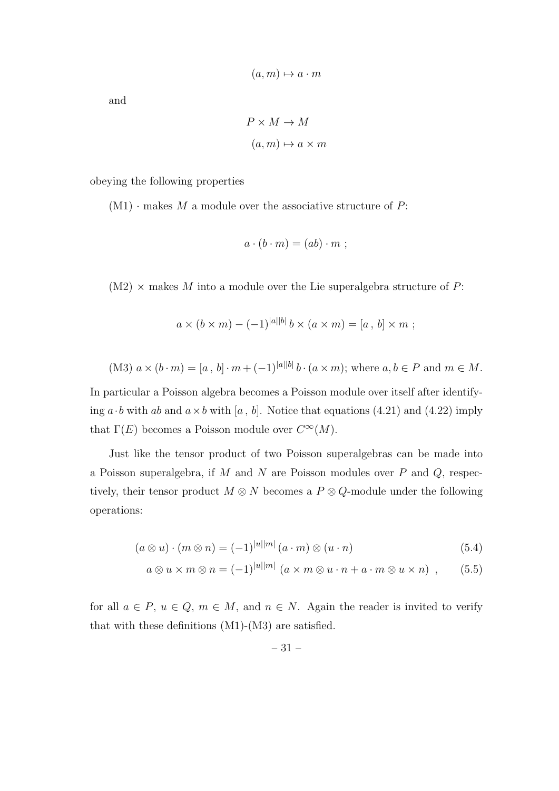$$
(a, m) \mapsto a \cdot m
$$

and

$$
P \times M \to M
$$

$$
(a, m) \mapsto a \times m
$$

obeying the following properties

 $(M1)$  · makes M a module over the associative structure of P:

$$
a \cdot (b \cdot m) = (ab) \cdot m ;
$$

 $(M2)$  × makes M into a module over the Lie superalgebra structure of P:

$$
a \times (b \times m) - (-1)^{|a||b|} b \times (a \times m) = [a, b] \times m ;
$$

(M3) 
$$
a \times (b \cdot m) = [a, b] \cdot m + (-1)^{|a||b|} b \cdot (a \times m)
$$
; where  $a, b \in P$  and  $m \in M$ .

In particular a Poisson algebra becomes a Poisson module over itself after identifying  $a \cdot b$  with ab and  $a \times b$  with [a, b]. Notice that equations (4.21) and (4.22) imply that  $\Gamma(E)$  becomes a Poisson module over  $C^{\infty}(M)$ .

Just like the tensor product of two Poisson superalgebras can be made into a Poisson superalgebra, if  $M$  and  $N$  are Poisson modules over  $P$  and  $Q$ , respectively, their tensor product  $M \otimes N$  becomes a  $P \otimes Q$ -module under the following operations:

$$
(a \otimes u) \cdot (m \otimes n) = (-1)^{|u||m|} (a \cdot m) \otimes (u \cdot n)
$$
\n
$$
(5.4)
$$

$$
a \otimes u \times m \otimes n = (-1)^{|u||m|} (a \times m \otimes u \cdot n + a \cdot m \otimes u \times n) , \qquad (5.5)
$$

for all  $a \in P$ ,  $u \in Q$ ,  $m \in M$ , and  $n \in N$ . Again the reader is invited to verify that with these definitions (M1)-(M3) are satisfied.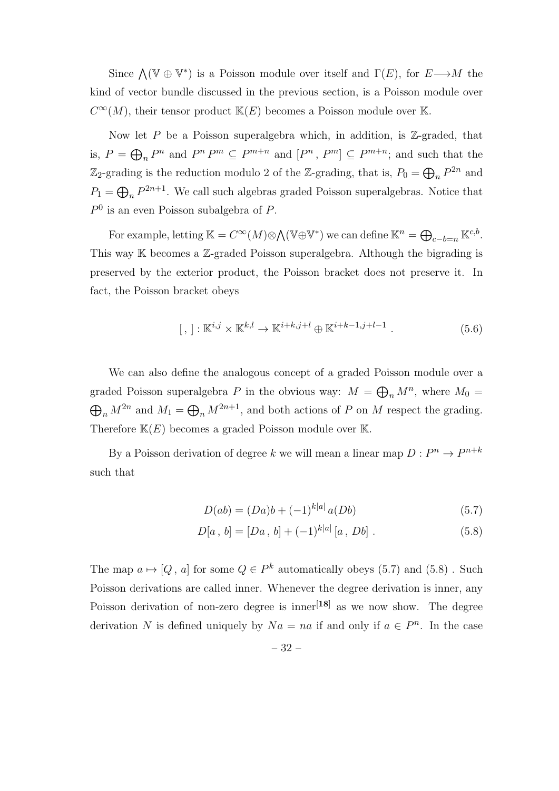Since  $\bigwedge(\mathbb{V} \oplus \mathbb{V}^*)$  is a Poisson module over itself and  $\Gamma(E)$ , for  $E \longrightarrow M$  the kind of vector bundle discussed in the previous section, is a Poisson module over  $C^{\infty}(M)$ , their tensor product  $\mathbb{K}(E)$  becomes a Poisson module over K.

Now let P be a Poisson superalgebra which, in addition, is  $\mathbb{Z}$ -graded, that is,  $P = \bigoplus_n P^n$  and  $P^n P^m \subseteq P^{m+n}$  and  $[P^n, P^m] \subseteq P^{m+n}$ ; and such that the  $\mathbb{Z}_2$ -grading is the reduction modulo 2 of the  $\mathbb{Z}$ -grading, that is,  $P_0 = \bigoplus_n P^{2n}$  and  $P_1 = \bigoplus_n P^{2n+1}$ . We call such algebras graded Poisson superalgebras. Notice that  $P^0$  is an even Poisson subalgebra of P.

For example, letting  $\mathbb{K} = C^{\infty}(M) \otimes \bigwedge (\mathbb{V} \oplus \mathbb{V}^*)$  we can define  $\mathbb{K}^n = \bigoplus_{c-b=n} \mathbb{K}^{c,b}$ . This way K becomes a Z-graded Poisson superalgebra. Although the bigrading is preserved by the exterior product, the Poisson bracket does not preserve it. In fact, the Poisson bracket obeys

$$
[,]:\mathbb{K}^{i,j}\times\mathbb{K}^{k,l}\to\mathbb{K}^{i+k,j+l}\oplus\mathbb{K}^{i+k-1,j+l-1}.
$$
\n
$$
(5.6)
$$

We can also define the analogous concept of a graded Poisson module over a graded Poisson superalgebra P in the obvious way:  $M = \bigoplus_n M^n$ , where  $M_0 =$  $\bigoplus_n M^{2n}$  and  $M_1 = \bigoplus_n M^{2n+1}$ , and both actions of P on M respect the grading. Therefore  $K(E)$  becomes a graded Poisson module over K.

By a Poisson derivation of degree k we will mean a linear map  $D: P^n \to P^{n+k}$ such that

$$
D(ab) = (Da)b + (-1)^{k|a|} a(Db)
$$
\n(5.7)

$$
D[a, b] = [Da, b] + (-1)^{k|a|} [a, Db] . \qquad (5.8)
$$

The map  $a \mapsto [Q, a]$  for some  $Q \in P^k$  automatically obeys (5.7) and (5.8). Such Poisson derivations are called inner. Whenever the degree derivation is inner, any Poisson derivation of non-zero degree is inner<sup>[18]</sup> as we now show. The degree derivation N is defined uniquely by  $Na = na$  if and only if  $a \in P<sup>n</sup>$ . In the case

$$
-32-
$$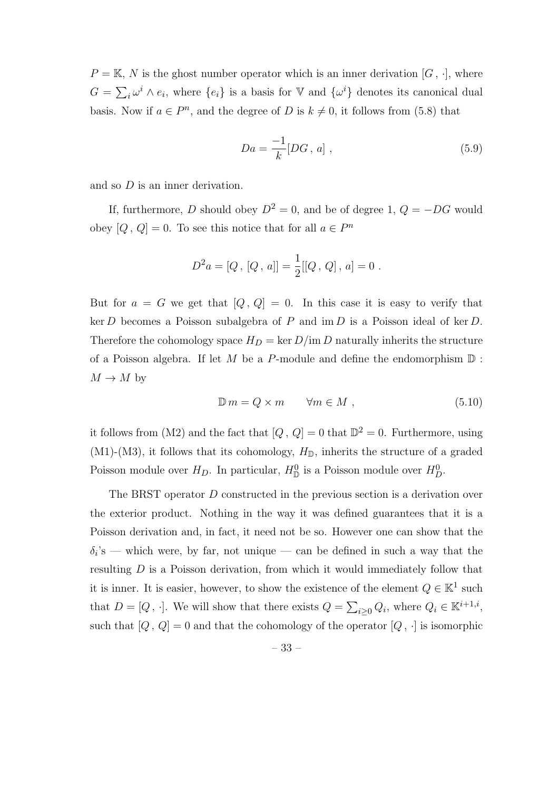$P = \mathbb{K}, N$  is the ghost number operator which is an inner derivation  $[G, \cdot]$ , where  $G = \sum_i \omega^i \wedge e_i$ , where  $\{e_i\}$  is a basis for V and  $\{\omega^i\}$  denotes its canonical dual basis. Now if  $a \in P^n$ , and the degree of D is  $k \neq 0$ , it follows from (5.8) that

$$
Da = \frac{-1}{k} [DG, a] \; , \tag{5.9}
$$

and so D is an inner derivation.

If, furthermore, D should obey  $D^2 = 0$ , and be of degree 1,  $Q = -DG$  would obey  $[Q, Q] = 0$ . To see this notice that for all  $a \in P^n$ 

$$
D^2a = [Q, [Q, a]] = \frac{1}{2}[[Q, Q], a] = 0.
$$

But for  $a = G$  we get that  $[Q, Q] = 0$ . In this case it is easy to verify that  $\ker D$  becomes a Poisson subalgebra of P and  $\operatorname{im} D$  is a Poisson ideal of  $\ker D$ . Therefore the cohomology space  $H_D = \ker D/\mathrm{im} D$  naturally inherits the structure of a Poisson algebra. If let M be a P-module and define the endomorphism  $\mathbb D$ :  $M \to M$  by

$$
\mathbb{D} m = Q \times m \qquad \forall m \in M , \qquad (5.10)
$$

it follows from (M2) and the fact that  $[Q, Q] = 0$  that  $\mathbb{D}^2 = 0$ . Furthermore, using (M1)-(M3), it follows that its cohomology,  $H_{\mathbb{D}}$ , inherits the structure of a graded Poisson module over  $H_D$ . In particular,  $H_{\mathbb{D}}^0$  is a Poisson module over  $H_D^0$ .

The BRST operator D constructed in the previous section is a derivation over the exterior product. Nothing in the way it was defined guarantees that it is a Poisson derivation and, in fact, it need not be so. However one can show that the  $\delta_i$ 's — which were, by far, not unique — can be defined in such a way that the resulting D is a Poisson derivation, from which it would immediately follow that it is inner. It is easier, however, to show the existence of the element  $Q \in \mathbb{K}^1$  such that  $D = [Q, \cdot]$ . We will show that there exists  $Q = \sum_{i \geq 0} Q_i$ , where  $Q_i \in \mathbb{K}^{i+1,i}$ , such that  $[Q, Q] = 0$  and that the cohomology of the operator  $[Q, \cdot]$  is isomorphic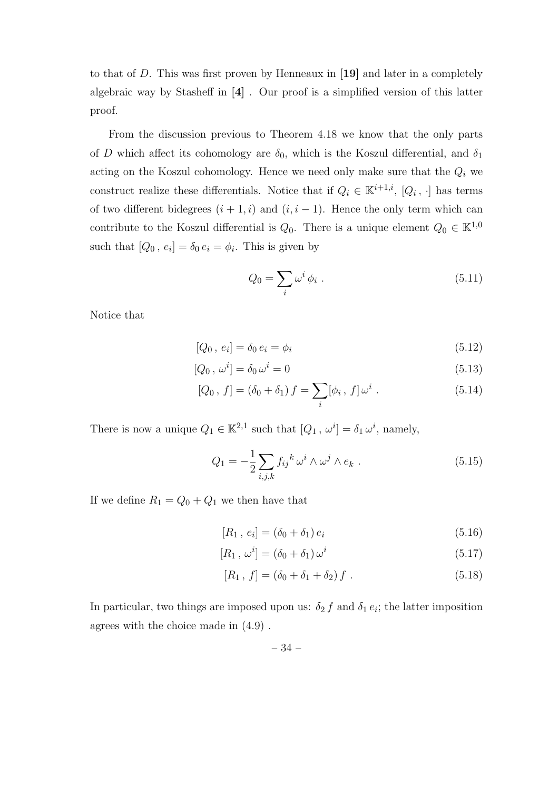to that of D. This was first proven by Henneaux in [19] and later in a completely algebraic way by Stasheff in [4] . Our proof is a simplified version of this latter proof.

From the discussion previous to Theorem 4.18 we know that the only parts of D which affect its cohomology are  $\delta_0$ , which is the Koszul differential, and  $\delta_1$ acting on the Koszul cohomology. Hence we need only make sure that the  $Q_i$  we construct realize these differentials. Notice that if  $Q_i \in \mathbb{K}^{i+1,i}$ ,  $[Q_i, \cdot]$  has terms of two different bidegrees  $(i + 1, i)$  and  $(i, i - 1)$ . Hence the only term which can contribute to the Koszul differential is  $Q_0$ . There is a unique element  $Q_0 \in \mathbb{K}^{1,0}$ such that  $[Q_0, e_i] = \delta_0 e_i = \phi_i$ . This is given by

$$
Q_0 = \sum_i \omega^i \phi_i \tag{5.11}
$$

Notice that

$$
[Q_0, e_i] = \delta_0 e_i = \phi_i \tag{5.12}
$$

$$
[Q_0, \omega^i] = \delta_0 \omega^i = 0 \tag{5.13}
$$

$$
[Q_0, f] = (\delta_0 + \delta_1) f = \sum_i [\phi_i, f] \,\omega^i \,. \tag{5.14}
$$

There is now a unique  $Q_1 \in \mathbb{K}^{2,1}$  such that  $[Q_1, \omega^i] = \delta_1 \omega^i$ , namely,

$$
Q_1 = -\frac{1}{2} \sum_{i,j,k} f_{ij}{}^k \omega^i \wedge \omega^j \wedge e_k . \qquad (5.15)
$$

If we define  $R_1 = Q_0 + Q_1$  we then have that

$$
[R_1, e_i] = (\delta_0 + \delta_1) e_i \tag{5.16}
$$

$$
[R_1, \omega^i] = (\delta_0 + \delta_1) \,\omega^i \tag{5.17}
$$

$$
[R_1, f] = (\delta_0 + \delta_1 + \delta_2) f . \tag{5.18}
$$

In particular, two things are imposed upon us:  $\delta_2 f$  and  $\delta_1 e_i$ ; the latter imposition agrees with the choice made in (4.9) .

$$
-\;34\;-\;
$$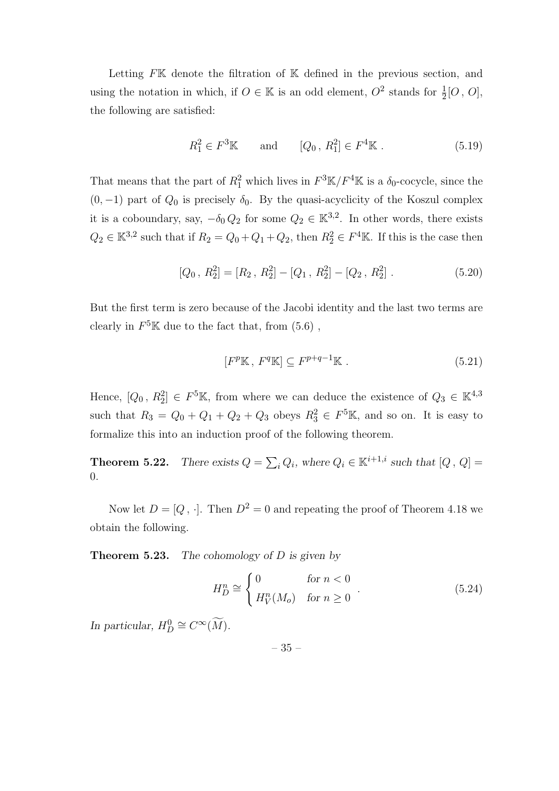Letting  $F\mathbb{K}$  denote the filtration of  $\mathbb{K}$  defined in the previous section, and using the notation in which, if  $O \in \mathbb{K}$  is an odd element,  $O^2$  stands for  $\frac{1}{2}[O, O],$ the following are satisfied:

$$
R_1^2 \in F^3 \mathbb{K}
$$
 and  $[Q_0, R_1^2] \in F^4 \mathbb{K}$ . (5.19)

That means that the part of  $R_1^2$  which lives in  $F^3\mathbb{K}/F^4\mathbb{K}$  is a  $\delta_0$ -cocycle, since the  $(0, -1)$  part of  $Q_0$  is precisely  $\delta_0$ . By the quasi-acyclicity of the Koszul complex it is a coboundary, say,  $-\delta_0 Q_2$  for some  $Q_2 \in \mathbb{K}^{3,2}$ . In other words, there exists  $Q_2 \in \mathbb{K}^{3,2}$  such that if  $R_2 = Q_0 + Q_1 + Q_2$ , then  $R_2^2 \in F^4\mathbb{K}$ . If this is the case then

$$
[Q_0, R_2^2] = [R_2, R_2^2] - [Q_1, R_2^2] - [Q_2, R_2^2]. \tag{5.20}
$$

But the first term is zero because of the Jacobi identity and the last two terms are clearly in  $F^5$ <sup>K</sup> due to the fact that, from  $(5.6)$ ,

$$
[F^p\mathbb{K}, F^q\mathbb{K}] \subseteq F^{p+q-1}\mathbb{K} \ . \tag{5.21}
$$

Hence,  $[Q_0, R_2^2] \in F^5\mathbb{K}$ , from where we can deduce the existence of  $Q_3 \in \mathbb{K}^{4,3}$ such that  $R_3 = Q_0 + Q_1 + Q_2 + Q_3$  obeys  $R_3^2 \in F^5$ K, and so on. It is easy to formalize this into an induction proof of the following theorem.

**Theorem 5.22.** There exists  $Q = \sum_i Q_i$ , where  $Q_i \in \mathbb{K}^{i+1,i}$  such that  $[Q, Q] =$ 0.

Now let  $D = [Q, \cdot]$ . Then  $D^2 = 0$  and repeating the proof of Theorem 4.18 we obtain the following.

**Theorem 5.23.** The cohomology of  $D$  is given by

$$
H_D^n \cong \begin{cases} 0 & \text{for } n < 0\\ H_V^n(M_o) & \text{for } n \ge 0 \end{cases} . \tag{5.24}
$$

In particular,  $H_D^0 \cong C^\infty(\widetilde{M}).$ 

– 35 –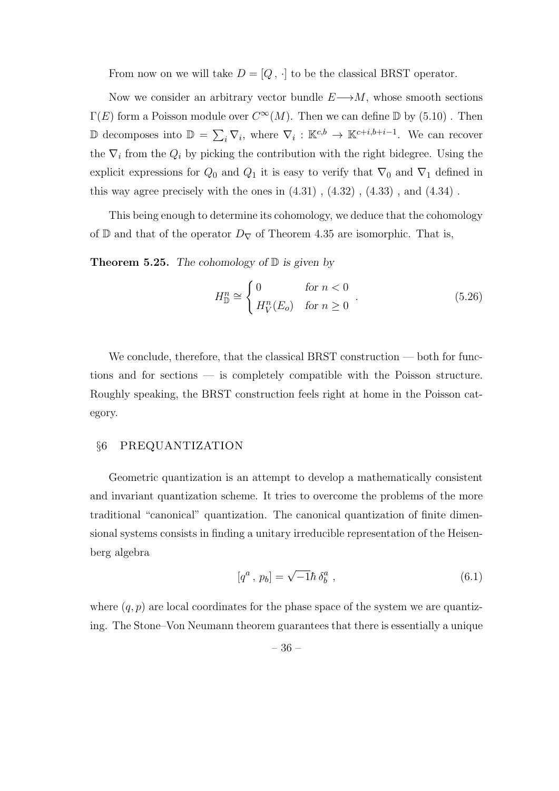From now on we will take  $D = [Q, \cdot]$  to be the classical BRST operator.

Now we consider an arbitrary vector bundle  $E \longrightarrow M$ , whose smooth sections  $\Gamma(E)$  form a Poisson module over  $C^{\infty}(M)$ . Then we can define D by (5.10). Then D decomposes into D =  $\sum_i \nabla_i$ , where  $\nabla_i$  : K<sup>c,b</sup> → K<sup>c+*i*,b+*i*-1</sup>. We can recover the  $\nabla_i$  from the  $Q_i$  by picking the contribution with the right bidegree. Using the explicit expressions for  $Q_0$  and  $Q_1$  it is easy to verify that  $\nabla_0$  and  $\nabla_1$  defined in this way agree precisely with the ones in  $(4.31)$ ,  $(4.32)$ ,  $(4.33)$ , and  $(4.34)$ .

This being enough to determine its cohomology, we deduce that the cohomology of D and that of the operator  $D_{\nabla}$  of Theorem 4.35 are isomorphic. That is,

**Theorem 5.25.** The cohomology of  $\mathbb{D}$  is given by

$$
H_{\mathbb{D}}^{n} \cong \begin{cases} 0 & \text{for } n < 0 \\ H_{V}^{n}(E_{o}) & \text{for } n \ge 0 \end{cases} . \tag{5.26}
$$

We conclude, therefore, that the classical BRST construction — both for functions and for sections — is completely compatible with the Poisson structure. Roughly speaking, the BRST construction feels right at home in the Poisson category.

#### §6 PREQUANTIZATION

Geometric quantization is an attempt to develop a mathematically consistent and invariant quantization scheme. It tries to overcome the problems of the more traditional "canonical" quantization. The canonical quantization of finite dimensional systems consists in finding a unitary irreducible representation of the Heisenberg algebra

$$
[q^a, p_b] = \sqrt{-1}\hbar \,\delta_b^a \,, \tag{6.1}
$$

where  $(q, p)$  are local coordinates for the phase space of the system we are quantizing. The Stone–Von Neumann theorem guarantees that there is essentially a unique

– 36 –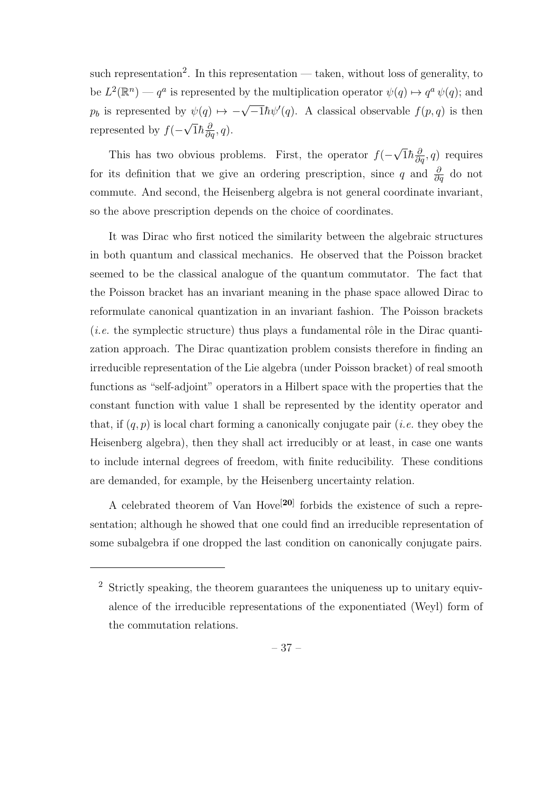such representation<sup>2</sup>. In this representation — taken, without loss of generality, to be  $L^2(\mathbb{R}^n)$  –  $q^a$  is represented by the multiplication operator  $\psi(q) \mapsto q^a \psi(q)$ ; and p<sub>b</sub> is represented by  $\psi(q) \mapsto -\sqrt{-1}\hbar \psi'(q)$ . A classical observable  $f(p,q)$  is then represented by  $f(-\sqrt{1}\hbar\frac{\partial}{\partial q}, q)$ . √

This has two obvious problems. First, the operator  $f(-)$ √  $\overline{1}\hbar\frac{\partial}{\partial q},q)$  requires for its definition that we give an ordering prescription, since q and  $\frac{\partial}{\partial q}$  do not commute. And second, the Heisenberg algebra is not general coordinate invariant, so the above prescription depends on the choice of coordinates.

It was Dirac who first noticed the similarity between the algebraic structures in both quantum and classical mechanics. He observed that the Poisson bracket seemed to be the classical analogue of the quantum commutator. The fact that the Poisson bracket has an invariant meaning in the phase space allowed Dirac to reformulate canonical quantization in an invariant fashion. The Poisson brackets  $(i.e.$  the symplectic structure) thus plays a fundamental rôle in the Dirac quantization approach. The Dirac quantization problem consists therefore in finding an irreducible representation of the Lie algebra (under Poisson bracket) of real smooth functions as "self-adjoint" operators in a Hilbert space with the properties that the constant function with value 1 shall be represented by the identity operator and that, if  $(q, p)$  is local chart forming a canonically conjugate pair *(i.e.* they obey the Heisenberg algebra), then they shall act irreducibly or at least, in case one wants to include internal degrees of freedom, with finite reducibility. These conditions are demanded, for example, by the Heisenberg uncertainty relation.

A celebrated theorem of Van Hove<sup>[20]</sup> forbids the existence of such a representation; although he showed that one could find an irreducible representation of some subalgebra if one dropped the last condition on canonically conjugate pairs.

<sup>&</sup>lt;sup>2</sup> Strictly speaking, the theorem guarantees the uniqueness up to unitary equivalence of the irreducible representations of the exponentiated (Weyl) form of the commutation relations.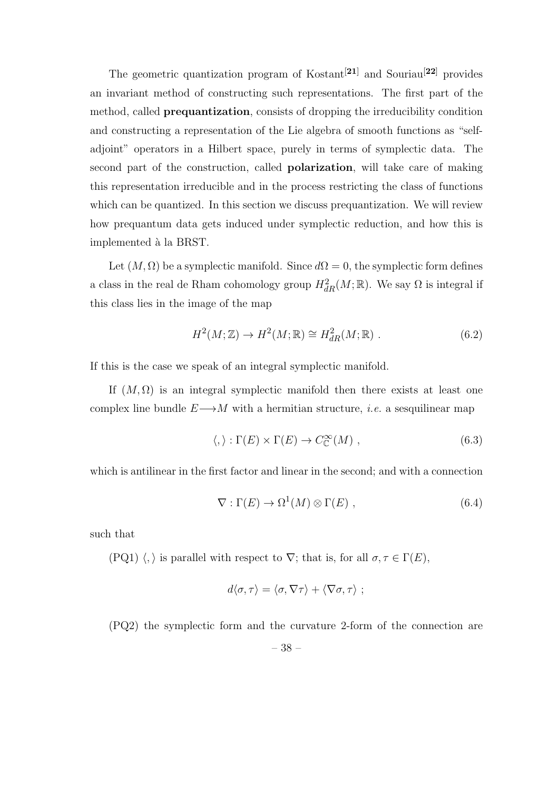The geometric quantization program of Kostant<sup>[21]</sup> and Souriau<sup>[22]</sup> provides an invariant method of constructing such representations. The first part of the method, called prequantization, consists of dropping the irreducibility condition and constructing a representation of the Lie algebra of smooth functions as "selfadjoint" operators in a Hilbert space, purely in terms of symplectic data. The second part of the construction, called polarization, will take care of making this representation irreducible and in the process restricting the class of functions which can be quantized. In this section we discuss prequantization. We will review how prequantum data gets induced under symplectic reduction, and how this is implemented à la BRST.

Let  $(M, \Omega)$  be a symplectic manifold. Since  $d\Omega = 0$ , the symplectic form defines a class in the real de Rham cohomology group  $H_{dR}^2(M;\mathbb{R})$ . We say  $\Omega$  is integral if this class lies in the image of the map

$$
H^2(M; \mathbb{Z}) \to H^2(M; \mathbb{R}) \cong H^2_{dR}(M; \mathbb{R}) . \tag{6.2}
$$

If this is the case we speak of an integral symplectic manifold.

If  $(M, \Omega)$  is an integral symplectic manifold then there exists at least one complex line bundle  $E \longrightarrow M$  with a hermitian structure, *i.e.* a sesquilinear map

$$
\langle,\rangle:\Gamma(E)\times\Gamma(E)\to C_{\mathbb{C}}^{\infty}(M)\;,
$$
\n(6.3)

which is antilinear in the first factor and linear in the second; and with a connection

$$
\nabla : \Gamma(E) \to \Omega^1(M) \otimes \Gamma(E) , \qquad (6.4)
$$

such that

(PQ1)  $\langle, \rangle$  is parallel with respect to  $\nabla$ ; that is, for all  $\sigma, \tau \in \Gamma(E)$ ,

$$
d\langle \sigma, \tau \rangle = \langle \sigma, \nabla \tau \rangle + \langle \nabla \sigma, \tau \rangle ;
$$

(PQ2) the symplectic form and the curvature 2-form of the connection are

– 38 –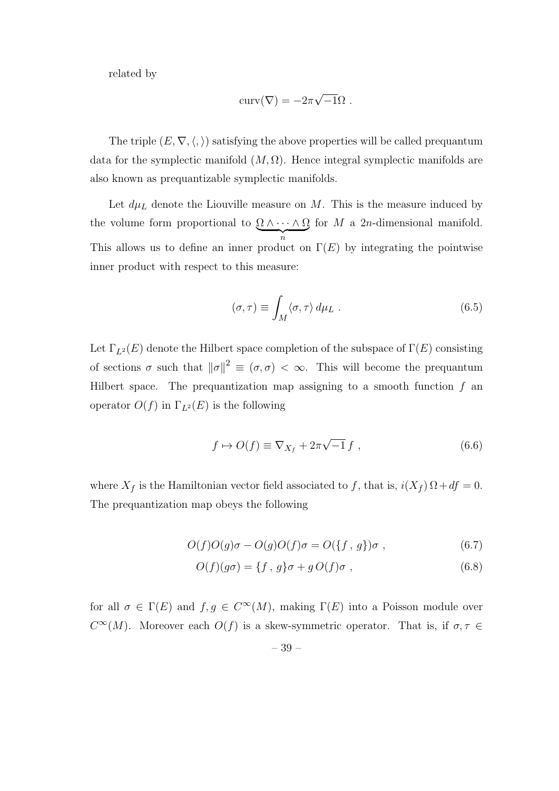related by

$$
curv(\nabla) = -2\pi\sqrt{-1}\Omega.
$$

The triple  $(E, \nabla, \langle, \rangle)$  satisfying the above properties will be called prequantum data for the symplectic manifold  $(M, \Omega)$ . Hence integral symplectic manifolds are also known as prequantizable symplectic manifolds.

Let  $d\mu_L$  denote the Liouville measure on M. This is the measure induced by the volume form proportional to  $\Omega \wedge \cdots \wedge \Omega$  $\overbrace{n}$ for  $M$  a 2n-dimensional manifold. This allows us to define an inner product on  $\Gamma(E)$  by integrating the pointwise inner product with respect to this measure:

$$
(\sigma, \tau) \equiv \int_M \langle \sigma, \tau \rangle \, d\mu_L \,. \tag{6.5}
$$

Let  $\Gamma_{L^2}(E)$  denote the Hilbert space completion of the subspace of  $\Gamma(E)$  consisting of sections  $\sigma$  such that  $\|\sigma\|^2 \equiv (\sigma, \sigma) < \infty$ . This will become the prequantum Hilbert space. The prequantization map assigning to a smooth function  $f$  and operator  $O(f)$  in  $\Gamma_{L^2}(E)$  is the following

$$
f \mapsto O(f) \equiv \nabla_{X_f} + 2\pi \sqrt{-1} f , \qquad (6.6)
$$

where  $X_f$  is the Hamiltonian vector field associated to f, that is,  $i(X_f) \Omega + df = 0$ . The prequantization map obeys the following

$$
O(f)O(g)\sigma - O(g)O(f)\sigma = O(\lbrace f, g \rbrace)\sigma , \qquad (6.7)
$$

$$
O(f)(g\sigma) = \{f, g\}\sigma + g\,O(f)\sigma\;, \tag{6.8}
$$

for all  $\sigma \in \Gamma(E)$  and  $f, g \in C^{\infty}(M)$ , making  $\Gamma(E)$  into a Poisson module over  $C^{\infty}(M)$ . Moreover each  $O(f)$  is a skew-symmetric operator. That is, if  $\sigma, \tau \in$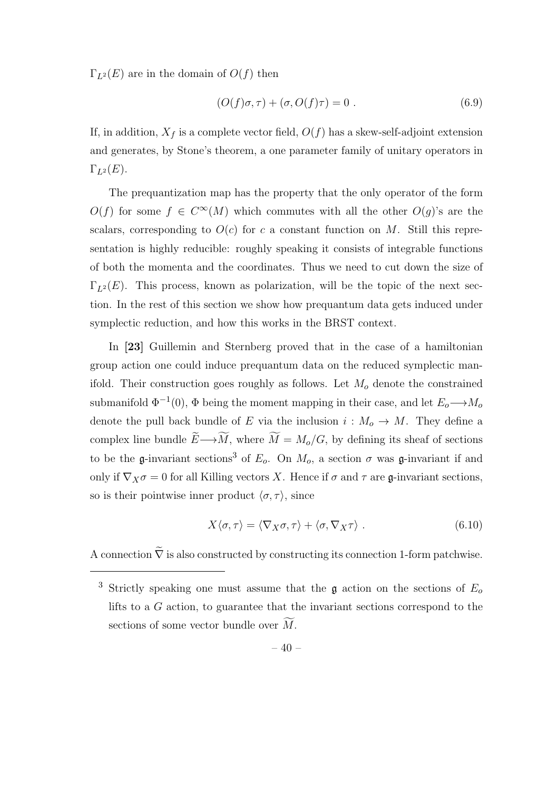$\Gamma_{L^2}(E)$  are in the domain of  $O(f)$  then

$$
(O(f)\sigma, \tau) + (\sigma, O(f)\tau) = 0.
$$
\n(6.9)

If, in addition,  $X_f$  is a complete vector field,  $O(f)$  has a skew-self-adjoint extension and generates, by Stone's theorem, a one parameter family of unitary operators in  $\Gamma_{L^2}(E)$ .

The prequantization map has the property that the only operator of the form  $O(f)$  for some  $f \in C^{\infty}(M)$  which commutes with all the other  $O(g)$ 's are the scalars, corresponding to  $O(c)$  for c a constant function on M. Still this representation is highly reducible: roughly speaking it consists of integrable functions of both the momenta and the coordinates. Thus we need to cut down the size of  $\Gamma_{L^2}(E)$ . This process, known as polarization, will be the topic of the next section. In the rest of this section we show how prequantum data gets induced under symplectic reduction, and how this works in the BRST context.

In [23] Guillemin and Sternberg proved that in the case of a hamiltonian group action one could induce prequantum data on the reduced symplectic manifold. Their construction goes roughly as follows. Let  $M<sub>o</sub>$  denote the constrained submanifold  $\Phi^{-1}(0)$ ,  $\Phi$  being the moment mapping in their case, and let  $E_o \longrightarrow M_o$ denote the pull back bundle of E via the inclusion  $i : M_o \to M$ . They define a complex line bundle  $\widetilde{E}\longrightarrow \widetilde{M}$ , where  $\widetilde{M} = M_o/G$ , by defining its sheaf of sections to be the g-invariant sections<sup>3</sup> of  $E_o$ . On  $M_o$ , a section  $\sigma$  was g-invariant if and only if  $\nabla_X \sigma = 0$  for all Killing vectors X. Hence if  $\sigma$  and  $\tau$  are g-invariant sections, so is their pointwise inner product  $\langle \sigma, \tau \rangle$ , since

$$
X\langle \sigma, \tau \rangle = \langle \nabla_X \sigma, \tau \rangle + \langle \sigma, \nabla_X \tau \rangle . \tag{6.10}
$$

A connection  $\widetilde{\nabla}$  is also constructed by constructing its connection 1-form patchwise.

<sup>&</sup>lt;sup>3</sup> Strictly speaking one must assume that the  $\mathfrak g$  action on the sections of  $E_o$ lifts to a G action, to guarantee that the invariant sections correspond to the sections of some vector bundle over  $\overline{M}$ .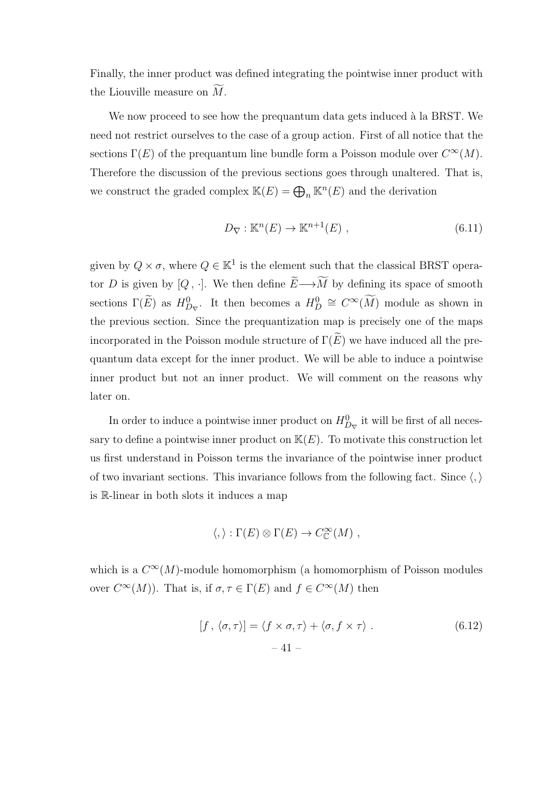Finally, the inner product was defined integrating the pointwise inner product with the Liouville measure on  $M$ .

We now proceed to see how the prequantum data gets induced à la BRST. We need not restrict ourselves to the case of a group action. First of all notice that the sections  $\Gamma(E)$  of the prequantum line bundle form a Poisson module over  $C^{\infty}(M)$ . Therefore the discussion of the previous sections goes through unaltered. That is, we construct the graded complex  $\mathbb{K}(E) = \bigoplus_n \mathbb{K}^n(E)$  and the derivation

$$
D_{\nabla} : \mathbb{K}^n(E) \to \mathbb{K}^{n+1}(E) , \qquad (6.11)
$$

given by  $Q \times \sigma$ , where  $Q \in \mathbb{K}^1$  is the element such that the classical BRST operator D is given by [Q, ·]. We then define  $\widetilde{E}\longrightarrow \widetilde{M}$  by defining its space of smooth sections  $\Gamma(\widetilde{E})$  as  $H_{D_{\nabla}}^0$ . It then becomes a  $H_D^0 \cong C^{\infty}(\widetilde{M})$  module as shown in the previous section. Since the prequantization map is precisely one of the maps incorporated in the Poisson module structure of  $\Gamma(\widetilde{E})$  we have induced all the prequantum data except for the inner product. We will be able to induce a pointwise inner product but not an inner product. We will comment on the reasons why later on.

In order to induce a pointwise inner product on  $H_{D_{\nabla}}^0$  it will be first of all necessary to define a pointwise inner product on  $K(E)$ . To motivate this construction let us first understand in Poisson terms the invariance of the pointwise inner product of two invariant sections. This invariance follows from the following fact. Since  $\langle, \rangle$ is R-linear in both slots it induces a map

$$
\langle , \rangle : \Gamma(E) \otimes \Gamma(E) \to C^{\infty}_{\mathbb{C}}(M) ,
$$

which is a  $C^{\infty}(M)$ -module homomorphism (a homomorphism of Poisson modules over  $C^{\infty}(M)$ . That is, if  $\sigma, \tau \in \Gamma(E)$  and  $f \in C^{\infty}(M)$  then

$$
[f, \langle \sigma, \tau \rangle] = \langle f \times \sigma, \tau \rangle + \langle \sigma, f \times \tau \rangle. \tag{6.12}
$$

$$
-41 -
$$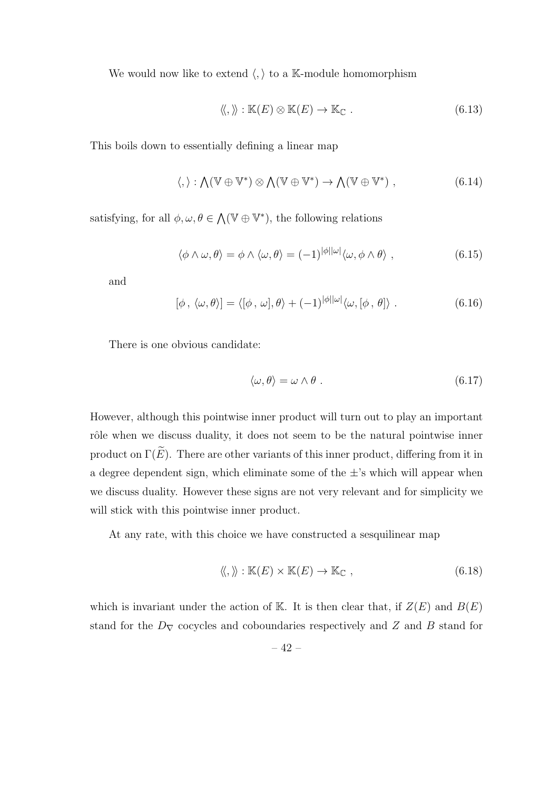We would now like to extend  $\langle , \rangle$  to a K-module homomorphism

$$
\langle\!\langle,\rangle\!\rangle : \mathbb{K}(E) \otimes \mathbb{K}(E) \to \mathbb{K}_{\mathbb{C}}.
$$
\n(6.13)

This boils down to essentially defining a linear map

$$
\langle,\rangle:\bigwedge(\mathbb{V}\oplus\mathbb{V}^*)\otimes\bigwedge(\mathbb{V}\oplus\mathbb{V}^*)\to\bigwedge(\mathbb{V}\oplus\mathbb{V}^*)\;, \qquad (6.14)
$$

satisfying, for all  $\phi, \omega, \theta \in \Lambda(\mathbb{V} \oplus \mathbb{V}^*)$ , the following relations

$$
\langle \phi \wedge \omega, \theta \rangle = \phi \wedge \langle \omega, \theta \rangle = (-1)^{|\phi||\omega|} \langle \omega, \phi \wedge \theta \rangle , \qquad (6.15)
$$

and

$$
[\phi, \langle \omega, \theta \rangle] = \langle [\phi, \omega], \theta \rangle + (-1)^{|\phi||\omega|} \langle \omega, [\phi, \theta] \rangle . \tag{6.16}
$$

There is one obvious candidate:

$$
\langle \omega, \theta \rangle = \omega \wedge \theta \ . \tag{6.17}
$$

However, although this pointwise inner product will turn out to play an important rôle when we discuss duality, it does not seem to be the natural pointwise inner product on  $\Gamma(\widetilde{E})$ . There are other variants of this inner product, differing from it in a degree dependent sign, which eliminate some of the  $\pm$ 's which will appear when we discuss duality. However these signs are not very relevant and for simplicity we will stick with this pointwise inner product.

At any rate, with this choice we have constructed a sesquilinear map

$$
\langle\!\langle,\rangle\!\rangle : \mathbb{K}(E) \times \mathbb{K}(E) \to \mathbb{K}_{\mathbb{C}} ,\qquad(6.18)
$$

which is invariant under the action of K. It is then clear that, if  $Z(E)$  and  $B(E)$ stand for the  $D<sub>\nabla</sub>$  cocycles and coboundaries respectively and Z and B stand for

 $-42-$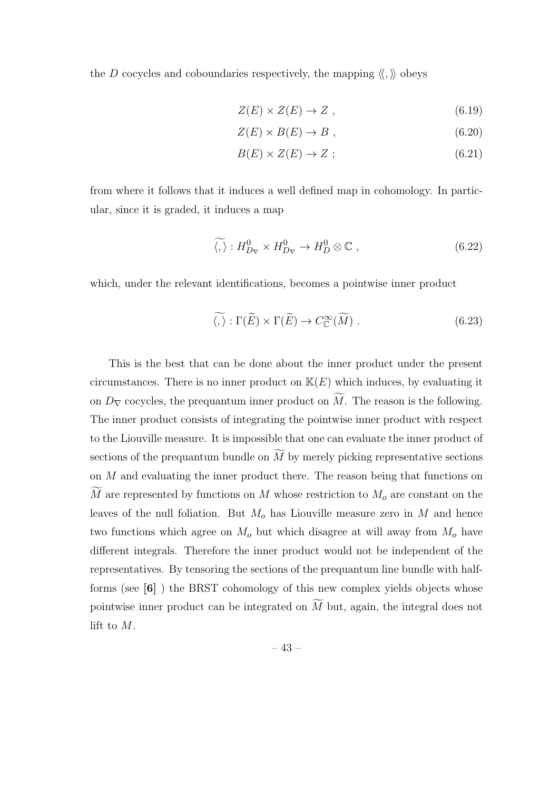the D cocycles and coboundaries respectively, the mapping  $\langle \langle , \rangle \rangle$  obeys

$$
Z(E) \times Z(E) \to Z , \qquad (6.19)
$$

$$
Z(E) \times B(E) \to B , \qquad (6.20)
$$

$$
B(E) \times Z(E) \to Z \tag{6.21}
$$

from where it follows that it induces a well defined map in cohomology. In particular, since it is graded, it induces a map

$$
\widetilde{\langle,\rangle}:H_{D_{\nabla}}^{0}\times H_{D_{\nabla}}^{0}\to H_{D}^{0}\otimes\mathbb{C}\;, \tag{6.22}
$$

which, under the relevant identifications, becomes a pointwise inner product

$$
\widetilde{\langle,\rangle}:\Gamma(\widetilde{E})\times\Gamma(\widetilde{E})\to C_{\mathbb{C}}^{\infty}(\widetilde{M})\ .
$$
\n(6.23)

This is the best that can be done about the inner product under the present circumstances. There is no inner product on  $K(E)$  which induces, by evaluating it on  $D_{\nabla}$  cocycles, the prequantum inner product on  $\widetilde{M}$ . The reason is the following. The inner product consists of integrating the pointwise inner product with respect to the Liouville measure. It is impossible that one can evaluate the inner product of sections of the prequantum bundle on  $\widetilde{M}$  by merely picking representative sections on M and evaluating the inner product there. The reason being that functions on  $\widetilde{M}$  are represented by functions on M whose restriction to  $M_o$  are constant on the leaves of the null foliation. But  $M_0$  has Liouville measure zero in M and hence two functions which agree on  $M_0$  but which disagree at will away from  $M_0$  have different integrals. Therefore the inner product would not be independent of the representatives. By tensoring the sections of the prequantum line bundle with halfforms (see [6] ) the BRST cohomology of this new complex yields objects whose pointwise inner product can be integrated on  $\widetilde{M}$  but, again, the integral does not lift to M.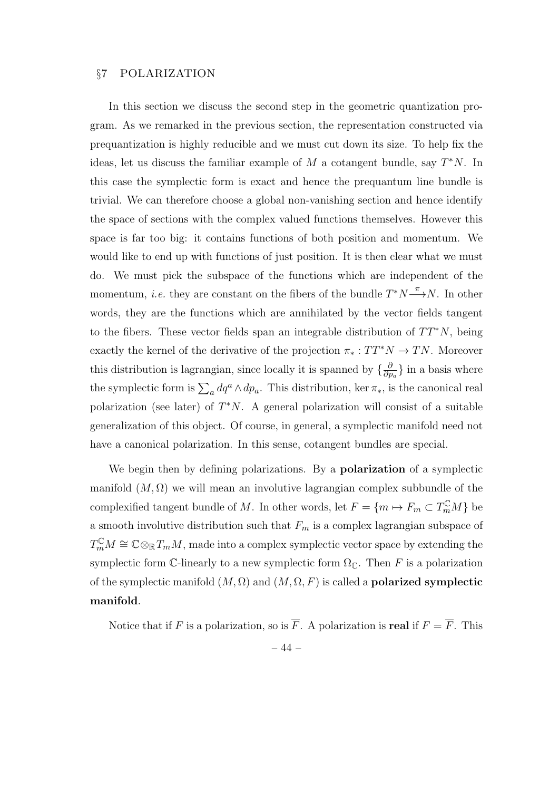### §7 POLARIZATION

In this section we discuss the second step in the geometric quantization program. As we remarked in the previous section, the representation constructed via prequantization is highly reducible and we must cut down its size. To help fix the ideas, let us discuss the familiar example of M a cotangent bundle, say  $T^*N$ . In this case the symplectic form is exact and hence the prequantum line bundle is trivial. We can therefore choose a global non-vanishing section and hence identify the space of sections with the complex valued functions themselves. However this space is far too big: it contains functions of both position and momentum. We would like to end up with functions of just position. It is then clear what we must do. We must pick the subspace of the functions which are independent of the momentum, *i.e.* they are constant on the fibers of the bundle  $T^*N \stackrel{\pi}{\longrightarrow} N$ . In other words, they are the functions which are annihilated by the vector fields tangent to the fibers. These vector fields span an integrable distribution of  $TT^*N$ , being exactly the kernel of the derivative of the projection  $\pi_* : TT^*N \to TN$ . Moreover this distribution is lagrangian, since locally it is spanned by  $\{\frac{\delta}{\partial r}$  $\frac{\partial}{\partial p_a}$  in a basis where the symplectic form is  $\sum_a dq^a \wedge dp_a$ . This distribution, ker  $\pi_*$ , is the canonical real polarization (see later) of  $T^*N$ . A general polarization will consist of a suitable generalization of this object. Of course, in general, a symplectic manifold need not have a canonical polarization. In this sense, cotangent bundles are special.

We begin then by defining polarizations. By a **polarization** of a symplectic manifold  $(M, \Omega)$  we will mean an involutive lagrangian complex subbundle of the complexified tangent bundle of M. In other words, let  $F = \{m \mapsto F_m \subset T_m^{\mathbb{C}}M\}$  be a smooth involutive distribution such that  $F_m$  is a complex lagrangian subspace of  $T_m^{\mathbb{C}}M \cong \mathbb{C} \otimes_{\mathbb{R}} T_mM$ , made into a complex symplectic vector space by extending the symplectic form  $\mathbb{C}$ -linearly to a new symplectic form  $\Omega_{\mathbb{C}}$ . Then F is a polarization of the symplectic manifold  $(M, \Omega)$  and  $(M, \Omega, F)$  is called a **polarized symplectic** manifold.

Notice that if F is a polarization, so is  $\overline{F}$ . A polarization is **real** if  $F = \overline{F}$ . This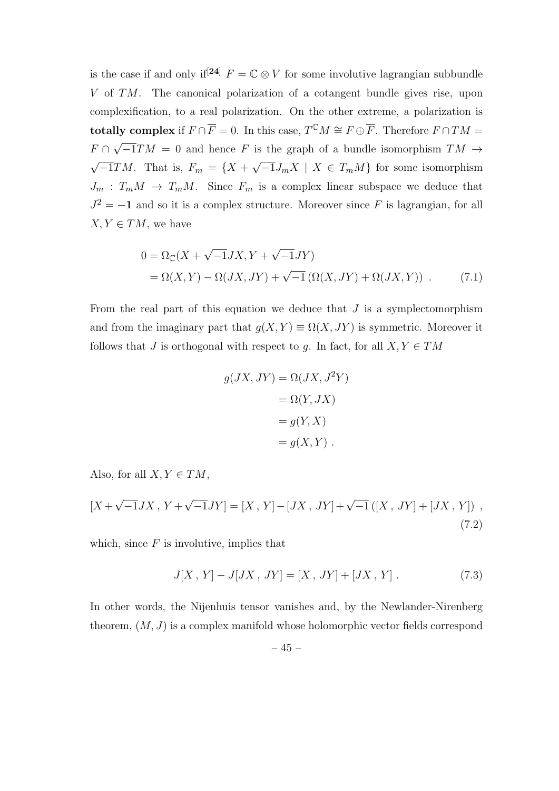is the case if and only if<sup>[24]</sup>  $F = \mathbb{C} \otimes V$  for some involutive lagrangian subbundle V of TM. The canonical polarization of a cotangent bundle gives rise, upon complexification, to a real polarization. On the other extreme, a polarization is totally complex if  $F \cap \overline{F} = 0$ . In this case,  $T^{\mathbb{C}}M \cong F \oplus \overline{F}$ . Therefore  $F \cap TM =$  $F \cap$ √  $-TTM = 0$  and hence F is the graph of a bundle isomorphism  $TM \rightarrow$ √  $-1TM$ . That is,  $F_m = \{X +$ √  $\overline{-1}J_mX \mid X \in T_mM$  for some isomorphism  $J_m$ :  $T_m M \rightarrow T_m M$ . Since  $F_m$  is a complex linear subspace we deduce that  $J^2 = -1$  and so it is a complex structure. Moreover since F is lagrangian, for all  $X, Y \in TM$ , we have

$$
0 = \Omega_{\mathbb{C}}(X + \sqrt{-1}JX, Y + \sqrt{-1}JY)
$$
  
=  $\Omega(X, Y) - \Omega(JX, JY) + \sqrt{-1}(\Omega(X, JY) + \Omega(JX, Y))$ . (7.1)

From the real part of this equation we deduce that  $J$  is a symplectomorphism and from the imaginary part that  $g(X, Y) \equiv \Omega(X, JY)$  is symmetric. Moreover it follows that J is orthogonal with respect to g. In fact, for all  $X, Y \in TM$ 

$$
g(JX, JY) = \Omega(JX, J^2Y)
$$
  
=  $\Omega(Y, JX)$   
=  $g(Y, X)$   
=  $g(X, Y)$ .

Also, for all  $X, Y \in TM$ ,

$$
[X + \sqrt{-1}JX, Y + \sqrt{-1}JY] = [X, Y] - [JX, JY] + \sqrt{-1} ([X, JY] + [JX, Y]) ,
$$
\n(7.2)

which, since  $F$  is involutive, implies that

$$
J[X, Y] - J[JX, JY] = [X, JY] + [JX, Y].
$$
\n(7.3)

In other words, the Nijenhuis tensor vanishes and, by the Newlander-Nirenberg theorem,  $(M, J)$  is a complex manifold whose holomorphic vector fields correspond

$$
-45-
$$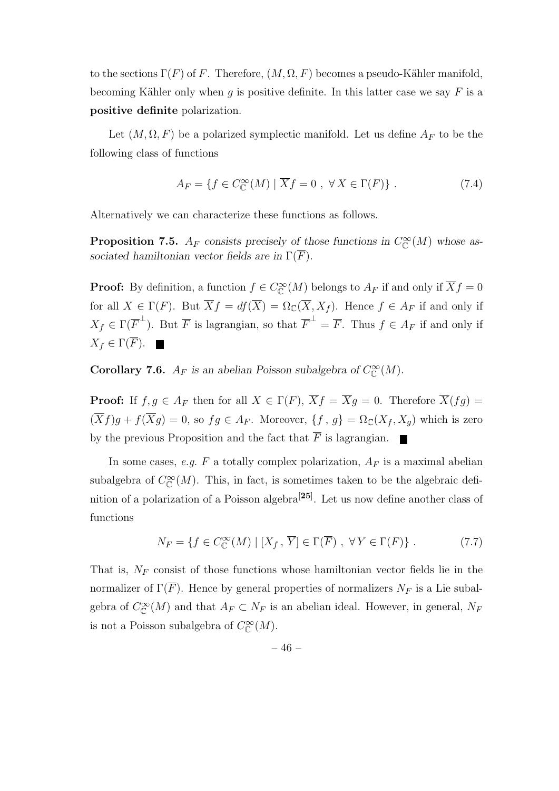to the sections  $\Gamma(F)$  of F. Therefore,  $(M, \Omega, F)$  becomes a pseudo-Kähler manifold, becoming Kähler only when q is positive definite. In this latter case we say  $F$  is a positive definite polarization.

Let  $(M, \Omega, F)$  be a polarized symplectic manifold. Let us define  $A_F$  to be the following class of functions

$$
A_F = \{ f \in C^{\infty}_\mathbb{C}(M) \mid \overline{X}f = 0 , \forall X \in \Gamma(F) \} . \tag{7.4}
$$

Alternatively we can characterize these functions as follows.

**Proposition 7.5.**  $A_F$  consists precisely of those functions in  $C_{\mathbb{C}}^{\infty}(M)$  whose associated hamiltonian vector fields are in  $\Gamma(\overline{F})$ .

**Proof:** By definition, a function  $f \in C^{\infty}_{\mathbb{C}}(M)$  belongs to  $A_F$  if and only if  $\overline{X}f = 0$ for all  $X \in \Gamma(F)$ . But  $\overline{X}f = df(\overline{X}) = \Omega_{\mathbb{C}}(\overline{X}, X_f)$ . Hence  $f \in A_F$  if and only if  $X_f \in \Gamma(\overline{F}^{\perp})$ . But  $\overline{F}$  is lagrangian, so that  $\overline{F}^{\perp} = \overline{F}$ . Thus  $f \in A_F$  if and only if  $X_f \in \Gamma(\overline{F})$ .

**Corollary 7.6.**  $A_F$  is an abelian Poisson subalgebra of  $C_{\mathbb{C}}^{\infty}(M)$ .

**Proof:** If  $f, g \in A_F$  then for all  $X \in \Gamma(F)$ ,  $\overline{X}f = \overline{X}g = 0$ . Therefore  $\overline{X}(fg) =$  $(\overline{X}f)g + f(\overline{X}g) = 0$ , so  $fg \in A_F$ . Moreover,  $\{f, g\} = \Omega_{\mathbb{C}}(X_f, X_g)$  which is zero by the previous Proposition and the fact that  $\overline{F}$  is lagrangian.

In some cases, e.g. F a totally complex polarization,  $A_F$  is a maximal abelian subalgebra of  $C^{\infty}_{\mathbb{C}}(M)$ . This, in fact, is sometimes taken to be the algebraic definition of a polarization of a Poisson algebra<sup>[25]</sup>. Let us now define another class of functions

$$
N_F = \{ f \in C^{\infty}_\mathbb{C}(M) \mid [X_f, \overline{Y}] \in \Gamma(\overline{F}), \ \forall Y \in \Gamma(F) \} . \tag{7.7}
$$

That is,  $N_F$  consist of those functions whose hamiltonian vector fields lie in the normalizer of  $\Gamma(F)$ . Hence by general properties of normalizers  $N_F$  is a Lie subalgebra of  $C_{\mathbb{C}}^{\infty}(M)$  and that  $A_F \subset N_F$  is an abelian ideal. However, in general,  $N_F$ is not a Poisson subalgebra of  $C^{\infty}_{\mathbb{C}}(M)$ .

– 46 –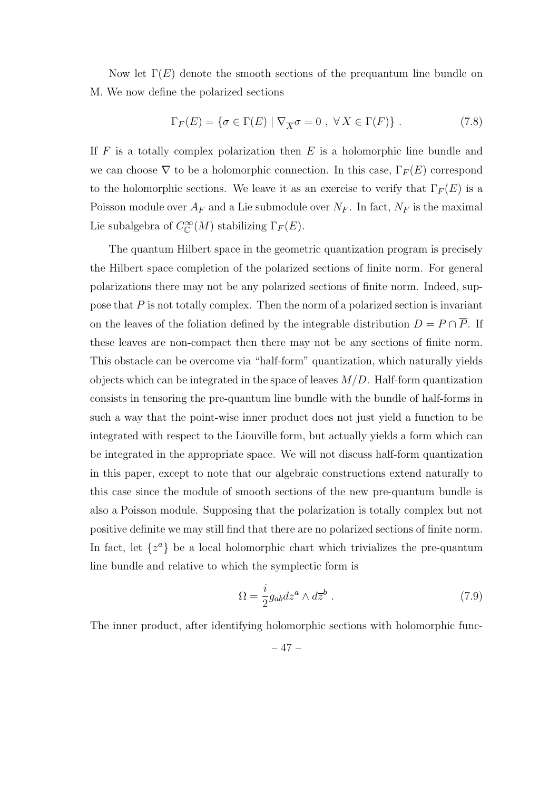Now let  $\Gamma(E)$  denote the smooth sections of the prequantum line bundle on M. We now define the polarized sections

$$
\Gamma_F(E) = \{ \sigma \in \Gamma(E) \mid \nabla_{\overline{X}} \sigma = 0 \; , \; \forall X \in \Gamma(F) \} \; . \tag{7.8}
$$

If  $F$  is a totally complex polarization then  $E$  is a holomorphic line bundle and we can choose  $\nabla$  to be a holomorphic connection. In this case,  $\Gamma_F(E)$  correspond to the holomorphic sections. We leave it as an exercise to verify that  $\Gamma_F(E)$  is a Poisson module over  $A_F$  and a Lie submodule over  $N_F$ . In fact,  $N_F$  is the maximal Lie subalgebra of  $C^{\infty}_{\mathbb{C}}(M)$  stabilizing  $\Gamma_F(E)$ .

The quantum Hilbert space in the geometric quantization program is precisely the Hilbert space completion of the polarized sections of finite norm. For general polarizations there may not be any polarized sections of finite norm. Indeed, suppose that  $P$  is not totally complex. Then the norm of a polarized section is invariant on the leaves of the foliation defined by the integrable distribution  $D = P \cap \overline{P}$ . If these leaves are non-compact then there may not be any sections of finite norm. This obstacle can be overcome via "half-form" quantization, which naturally yields objects which can be integrated in the space of leaves  $M/D$ . Half-form quantization consists in tensoring the pre-quantum line bundle with the bundle of half-forms in such a way that the point-wise inner product does not just yield a function to be integrated with respect to the Liouville form, but actually yields a form which can be integrated in the appropriate space. We will not discuss half-form quantization in this paper, except to note that our algebraic constructions extend naturally to this case since the module of smooth sections of the new pre-quantum bundle is also a Poisson module. Supposing that the polarization is totally complex but not positive definite we may still find that there are no polarized sections of finite norm. In fact, let  $\{z^a\}$  be a local holomorphic chart which trivializes the pre-quantum line bundle and relative to which the symplectic form is

$$
\Omega = \frac{i}{2} g_{ab} dz^a \wedge d\overline{z}^b . \tag{7.9}
$$

The inner product, after identifying holomorphic sections with holomorphic func-

$$
-47-
$$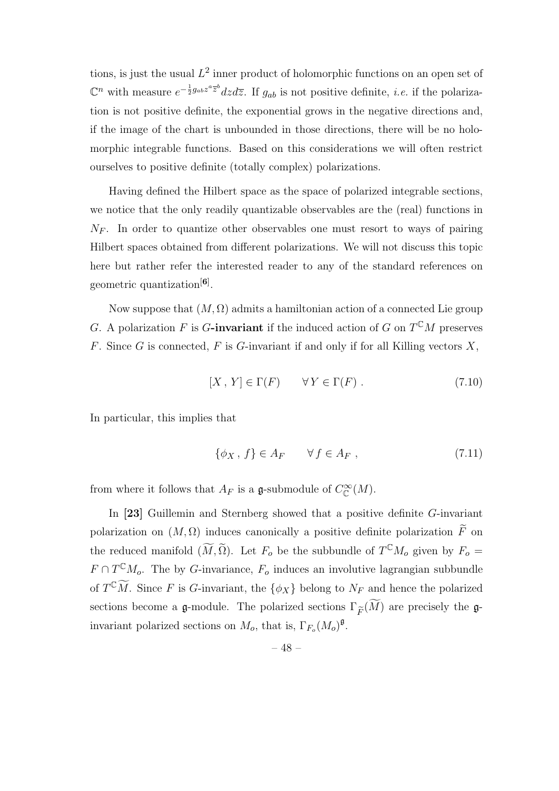tions, is just the usual  $L^2$  inner product of holomorphic functions on an open set of  $\mathbb{C}^n$  with measure  $e^{-\frac{1}{2}g_{ab}z^a\overline{z}^b}dzd\overline{z}$ . If  $g_{ab}$  is not positive definite, *i.e.* if the polarization is not positive definite, the exponential grows in the negative directions and, if the image of the chart is unbounded in those directions, there will be no holomorphic integrable functions. Based on this considerations we will often restrict ourselves to positive definite (totally complex) polarizations.

Having defined the Hilbert space as the space of polarized integrable sections, we notice that the only readily quantizable observables are the (real) functions in  $N_F$ . In order to quantize other observables one must resort to ways of pairing Hilbert spaces obtained from different polarizations. We will not discuss this topic here but rather refer the interested reader to any of the standard references on geometric quantization<sup>[6]</sup>.

Now suppose that  $(M, \Omega)$  admits a hamiltonian action of a connected Lie group G. A polarization F is G-invariant if the induced action of G on  $T^{\mathbb{C}}M$  preserves F. Since G is connected, F is G-invariant if and only if for all Killing vectors  $X$ ,

$$
[X, Y] \in \Gamma(F) \qquad \forall Y \in \Gamma(F) . \tag{7.10}
$$

In particular, this implies that

$$
\{\phi_X, f\} \in A_F \qquad \forall f \in A_F , \tag{7.11}
$$

from where it follows that  $A_F$  is a g-submodule of  $C^{\infty}_{\mathbb{C}}(M)$ .

In [23] Guillemin and Sternberg showed that a positive definite G-invariant polarization on  $(M, \Omega)$  induces canonically a positive definite polarization  $\widetilde{F}$  on the reduced manifold  $(\widetilde{M}, \widetilde{\Omega})$ . Let  $F_o$  be the subbundle of  $T^{\mathbb{C}}M_o$  given by  $F_o =$  $F \cap T^{\mathbb{C}}M_o$ . The by G-invariance,  $F_o$  induces an involutive lagrangian subbundle of  $T^{\mathbb{C}}\widetilde{M}$ . Since F is G-invariant, the  $\{\phi_X\}$  belong to  $N_F$  and hence the polarized sections become a **g**-module. The polarized sections  $\Gamma_{\widetilde{F}}(M)$  are precisely the **g**invariant polarized sections on  $M_o$ , that is,  $\Gamma_{F_o}(M_o)^{\mathfrak{g}}$ .

$$
-48- \nonumber\\
$$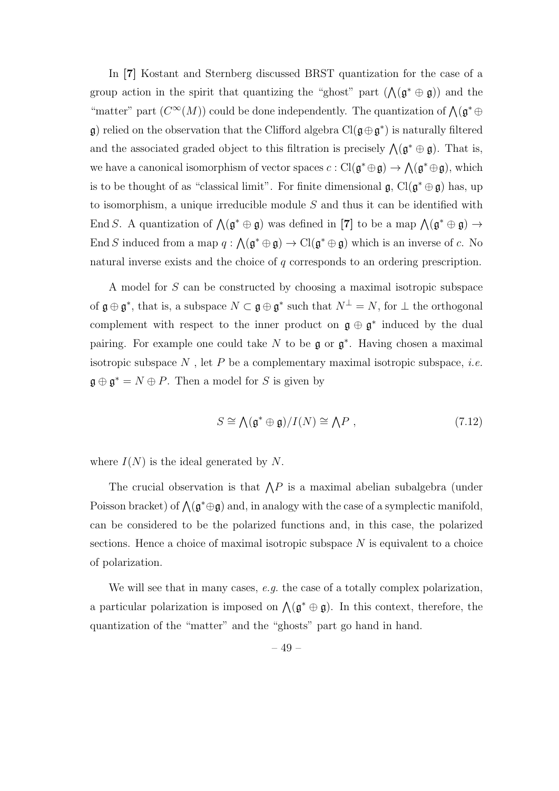In [7] Kostant and Sternberg discussed BRST quantization for the case of a group action in the spirit that quantizing the "ghost" part  $(\Lambda(\mathfrak{g}^*\oplus \mathfrak{g}))$  and the "matter" part  $(C^{\infty}(M))$  could be done independently. The quantization of  $\bigwedge (\mathfrak{g}^* \oplus$ g) relied on the observation that the Clifford algebra  $Cl(g \oplus g^*)$  is naturally filtered and the associated graded object to this filtration is precisely  $\Lambda(\mathfrak{g}^*\oplus \mathfrak{g})$ . That is, we have a canonical isomorphism of vector spaces  $c: Cl(\mathfrak{g}^*\oplus \mathfrak{g}) \to \bigwedge (\mathfrak{g}^*\oplus \mathfrak{g})$ , which is to be thought of as "classical limit". For finite dimensional  $\mathfrak{g}$ , Cl( $\mathfrak{g}^*\oplus\mathfrak{g}$ ) has, up to isomorphism, a unique irreducible module S and thus it can be identified with End S. A quantization of  $\Lambda(\mathfrak{g}^*\oplus\mathfrak{g})$  was defined in [7] to be a map  $\Lambda(\mathfrak{g}^*\oplus\mathfrak{g})\to$ End S induced from a map  $q : \Lambda(\mathfrak{g}^* \oplus \mathfrak{g}) \to \mathrm{Cl}(\mathfrak{g}^* \oplus \mathfrak{g})$  which is an inverse of c. No natural inverse exists and the choice of q corresponds to an ordering prescription.

A model for S can be constructed by choosing a maximal isotropic subspace of  $\mathfrak{g} \oplus \mathfrak{g}^*$ , that is, a subspace  $N \subset \mathfrak{g} \oplus \mathfrak{g}^*$  such that  $N^{\perp} = N$ , for  $\perp$  the orthogonal complement with respect to the inner product on  $\mathfrak{g} \oplus \mathfrak{g}^*$  induced by the dual pairing. For example one could take  $N$  to be  $\mathfrak g$  or  $\mathfrak g^*$ . Having chosen a maximal isotropic subspace  $N$ , let P be a complementary maximal isotropic subspace, *i.e.*  $\mathfrak{g} \oplus \mathfrak{g}^* = N \oplus P$ . Then a model for S is given by

$$
S \cong \bigwedge (\mathfrak{g}^* \oplus \mathfrak{g}) / I(N) \cong \bigwedge P , \qquad (7.12)
$$

where  $I(N)$  is the ideal generated by N.

The crucial observation is that  $\Lambda P$  is a maximal abelian subalgebra (under Poisson bracket) of  $\Lambda(\mathfrak{g}^*\oplus \mathfrak{g})$  and, in analogy with the case of a symplectic manifold, can be considered to be the polarized functions and, in this case, the polarized sections. Hence a choice of maximal isotropic subspace  $N$  is equivalent to a choice of polarization.

We will see that in many cases,  $e.g.$  the case of a totally complex polarization, a particular polarization is imposed on  $\Lambda(\mathfrak{g}^*\oplus \mathfrak{g})$ . In this context, therefore, the quantization of the "matter" and the "ghosts" part go hand in hand.

$$
-49- \nonumber\\
$$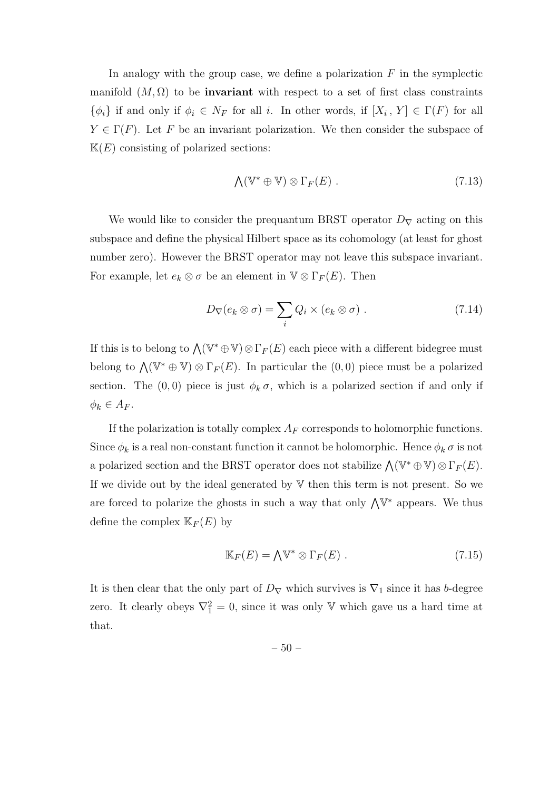In analogy with the group case, we define a polarization  $F$  in the symplectic manifold  $(M, \Omega)$  to be **invariant** with respect to a set of first class constraints  $\{\phi_i\}$  if and only if  $\phi_i \in N_F$  for all i. In other words, if  $[X_i, Y] \in \Gamma(F)$  for all  $Y \in \Gamma(F)$ . Let F be an invariant polarization. We then consider the subspace of  $K(E)$  consisting of polarized sections:

$$
\bigwedge(\mathbb{V}^*\oplus\mathbb{V})\otimes\Gamma_F(E)\ .\tag{7.13}
$$

We would like to consider the prequantum BRST operator  $D_{\nabla}$  acting on this subspace and define the physical Hilbert space as its cohomology (at least for ghost number zero). However the BRST operator may not leave this subspace invariant. For example, let  $e_k \otimes \sigma$  be an element in  $\mathbb{V} \otimes \Gamma_F(E)$ . Then

$$
D_{\nabla}(e_k \otimes \sigma) = \sum_i Q_i \times (e_k \otimes \sigma) . \qquad (7.14)
$$

If this is to belong to  $\bigwedge(\mathbb{V}^*\oplus\mathbb{V})\otimes\Gamma_F(E)$  each piece with a different bidegree must belong to  $\bigwedge(\mathbb{V}^*\oplus\mathbb{V})\otimes\Gamma_F(E)$ . In particular the  $(0,0)$  piece must be a polarized section. The (0,0) piece is just  $\phi_k \sigma$ , which is a polarized section if and only if  $\phi_k \in A_F$ .

If the polarization is totally complex  $A_F$  corresponds to holomorphic functions. Since  $\phi_k$  is a real non-constant function it cannot be holomorphic. Hence  $\phi_k \sigma$  is not a polarized section and the BRST operator does not stabilize  $\bigwedge(\mathbb{V}^*\oplus\mathbb{V})\otimes\Gamma_F(E)$ . If we divide out by the ideal generated by  $V$  then this term is not present. So we are forced to polarize the ghosts in such a way that only  $\bigwedge^{\vee}$  appears. We thus define the complex  $\mathbb{K}_F(E)$  by

$$
\mathbb{K}_F(E) = \bigwedge \mathbb{V}^* \otimes \Gamma_F(E) \ . \tag{7.15}
$$

It is then clear that the only part of  $D_{\nabla}$  which survives is  $\nabla_1$  since it has b-degree zero. It clearly obeys  $\nabla_1^2 = 0$ , since it was only V which gave us a hard time at that.

– 50 –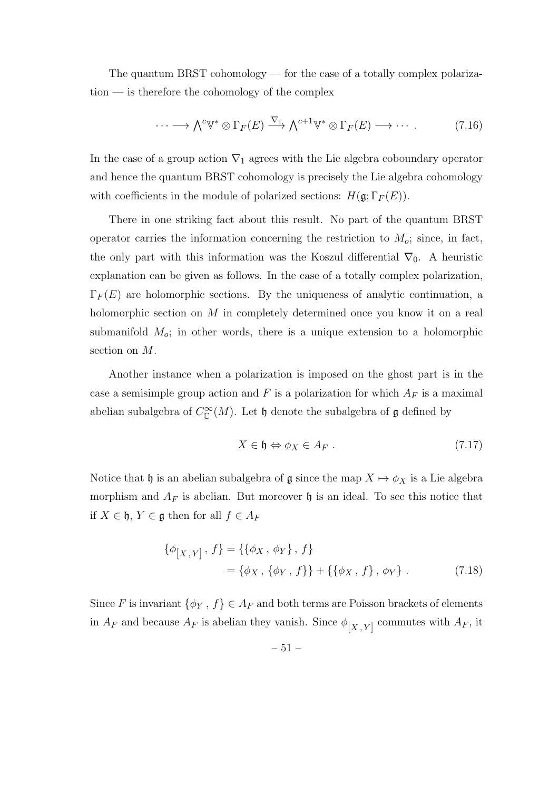The quantum BRST cohomology — for the case of a totally complex polariza- $\text{tion}$  — is therefore the cohomology of the complex

$$
\cdots \longrightarrow \bigwedge^c \mathbb{V}^* \otimes \Gamma_F(E) \stackrel{\nabla_1}{\longrightarrow} \bigwedge^{c+1} \mathbb{V}^* \otimes \Gamma_F(E) \longrightarrow \cdots \tag{7.16}
$$

In the case of a group action  $\nabla_1$  agrees with the Lie algebra coboundary operator and hence the quantum BRST cohomology is precisely the Lie algebra cohomology with coefficients in the module of polarized sections:  $H(\mathfrak{g}; \Gamma_F(E)).$ 

There in one striking fact about this result. No part of the quantum BRST operator carries the information concerning the restriction to  $M_o$ ; since, in fact, the only part with this information was the Koszul differential  $\nabla_0$ . A heuristic explanation can be given as follows. In the case of a totally complex polarization,  $\Gamma_F(E)$  are holomorphic sections. By the uniqueness of analytic continuation, a holomorphic section on M in completely determined once you know it on a real submanifold  $M_o$ ; in other words, there is a unique extension to a holomorphic section on M.

Another instance when a polarization is imposed on the ghost part is in the case a semisimple group action and F is a polarization for which  $A_F$  is a maximal abelian subalgebra of  $C^{\infty}_{\mathbb{C}}(M)$ . Let  $\mathfrak h$  denote the subalgebra of  $\mathfrak g$  defined by

$$
X \in \mathfrak{h} \Leftrightarrow \phi_X \in A_F \ . \tag{7.17}
$$

Notice that h is an abelian subalgebra of  $\mathfrak g$  since the map  $X \mapsto \phi_X$  is a Lie algebra morphism and  $A_F$  is abelian. But moreover  $\mathfrak h$  is an ideal. To see this notice that if  $X \in \mathfrak{h}$ ,  $Y \in \mathfrak{g}$  then for all  $f \in A_F$ 

$$
\{\phi_{[X,Y]}, f\} = \{\{\phi_X, \phi_Y\}, f\}
$$
  
=  $\{\phi_X, \{\phi_Y, f\}\} + \{\{\phi_X, f\}, \phi_Y\}$ . (7.18)

Since F is invariant  $\{\phi_Y, f\} \in A_F$  and both terms are Poisson brackets of elements in  $A_F$  and because  $A_F$  is abelian they vanish. Since  $\phi_{[X,Y]}$  commutes with  $A_F$ , it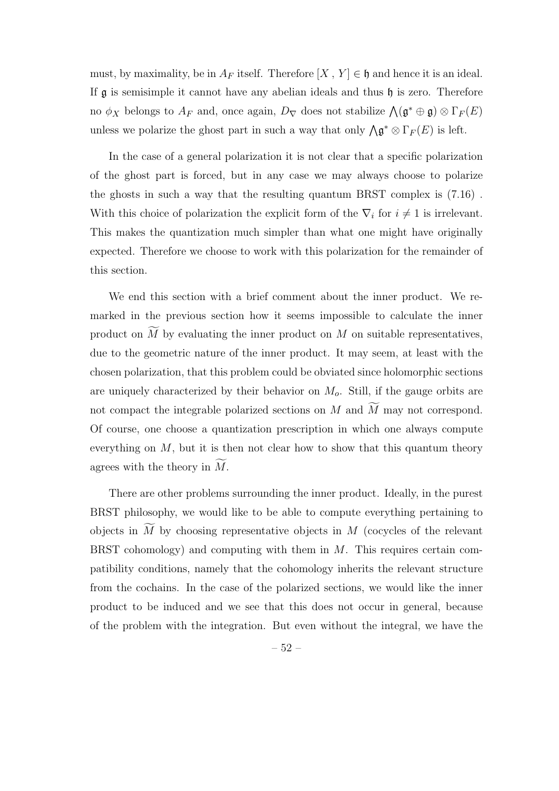must, by maximality, be in  $A_F$  itself. Therefore  $[X, Y] \in \mathfrak{h}$  and hence it is an ideal. If  $\mathfrak g$  is semisimple it cannot have any abelian ideals and thus  $\mathfrak h$  is zero. Therefore no  $\phi_X$  belongs to  $A_F$  and, once again,  $D_{\nabla}$  does not stabilize  $\mathcal{A}(\mathfrak{g}^*\oplus \mathfrak{g})\otimes \Gamma_F(E)$ unless we polarize the ghost part in such a way that only  $\bigwedge_{\mathfrak{g}} \mathfrak{g}^* \otimes \Gamma_F(E)$  is left.

In the case of a general polarization it is not clear that a specific polarization of the ghost part is forced, but in any case we may always choose to polarize the ghosts in such a way that the resulting quantum BRST complex is (7.16) . With this choice of polarization the explicit form of the  $\nabla_i$  for  $i \neq 1$  is irrelevant. This makes the quantization much simpler than what one might have originally expected. Therefore we choose to work with this polarization for the remainder of this section.

We end this section with a brief comment about the inner product. We remarked in the previous section how it seems impossible to calculate the inner product on  $\overline{M}$  by evaluating the inner product on  $\overline{M}$  on suitable representatives, due to the geometric nature of the inner product. It may seem, at least with the chosen polarization, that this problem could be obviated since holomorphic sections are uniquely characterized by their behavior on  $M<sub>o</sub>$ . Still, if the gauge orbits are not compact the integrable polarized sections on  $M$  and  $\widetilde{M}$  may not correspond. Of course, one choose a quantization prescription in which one always compute everything on  $M$ , but it is then not clear how to show that this quantum theory agrees with the theory in  $M$ .

There are other problems surrounding the inner product. Ideally, in the purest BRST philosophy, we would like to be able to compute everything pertaining to objects in  $\widetilde{M}$  by choosing representative objects in M (cocycles of the relevant BRST cohomology) and computing with them in  $M$ . This requires certain compatibility conditions, namely that the cohomology inherits the relevant structure from the cochains. In the case of the polarized sections, we would like the inner product to be induced and we see that this does not occur in general, because of the problem with the integration. But even without the integral, we have the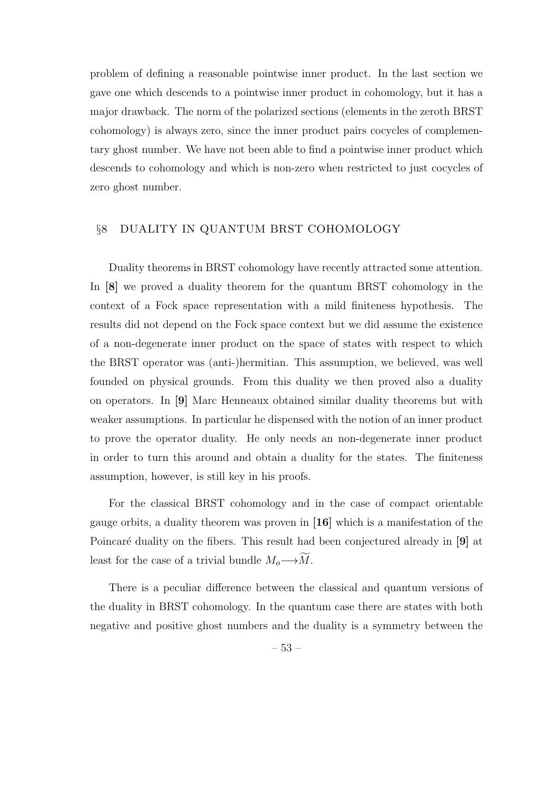problem of defining a reasonable pointwise inner product. In the last section we gave one which descends to a pointwise inner product in cohomology, but it has a major drawback. The norm of the polarized sections (elements in the zeroth BRST cohomology) is always zero, since the inner product pairs cocycles of complementary ghost number. We have not been able to find a pointwise inner product which descends to cohomology and which is non-zero when restricted to just cocycles of zero ghost number.

#### §8 DUALITY IN QUANTUM BRST COHOMOLOGY

Duality theorems in BRST cohomology have recently attracted some attention. In [8] we proved a duality theorem for the quantum BRST cohomology in the context of a Fock space representation with a mild finiteness hypothesis. The results did not depend on the Fock space context but we did assume the existence of a non-degenerate inner product on the space of states with respect to which the BRST operator was (anti-)hermitian. This assumption, we believed, was well founded on physical grounds. From this duality we then proved also a duality on operators. In [9] Marc Henneaux obtained similar duality theorems but with weaker assumptions. In particular he dispensed with the notion of an inner product to prove the operator duality. He only needs an non-degenerate inner product in order to turn this around and obtain a duality for the states. The finiteness assumption, however, is still key in his proofs.

For the classical BRST cohomology and in the case of compact orientable gauge orbits, a duality theorem was proven in [16] which is a manifestation of the Poincaré duality on the fibers. This result had been conjectured already in [9] at least for the case of a trivial bundle  $M_o \longrightarrow \widetilde{M}$ .

There is a peculiar difference between the classical and quantum versions of the duality in BRST cohomology. In the quantum case there are states with both negative and positive ghost numbers and the duality is a symmetry between the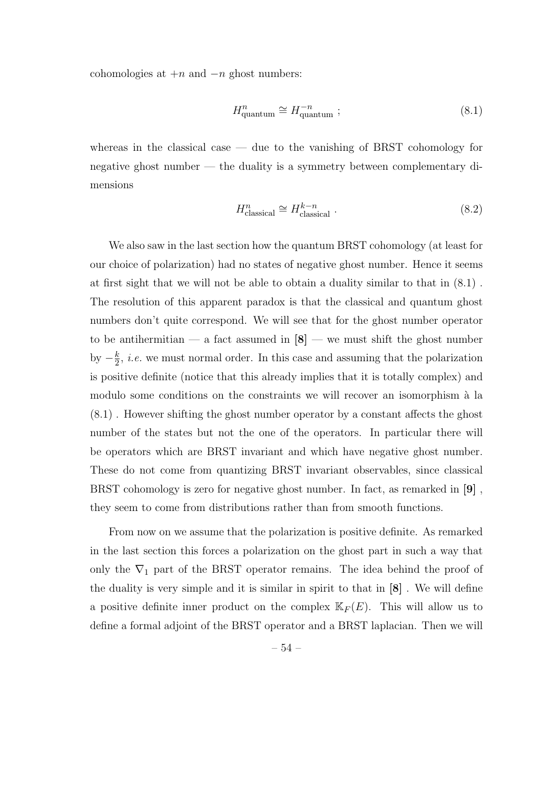cohomologies at  $+n$  and  $-n$  ghost numbers:

$$
H_{\text{quantum}}^{n} \cong H_{\text{quantum}}^{-n} \tag{8.1}
$$

whereas in the classical case  $-$  due to the vanishing of BRST cohomology for negative ghost number — the duality is a symmetry between complementary dimensions

$$
H_{\text{classical}}^n \cong H_{\text{classical}}^{k-n} \tag{8.2}
$$

We also saw in the last section how the quantum BRST cohomology (at least for our choice of polarization) had no states of negative ghost number. Hence it seems at first sight that we will not be able to obtain a duality similar to that in (8.1) . The resolution of this apparent paradox is that the classical and quantum ghost numbers don't quite correspond. We will see that for the ghost number operator to be antihermitian — a fact assumed in  $[8]$  — we must shift the ghost number by  $-\frac{k}{2}$  $\frac{k}{2}$ , *i.e.* we must normal order. In this case and assuming that the polarization is positive definite (notice that this already implies that it is totally complex) and modulo some conditions on the constraints we will recover an isomorphism  $\alpha$  la (8.1) . However shifting the ghost number operator by a constant affects the ghost number of the states but not the one of the operators. In particular there will be operators which are BRST invariant and which have negative ghost number. These do not come from quantizing BRST invariant observables, since classical BRST cohomology is zero for negative ghost number. In fact, as remarked in [9] , they seem to come from distributions rather than from smooth functions.

From now on we assume that the polarization is positive definite. As remarked in the last section this forces a polarization on the ghost part in such a way that only the  $\nabla_1$  part of the BRST operator remains. The idea behind the proof of the duality is very simple and it is similar in spirit to that in [8] . We will define a positive definite inner product on the complex  $\mathbb{K}_F(E)$ . This will allow us to define a formal adjoint of the BRST operator and a BRST laplacian. Then we will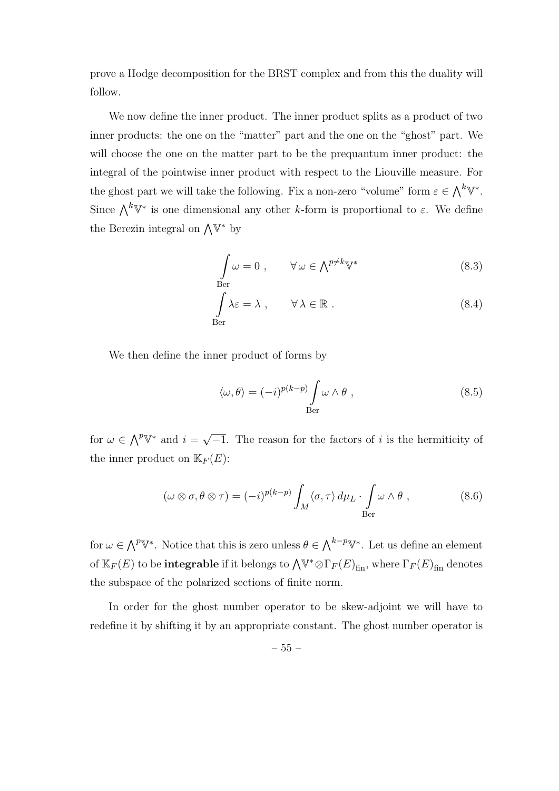prove a Hodge decomposition for the BRST complex and from this the duality will follow.

We now define the inner product. The inner product splits as a product of two inner products: the one on the "matter" part and the one on the "ghost" part. We will choose the one on the matter part to be the prequantum inner product: the integral of the pointwise inner product with respect to the Liouville measure. For the ghost part we will take the following. Fix a non-zero "volume" form  $\varepsilon \in \bigwedge^k \mathbb{V}^*$ . Since  $\bigwedge^k V^*$  is one dimensional any other k-form is proportional to  $\varepsilon$ . We define the Berezin integral on  $\bigwedge^{\mathbb{V}^*}$  by

$$
\int_{\text{Ber}} \omega = 0 , \qquad \forall \omega \in \Lambda^{p \neq k} \mathbb{V}^* \tag{8.3}
$$

$$
\int_{\text{Ber}} \lambda \varepsilon = \lambda , \qquad \forall \lambda \in \mathbb{R} .
$$
\n(8.4)

We then define the inner product of forms by

$$
\langle \omega, \theta \rangle = (-i)^{p(k-p)} \int_{\text{Ber}} \omega \wedge \theta , \qquad (8.5)
$$

for  $\omega \in \bigwedge^p \mathbb{V}^*$  and  $i = \sqrt{ }$  $\overline{-1}$ . The reason for the factors of i is the hermiticity of the inner product on  $\mathbb{K}_F(E)$ :

$$
(\omega \otimes \sigma, \theta \otimes \tau) = (-i)^{p(k-p)} \int_M \langle \sigma, \tau \rangle d\mu_L \cdot \int_{\text{Ber}} \omega \wedge \theta , \qquad (8.6)
$$

for  $\omega \in \bigwedge^p \mathbb{V}^*$ . Notice that this is zero unless  $\theta \in \bigwedge^{k-p} \mathbb{V}^*$ . Let us define an element of  $\mathbb{K}_F(E)$  to be **integrable** if it belongs to  $\bigwedge^{\bigvee^*} \otimes \Gamma_F(E)_{\text{fin}}$ , where  $\Gamma_F(E)_{\text{fin}}$  denotes the subspace of the polarized sections of finite norm.

In order for the ghost number operator to be skew-adjoint we will have to redefine it by shifting it by an appropriate constant. The ghost number operator is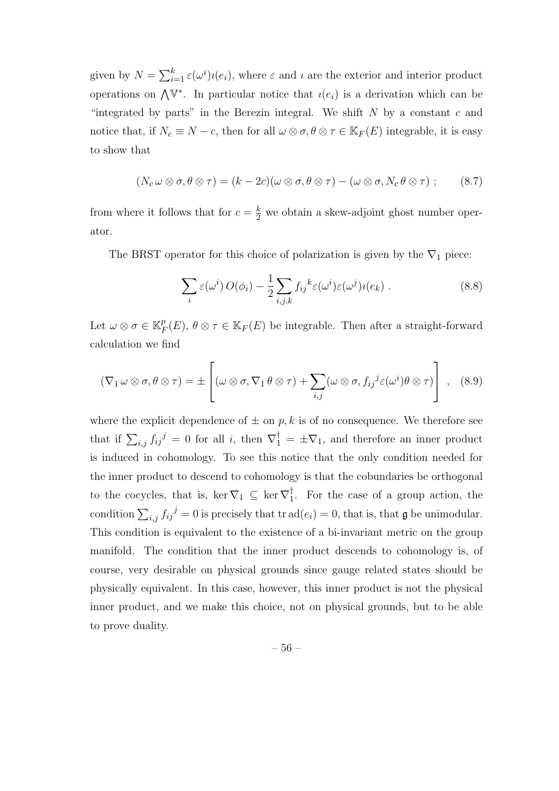given by  $N = \sum_{i=1}^{k} \varepsilon(\omega^{i}) i(e_i)$ , where  $\varepsilon$  and  $i$  are the exterior and interior product operations on  $\bigwedge^{\vee}$ . In particular notice that  $\iota(e_i)$  is a derivation which can be "integrated by parts" in the Berezin integral. We shift  $N$  by a constant  $c$  and notice that, if  $N_c \equiv N - c$ , then for all  $\omega \otimes \sigma, \theta \otimes \tau \in \mathbb{K}_F(E)$  integrable, it is easy to show that

$$
(N_c \omega \otimes \sigma, \theta \otimes \tau) = (k - 2c)(\omega \otimes \sigma, \theta \otimes \tau) - (\omega \otimes \sigma, N_c \theta \otimes \tau) ; \qquad (8.7)
$$

from where it follows that for  $c = \frac{k}{2}$  we obtain a skew-adjoint ghost number operator.

The BRST operator for this choice of polarization is given by the  $\nabla_1$  piece:

$$
\sum_{i} \varepsilon(\omega^{i}) O(\phi_{i}) - \frac{1}{2} \sum_{i,j,k} f_{ij}^{k} \varepsilon(\omega^{i}) \varepsilon(\omega^{j}) \iota(e_{k}). \qquad (8.8)
$$

Let  $\omega \otimes \sigma \in \mathbb{K}_{I}^{p}$  $_{F}^{p}(E), \theta \otimes \tau \in \mathbb{K}_{F}(E)$  be integrable. Then after a straight-forward calculation we find

$$
(\nabla_1 \omega \otimes \sigma, \theta \otimes \tau) = \pm \left[ (\omega \otimes \sigma, \nabla_1 \theta \otimes \tau) + \sum_{i,j} (\omega \otimes \sigma, f_{ij}{}^j \varepsilon (\omega^i) \theta \otimes \tau) \right], \quad (8.9)
$$

where the explicit dependence of  $\pm$  on p, k is of no consequence. We therefore see that if  $\sum_{i,j} f_{ij}{}^j = 0$  for all i, then  $\nabla_1^{\dagger} = \pm \nabla_1$ , and therefore an inner product is induced in cohomology. To see this notice that the only condition needed for the inner product to descend to cohomology is that the cobundaries be orthogonal to the cocycles, that is, ker  $\nabla_1 \subseteq \ker \nabla_1^{\dagger}$ 1 . For the case of a group action, the condition  $\sum_{i,j} f_{ij}^j = 0$  is precisely that tr ad $(e_i) = 0$ , that is, that  $\mathfrak g$  be unimodular. This condition is equivalent to the existence of a bi-invariant metric on the group manifold. The condition that the inner product descends to cohomology is, of course, very desirable on physical grounds since gauge related states should be physically equivalent. In this case, however, this inner product is not the physical inner product, and we make this choice, not on physical grounds, but to be able to prove duality.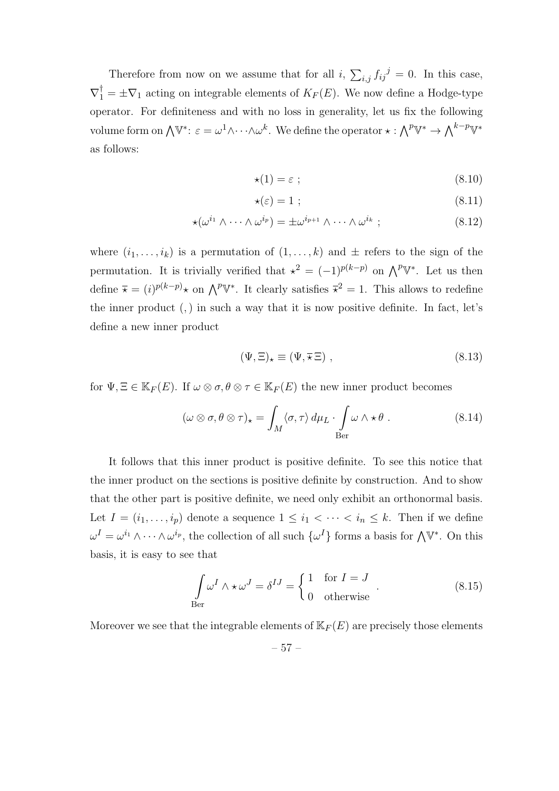Therefore from now on we assume that for all i,  $\sum_{i,j} f_{ij}^{j} = 0$ . In this case,  $\nabla_1^{\dagger} = \pm \nabla_1$  acting on integrable elements of  $K_F(E)$ . We now define a Hodge-type operator. For definiteness and with no loss in generality, let us fix the following volume form on  $\bigwedge^{\mathbb{V}^*}: \varepsilon = \omega^1 \wedge \cdots \wedge \omega^k$ . We define the operator  $\star: \bigwedge^p \mathbb{V}^* \to \bigwedge^{k-p} \mathbb{V}^*$ as follows:

$$
\star(1) = \varepsilon \tag{8.10}
$$

$$
\star(\varepsilon) = 1 \tag{8.11}
$$

$$
\star(\omega^{i_1} \wedge \cdots \wedge \omega^{i_p}) = \pm \omega^{i_{p+1}} \wedge \cdots \wedge \omega^{i_k} ; \qquad (8.12)
$$

where  $(i_1, \ldots, i_k)$  is a permutation of  $(1, \ldots, k)$  and  $\pm$  refers to the sign of the permutation. It is trivially verified that  $\star^2 = (-1)^{p(k-p)}$  on  $\bigwedge^p \mathbb{V}^*$ . Let us then define  $\bar{\star} = (i)^{p(k-p)} \star$  on  $\bigwedge^p V^*$ . It clearly satisfies  $\bar{\star}^2 = 1$ . This allows to redefine the inner product (,) in such a way that it is now positive definite. In fact, let's define a new inner product

$$
(\Psi, \Xi)_{\star} \equiv (\Psi, \overline{\star} \Xi) , \qquad (8.13)
$$

for  $\Psi, \Xi \in \mathbb{K}_F(E)$ . If  $\omega \otimes \sigma, \theta \otimes \tau \in \mathbb{K}_F(E)$  the new inner product becomes

$$
(\omega \otimes \sigma, \theta \otimes \tau)_{\star} = \int_M \langle \sigma, \tau \rangle d\mu_L \cdot \int_{\text{Ber}} \omega \wedge \star \theta . \tag{8.14}
$$

It follows that this inner product is positive definite. To see this notice that the inner product on the sections is positive definite by construction. And to show that the other part is positive definite, we need only exhibit an orthonormal basis. Let  $I = (i_1, \ldots, i_p)$  denote a sequence  $1 \leq i_1 < \cdots < i_n \leq k$ . Then if we define  $\omega^I = \omega^{i_1} \wedge \cdots \wedge \omega^{i_p}$ , the collection of all such  $\{\omega^I\}$  forms a basis for  $\bigwedge^{\vee} V^*$ . On this basis, it is easy to see that

$$
\int_{\text{Ber}} \omega^I \wedge \star \omega^J = \delta^{IJ} = \begin{cases} 1 & \text{for } I = J \\ 0 & \text{otherwise} \end{cases} . \tag{8.15}
$$

Moreover we see that the integrable elements of  $\mathbb{K}_F(E)$  are precisely those elements

– 57 –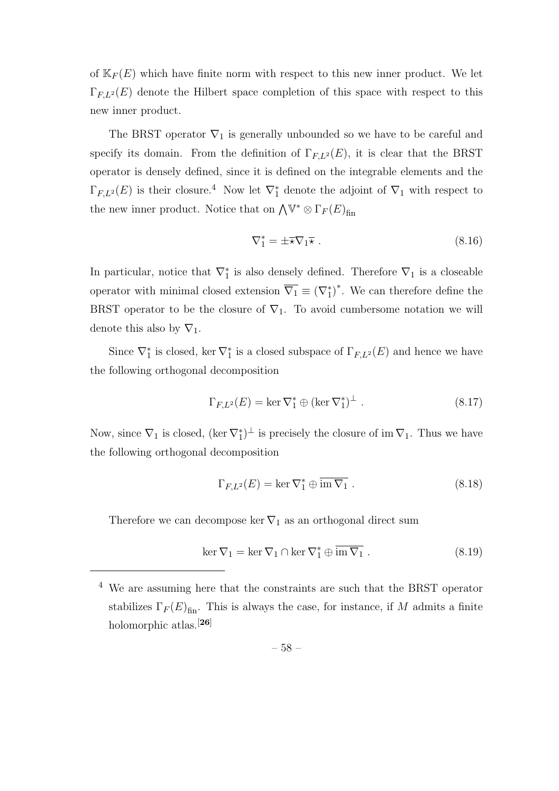of  $\mathbb{K}_F(E)$  which have finite norm with respect to this new inner product. We let  $\Gamma_{F,L^2}(E)$  denote the Hilbert space completion of this space with respect to this new inner product.

The BRST operator  $\nabla_1$  is generally unbounded so we have to be careful and specify its domain. From the definition of  $\Gamma_{F,L^2}(E)$ , it is clear that the BRST operator is densely defined, since it is defined on the integrable elements and the  $\Gamma_{F,L^2}(E)$  is their closure.<sup>4</sup> Now let  $\nabla_1^*$  denote the adjoint of  $\nabla_1$  with respect to the new inner product. Notice that on  $\bigwedge^{\mathbb{V}^*} \otimes \Gamma_F(E)_{\text{fin}}$ 

$$
\nabla_1^* = \pm \overline{\star} \nabla_1 \overline{\star} \ . \tag{8.16}
$$

In particular, notice that  $\nabla_1^*$  is also densely defined. Therefore  $\nabla_1$  is a closeable operator with minimal closed extension  $\overline{\nabla_1} \equiv (\nabla_1^*)^*$ . We can therefore define the BRST operator to be the closure of  $\nabla_1$ . To avoid cumbersome notation we will denote this also by  $\nabla_1$ .

Since  $\nabla_1^*$  is closed, ker  $\nabla_1^*$  is a closed subspace of  $\Gamma_{F,L^2}(E)$  and hence we have the following orthogonal decomposition

$$
\Gamma_{F,L^2}(E) = \ker \nabla_1^* \oplus (\ker \nabla_1^*)^{\perp} . \tag{8.17}
$$

Now, since  $\nabla_1$  is closed,  $(\ker \nabla_1^*)^{\perp}$  is precisely the closure of im  $\nabla_1$ . Thus we have the following orthogonal decomposition

$$
\Gamma_{F,L^2}(E) = \ker \nabla_1^* \oplus \overline{\mathrm{im}\, \nabla_1} . \tag{8.18}
$$

Therefore we can decompose ker  $\nabla_1$  as an orthogonal direct sum

$$
\ker \nabla_1 = \ker \nabla_1 \cap \ker \nabla_1^* \oplus \overline{\operatorname{im} \nabla_1} . \tag{8.19}
$$

<sup>4</sup> We are assuming here that the constraints are such that the BRST operator stabilizes  $\Gamma_F(E)_{\text{fin}}$ . This is always the case, for instance, if M admits a finite holomorphic atlas.<sup>[26]</sup>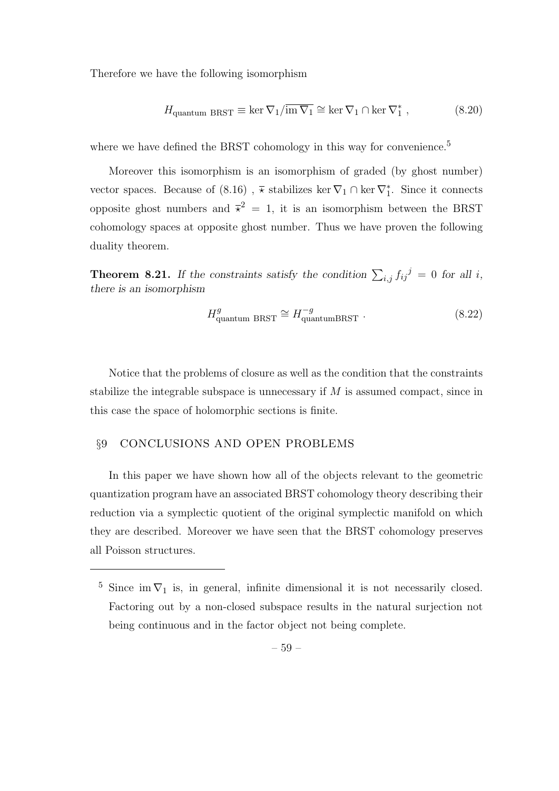Therefore we have the following isomorphism

$$
H_{\text{quantum BRST}} \equiv \ker \nabla_1 / \overline{\mathrm{im} \nabla_1} \cong \ker \nabla_1 \cap \ker \nabla_1^*, \tag{8.20}
$$

where we have defined the BRST cohomology in this way for convenience.<sup>5</sup>

Moreover this isomorphism is an isomorphism of graded (by ghost number) vector spaces. Because of (8.16),  $\overline{\star}$  stabilizes ker  $\nabla_1 \cap \ker \nabla_1^*$ . Since it connects opposite ghost numbers and  $\bar{x}^2 = 1$ , it is an isomorphism between the BRST cohomology spaces at opposite ghost number. Thus we have proven the following duality theorem.

**Theorem 8.21.** If the constraints satisfy the condition  $\sum_{i,j} f_{ij}^{j} = 0$  for all i, there is an isomorphism

$$
H_{\text{quantum BRST}}^g \cong H_{\text{quantum BRST}}^{-g} \tag{8.22}
$$

Notice that the problems of closure as well as the condition that the constraints stabilize the integrable subspace is unnecessary if  $M$  is assumed compact, since in this case the space of holomorphic sections is finite.

#### §9 CONCLUSIONS AND OPEN PROBLEMS

In this paper we have shown how all of the objects relevant to the geometric quantization program have an associated BRST cohomology theory describing their reduction via a symplectic quotient of the original symplectic manifold on which they are described. Moreover we have seen that the BRST cohomology preserves all Poisson structures.

<sup>&</sup>lt;sup>5</sup> Since im  $\nabla_1$  is, in general, infinite dimensional it is not necessarily closed. Factoring out by a non-closed subspace results in the natural surjection not being continuous and in the factor object not being complete.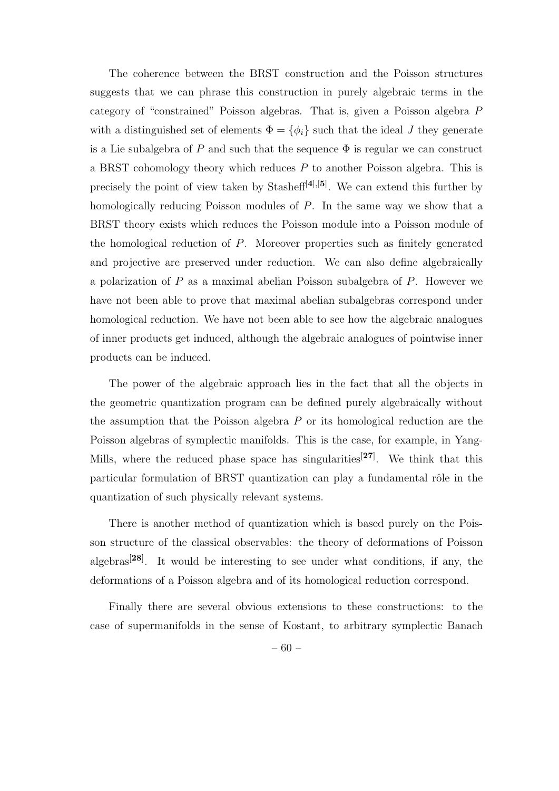The coherence between the BRST construction and the Poisson structures suggests that we can phrase this construction in purely algebraic terms in the category of "constrained" Poisson algebras. That is, given a Poisson algebra P with a distinguished set of elements  $\Phi = {\phi_i}$  such that the ideal J they generate is a Lie subalgebra of P and such that the sequence  $\Phi$  is regular we can construct a BRST cohomology theory which reduces P to another Poisson algebra. This is precisely the point of view taken by Stashef<sup> $[4]$ </sup>,<sup>[5]</sup>. We can extend this further by homologically reducing Poisson modules of P. In the same way we show that a BRST theory exists which reduces the Poisson module into a Poisson module of the homological reduction of P. Moreover properties such as finitely generated and projective are preserved under reduction. We can also define algebraically a polarization of P as a maximal abelian Poisson subalgebra of P. However we have not been able to prove that maximal abelian subalgebras correspond under homological reduction. We have not been able to see how the algebraic analogues of inner products get induced, although the algebraic analogues of pointwise inner products can be induced.

The power of the algebraic approach lies in the fact that all the objects in the geometric quantization program can be defined purely algebraically without the assumption that the Poisson algebra  $P$  or its homological reduction are the Poisson algebras of symplectic manifolds. This is the case, for example, in Yang-Mills, where the reduced phase space has singularities<sup>[27]</sup>. We think that this particular formulation of BRST quantization can play a fundamental rôle in the quantization of such physically relevant systems.

There is another method of quantization which is based purely on the Poisson structure of the classical observables: the theory of deformations of Poisson algebras<sup>[28]</sup>. It would be interesting to see under what conditions, if any, the deformations of a Poisson algebra and of its homological reduction correspond.

Finally there are several obvious extensions to these constructions: to the case of supermanifolds in the sense of Kostant, to arbitrary symplectic Banach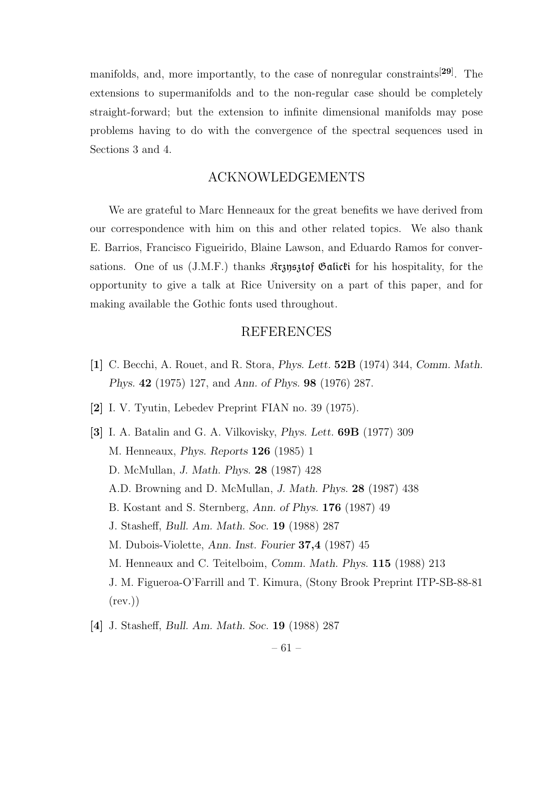manifolds, and, more importantly, to the case of nonregular constraints<sup>[29]</sup>. The extensions to supermanifolds and to the non-regular case should be completely straight-forward; but the extension to infinite dimensional manifolds may pose problems having to do with the convergence of the spectral sequences used in Sections 3 and 4.

## ACKNOWLEDGEMENTS

We are grateful to Marc Henneaux for the great benefits we have derived from our correspondence with him on this and other related topics. We also thank E. Barrios, Francisco Figueirido, Blaine Lawson, and Eduardo Ramos for conversations. One of us  $(J.M.F.)$  thanks  $\mathcal{R}$ tangstof  $\mathcal{B}$ dicti for his hospitality, for the opportunity to give a talk at Rice University on a part of this paper, and for making available the Gothic fonts used throughout.

## REFERENCES

- [1] C. Becchi, A. Rouet, and R. Stora, Phys. Lett. 52B (1974) 344, Comm. Math. Phys. 42 (1975) 127, and Ann. of Phys. 98 (1976) 287.
- [2] I. V. Tyutin, Lebedev Preprint FIAN no. 39 (1975).
- [3] I. A. Batalin and G. A. Vilkovisky, Phys. Lett. 69B (1977) 309 M. Henneaux, Phys. Reports 126 (1985) 1 D. McMullan, J. Math. Phys. 28 (1987) 428 A.D. Browning and D. McMullan, J. Math. Phys. 28 (1987) 438 B. Kostant and S. Sternberg, Ann. of Phys. 176 (1987) 49 J. Stasheff, Bull. Am. Math. Soc. 19 (1988) 287 M. Dubois-Violette, Ann. Inst. Fourier 37,4 (1987) 45 M. Henneaux and C. Teitelboim, Comm. Math. Phys. 115 (1988) 213 J. M. Figueroa-O'Farrill and T. Kimura, (Stony Brook Preprint ITP-SB-88-81  $(rev.)$
- [4] J. Stasheff, Bull. Am. Math. Soc. 19 (1988) 287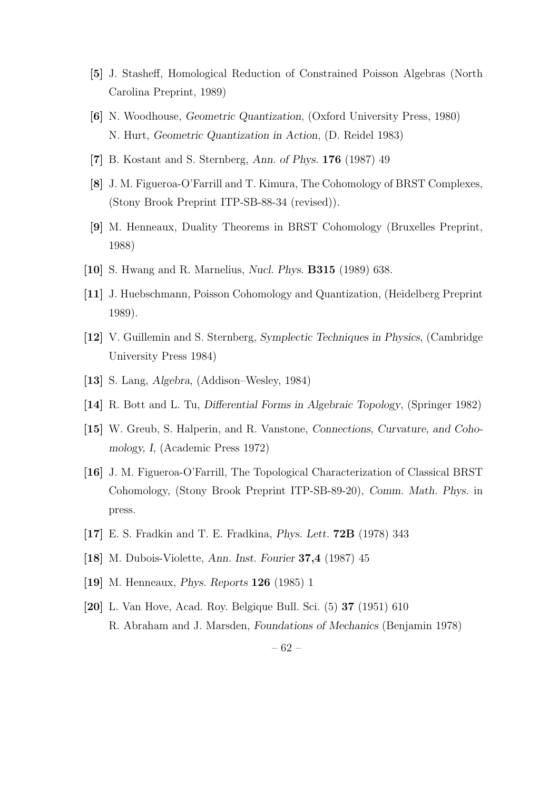- [5] J. Stasheff, Homological Reduction of Constrained Poisson Algebras (North Carolina Preprint, 1989)
- [6] N. Woodhouse, Geometric Quantization, (Oxford University Press, 1980) N. Hurt, Geometric Quantization in Action, (D. Reidel 1983)
- [7] B. Kostant and S. Sternberg, Ann. of Phys. 176 (1987) 49
- [8] J. M. Figueroa-O'Farrill and T. Kimura, The Cohomology of BRST Complexes, (Stony Brook Preprint ITP-SB-88-34 (revised)).
- [9] M. Henneaux, Duality Theorems in BRST Cohomology (Bruxelles Preprint, 1988)
- [10] S. Hwang and R. Marnelius, Nucl. Phys. B315 (1989) 638.
- [11] J. Huebschmann, Poisson Cohomology and Quantization, (Heidelberg Preprint 1989).
- [12] V. Guillemin and S. Sternberg, Symplectic Techniques in Physics, (Cambridge University Press 1984)
- [13] S. Lang, Algebra, (Addison–Wesley, 1984)
- [14] R. Bott and L. Tu, Differential Forms in Algebraic Topology, (Springer 1982)
- [15] W. Greub, S. Halperin, and R. Vanstone, Connections, Curvature, and Cohomology, I, (Academic Press 1972)
- [16] J. M. Figueroa-O'Farrill, The Topological Characterization of Classical BRST Cohomology, (Stony Brook Preprint ITP-SB-89-20), Comm. Math. Phys. in press.
- [17] E. S. Fradkin and T. E. Fradkina, Phys. Lett. 72B (1978) 343
- [18] M. Dubois-Violette, Ann. Inst. Fourier 37,4 (1987) 45
- [19] M. Henneaux, *Phys. Reports* 126 (1985) 1
- [20] L. Van Hove, Acad. Roy. Belgique Bull. Sci. (5) 37 (1951) 610 R. Abraham and J. Marsden, Foundations of Mechanics (Benjamin 1978)